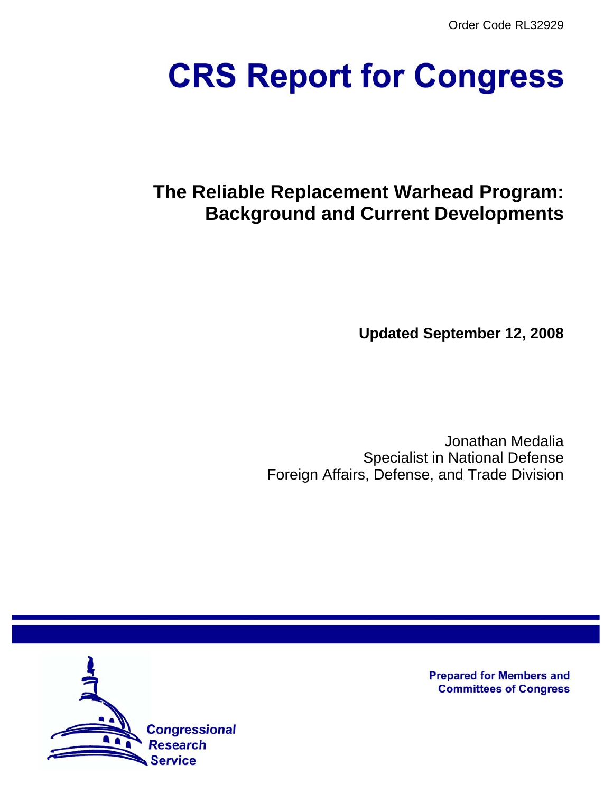Order Code RL32929

# **CRS Report for Congress**

# **The Reliable Replacement Warhead Program: Background and Current Developments**

**Updated September 12, 2008**

Jonathan Medalia Specialist in National Defense Foreign Affairs, Defense, and Trade Division



**Prepared for Members and Committees of Congress**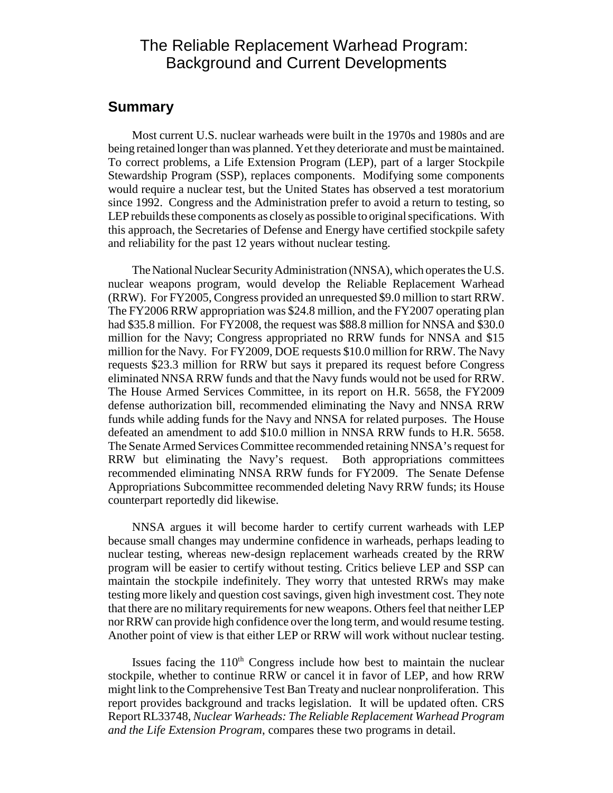# The Reliable Replacement Warhead Program: Background and Current Developments

#### **Summary**

Most current U.S. nuclear warheads were built in the 1970s and 1980s and are being retained longer than was planned. Yet they deteriorate and must be maintained. To correct problems, a Life Extension Program (LEP), part of a larger Stockpile Stewardship Program (SSP), replaces components. Modifying some components would require a nuclear test, but the United States has observed a test moratorium since 1992. Congress and the Administration prefer to avoid a return to testing, so LEP rebuilds these components as closely as possible to original specifications. With this approach, the Secretaries of Defense and Energy have certified stockpile safety and reliability for the past 12 years without nuclear testing.

The National Nuclear Security Administration (NNSA), which operates the U.S. nuclear weapons program, would develop the Reliable Replacement Warhead (RRW). For FY2005, Congress provided an unrequested \$9.0 million to start RRW. The FY2006 RRW appropriation was \$24.8 million, and the FY2007 operating plan had \$35.8 million. For FY2008, the request was \$88.8 million for NNSA and \$30.0 million for the Navy; Congress appropriated no RRW funds for NNSA and \$15 million for the Navy. For FY2009, DOE requests \$10.0 million for RRW. The Navy requests \$23.3 million for RRW but says it prepared its request before Congress eliminated NNSA RRW funds and that the Navy funds would not be used for RRW. The House Armed Services Committee, in its report on H.R. 5658, the FY2009 defense authorization bill, recommended eliminating the Navy and NNSA RRW funds while adding funds for the Navy and NNSA for related purposes. The House defeated an amendment to add \$10.0 million in NNSA RRW funds to H.R. 5658. The Senate Armed Services Committee recommended retaining NNSA's request for RRW but eliminating the Navy's request. Both appropriations committees recommended eliminating NNSA RRW funds for FY2009. The Senate Defense Appropriations Subcommittee recommended deleting Navy RRW funds; its House counterpart reportedly did likewise.

NNSA argues it will become harder to certify current warheads with LEP because small changes may undermine confidence in warheads, perhaps leading to nuclear testing, whereas new-design replacement warheads created by the RRW program will be easier to certify without testing. Critics believe LEP and SSP can maintain the stockpile indefinitely. They worry that untested RRWs may make testing more likely and question cost savings, given high investment cost. They note that there are no military requirements for new weapons. Others feel that neither LEP nor RRW can provide high confidence over the long term, and would resume testing. Another point of view is that either LEP or RRW will work without nuclear testing.

Issues facing the  $110<sup>th</sup>$  Congress include how best to maintain the nuclear stockpile, whether to continue RRW or cancel it in favor of LEP, and how RRW might link to the Comprehensive Test Ban Treaty and nuclear nonproliferation. This report provides background and tracks legislation. It will be updated often. CRS Report RL33748, *Nuclear Warheads: The Reliable Replacement Warhead Program and the Life Extension Program*, compares these two programs in detail.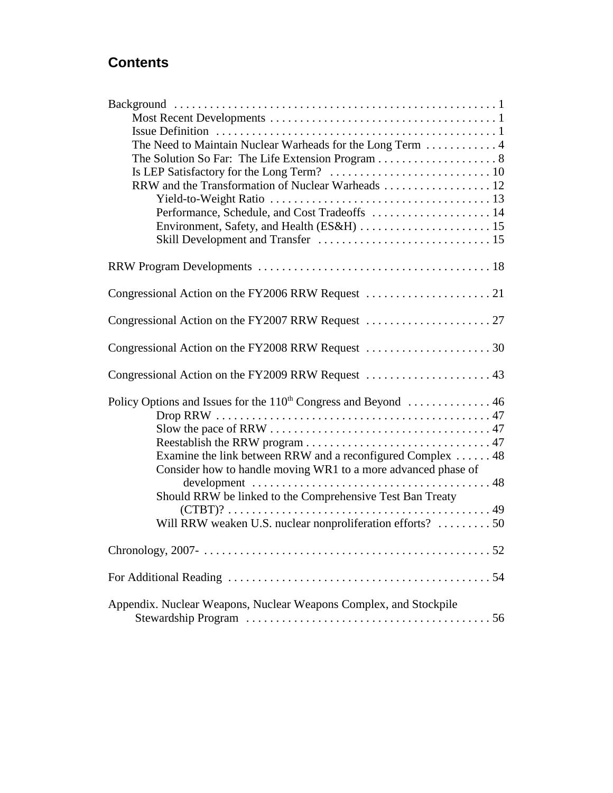# **Contents**

| The Need to Maintain Nuclear Warheads for the Long Term  4                                                                   |
|------------------------------------------------------------------------------------------------------------------------------|
|                                                                                                                              |
|                                                                                                                              |
| RRW and the Transformation of Nuclear Warheads  12                                                                           |
|                                                                                                                              |
| Performance, Schedule, and Cost Tradeoffs  14                                                                                |
|                                                                                                                              |
|                                                                                                                              |
|                                                                                                                              |
|                                                                                                                              |
|                                                                                                                              |
|                                                                                                                              |
| Congressional Action on the FY2009 RRW Request  43                                                                           |
| Policy Options and Issues for the 110 <sup>th</sup> Congress and Beyond  46                                                  |
|                                                                                                                              |
|                                                                                                                              |
|                                                                                                                              |
| Examine the link between RRW and a reconfigured Complex  48<br>Consider how to handle moving WR1 to a more advanced phase of |
| Should RRW be linked to the Comprehensive Test Ban Treaty                                                                    |
|                                                                                                                              |
| Will RRW weaken U.S. nuclear nonproliferation efforts?  50                                                                   |
|                                                                                                                              |
|                                                                                                                              |
| Appendix. Nuclear Weapons, Nuclear Weapons Complex, and Stockpile                                                            |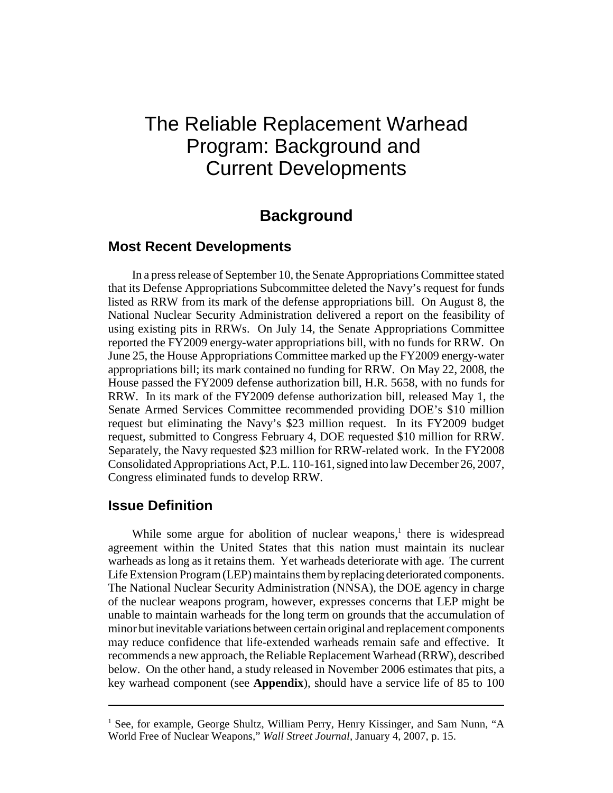# The Reliable Replacement Warhead Program: Background and Current Developments

# **Background**

#### **Most Recent Developments**

In a press release of September 10, the Senate Appropriations Committee stated that its Defense Appropriations Subcommittee deleted the Navy's request for funds listed as RRW from its mark of the defense appropriations bill. On August 8, the National Nuclear Security Administration delivered a report on the feasibility of using existing pits in RRWs. On July 14, the Senate Appropriations Committee reported the FY2009 energy-water appropriations bill, with no funds for RRW. On June 25, the House Appropriations Committee marked up the FY2009 energy-water appropriations bill; its mark contained no funding for RRW. On May 22, 2008, the House passed the FY2009 defense authorization bill, H.R. 5658, with no funds for RRW. In its mark of the FY2009 defense authorization bill, released May 1, the Senate Armed Services Committee recommended providing DOE's \$10 million request but eliminating the Navy's \$23 million request. In its FY2009 budget request, submitted to Congress February 4, DOE requested \$10 million for RRW. Separately, the Navy requested \$23 million for RRW-related work. In the FY2008 Consolidated Appropriations Act, P.L. 110-161, signed into law December 26, 2007, Congress eliminated funds to develop RRW.

#### **Issue Definition**

While some argue for abolition of nuclear weapons, $<sup>1</sup>$  there is widespread</sup> agreement within the United States that this nation must maintain its nuclear warheads as long as it retains them. Yet warheads deteriorate with age. The current Life Extension Program (LEP) maintains them by replacing deteriorated components. The National Nuclear Security Administration (NNSA), the DOE agency in charge of the nuclear weapons program, however, expresses concerns that LEP might be unable to maintain warheads for the long term on grounds that the accumulation of minor but inevitable variations between certain original and replacement components may reduce confidence that life-extended warheads remain safe and effective. It recommends a new approach, the Reliable Replacement Warhead (RRW), described below. On the other hand, a study released in November 2006 estimates that pits, a key warhead component (see **Appendix**), should have a service life of 85 to 100

<sup>&</sup>lt;sup>1</sup> See, for example, George Shultz, William Perry, Henry Kissinger, and Sam Nunn, "A World Free of Nuclear Weapons," *Wall Street Journal,* January 4, 2007, p. 15.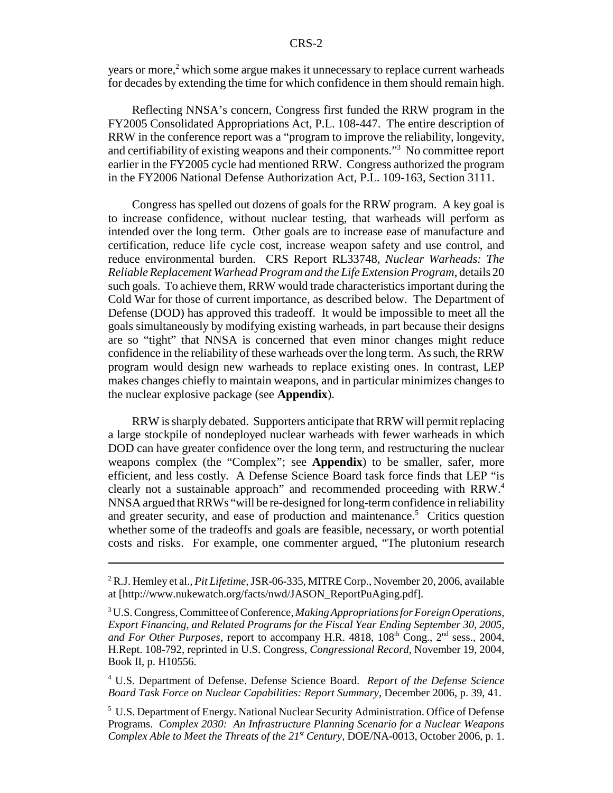years or more,<sup>2</sup> which some argue makes it unnecessary to replace current warheads for decades by extending the time for which confidence in them should remain high.

Reflecting NNSA's concern, Congress first funded the RRW program in the FY2005 Consolidated Appropriations Act, P.L. 108-447. The entire description of RRW in the conference report was a "program to improve the reliability, longevity, and certifiability of existing weapons and their components."3 No committee report earlier in the FY2005 cycle had mentioned RRW. Congress authorized the program in the FY2006 National Defense Authorization Act, P.L. 109-163, Section 3111.

Congress has spelled out dozens of goals for the RRW program. A key goal is to increase confidence, without nuclear testing, that warheads will perform as intended over the long term. Other goals are to increase ease of manufacture and certification, reduce life cycle cost, increase weapon safety and use control, and reduce environmental burden. CRS Report RL33748, *Nuclear Warheads: The Reliable Replacement Warhead Program and the Life Extension Program*, details 20 such goals. To achieve them, RRW would trade characteristics important during the Cold War for those of current importance, as described below. The Department of Defense (DOD) has approved this tradeoff. It would be impossible to meet all the goals simultaneously by modifying existing warheads, in part because their designs are so "tight" that NNSA is concerned that even minor changes might reduce confidence in the reliability of these warheads over the long term. As such, the RRW program would design new warheads to replace existing ones. In contrast, LEP makes changes chiefly to maintain weapons, and in particular minimizes changes to the nuclear explosive package (see **Appendix**).

RRW is sharply debated. Supporters anticipate that RRW will permit replacing a large stockpile of nondeployed nuclear warheads with fewer warheads in which DOD can have greater confidence over the long term, and restructuring the nuclear weapons complex (the "Complex"; see **Appendix**) to be smaller, safer, more efficient, and less costly. A Defense Science Board task force finds that LEP "is clearly not a sustainable approach" and recommended proceeding with RRW.<sup>4</sup> NNSA argued that RRWs "will be re-designed for long-term confidence in reliability and greater security, and ease of production and maintenance.<sup>5</sup> Critics question whether some of the tradeoffs and goals are feasible, necessary, or worth potential costs and risks. For example, one commenter argued, "The plutonium research

4 U.S. Department of Defense. Defense Science Board. *Report of the Defense Science Board Task Force on Nuclear Capabilities: Report Summary,* December 2006, p. 39, 41.

<sup>5</sup> U.S. Department of Energy. National Nuclear Security Administration. Office of Defense Programs. *Complex 2030: An Infrastructure Planning Scenario for a Nuclear Weapons Complex Able to Meet the Threats of the 21<sup>st</sup> Century, DOE/NA-0013, October 2006, p. 1.* 

<sup>2</sup> R.J. Hemley et al., *Pit Lifetime,* JSR-06-335, MITRE Corp., November 20, 2006, available at [http://www.nukewatch.org/facts/nwd/JASON\_ReportPuAging.pdf].

<sup>3</sup> U.S. Congress, Committee of Conference, *Making Appropriations for Foreign Operations, Export Financing, and Related Programs for the Fiscal Year Ending September 30, 2005,* and For Other Purposes, report to accompany H.R. 4818, 108<sup>th</sup> Cong., 2<sup>nd</sup> sess., 2004, H.Rept. 108-792, reprinted in U.S. Congress, *Congressional Record*, November 19, 2004, Book II, p. H10556.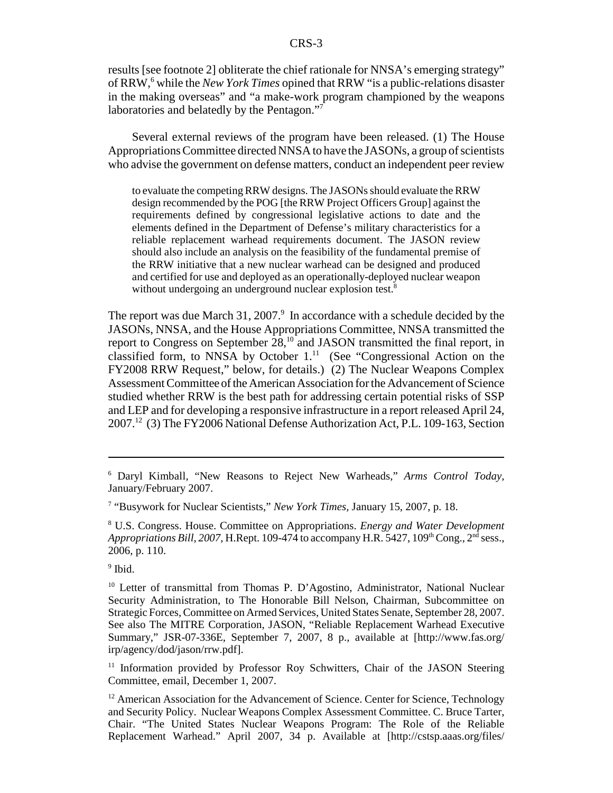results [see footnote 2] obliterate the chief rationale for NNSA's emerging strategy" of RRW,<sup>6</sup> while the *New York Times* opined that RRW "is a public-relations disaster in the making overseas" and "a make-work program championed by the weapons laboratories and belatedly by the Pentagon."<sup>7</sup>

Several external reviews of the program have been released. (1) The House Appropriations Committee directed NNSA to have the JASONs, a group of scientists who advise the government on defense matters, conduct an independent peer review

to evaluate the competing RRW designs. The JASONs should evaluate the RRW design recommended by the POG [the RRW Project Officers Group] against the requirements defined by congressional legislative actions to date and the elements defined in the Department of Defense's military characteristics for a reliable replacement warhead requirements document. The JASON review should also include an analysis on the feasibility of the fundamental premise of the RRW initiative that a new nuclear warhead can be designed and produced and certified for use and deployed as an operationally-deployed nuclear weapon without undergoing an underground nuclear explosion test.<sup>8</sup>

The report was due March 31, 2007. $9$  In accordance with a schedule decided by the JASONs, NNSA, and the House Appropriations Committee, NNSA transmitted the report to Congress on September 28,<sup>10</sup> and JASON transmitted the final report, in classified form, to NNSA by October 1.<sup>11</sup> (See "Congressional Action on the FY2008 RRW Request," below, for details.) (2) The Nuclear Weapons Complex Assessment Committee of the American Association for the Advancement of Science studied whether RRW is the best path for addressing certain potential risks of SSP and LEP and for developing a responsive infrastructure in a report released April 24, 2007.12 (3) The FY2006 National Defense Authorization Act, P.L. 109-163, Section

<sup>6</sup> Daryl Kimball, "New Reasons to Reject New Warheads," *Arms Control Today,* January/February 2007.

<sup>7</sup> "Busywork for Nuclear Scientists," *New York Times,* January 15, 2007, p. 18.

<sup>8</sup> U.S. Congress. House. Committee on Appropriations. *Energy and Water Development Appropriations Bill, 2007, H.Rept. 109-474 to accompany H.R. 5427, 109<sup>th</sup> Cong., 2<sup>nd</sup> sess.,* 2006, p. 110.

<sup>&</sup>lt;sup>9</sup> Ibid.

<sup>&</sup>lt;sup>10</sup> Letter of transmittal from Thomas P. D'Agostino, Administrator, National Nuclear Security Administration, to The Honorable Bill Nelson, Chairman, Subcommittee on Strategic Forces, Committee on Armed Services, United States Senate, September 28, 2007. See also The MITRE Corporation, JASON, "Reliable Replacement Warhead Executive Summary," JSR-07-336E, September 7, 2007, 8 p., available at [http://www.fas.org/ irp/agency/dod/jason/rrw.pdf].

<sup>&</sup>lt;sup>11</sup> Information provided by Professor Roy Schwitters, Chair of the JASON Steering Committee, email, December 1, 2007.

<sup>&</sup>lt;sup>12</sup> American Association for the Advancement of Science. Center for Science, Technology and Security Policy. Nuclear Weapons Complex Assessment Committee. C. Bruce Tarter, Chair. "The United States Nuclear Weapons Program: The Role of the Reliable Replacement Warhead." April 2007, 34 p. Available at [http://cstsp.aaas.org/files/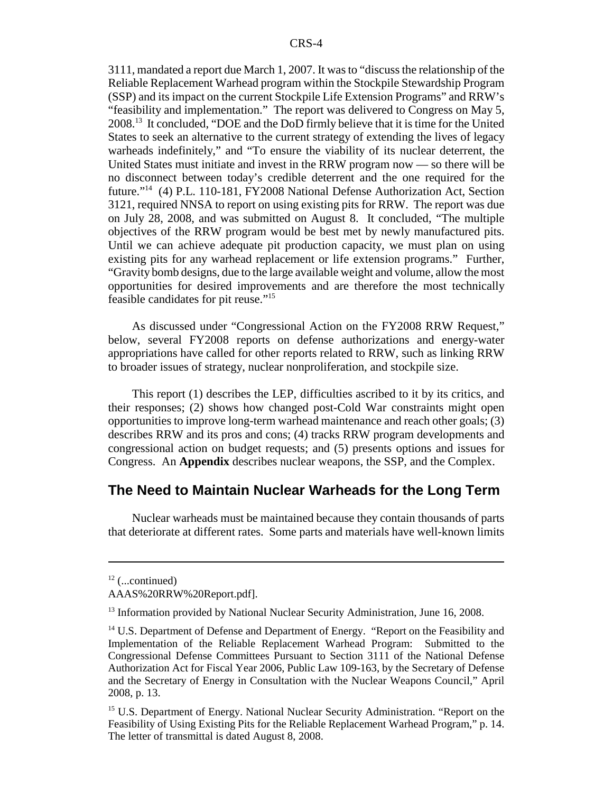3111, mandated a report due March 1, 2007. It was to "discuss the relationship of the Reliable Replacement Warhead program within the Stockpile Stewardship Program (SSP) and its impact on the current Stockpile Life Extension Programs" and RRW's "feasibility and implementation." The report was delivered to Congress on May 5, 2008.13 It concluded, "DOE and the DoD firmly believe that it is time for the United States to seek an alternative to the current strategy of extending the lives of legacy warheads indefinitely," and "To ensure the viability of its nuclear deterrent, the United States must initiate and invest in the RRW program now — so there will be no disconnect between today's credible deterrent and the one required for the future."14 (4) P.L. 110-181, FY2008 National Defense Authorization Act, Section 3121, required NNSA to report on using existing pits for RRW. The report was due on July 28, 2008, and was submitted on August 8. It concluded, "The multiple objectives of the RRW program would be best met by newly manufactured pits. Until we can achieve adequate pit production capacity, we must plan on using existing pits for any warhead replacement or life extension programs." Further, "Gravity bomb designs, due to the large available weight and volume, allow the most opportunities for desired improvements and are therefore the most technically feasible candidates for pit reuse."15

As discussed under "Congressional Action on the FY2008 RRW Request," below, several FY2008 reports on defense authorizations and energy-water appropriations have called for other reports related to RRW, such as linking RRW to broader issues of strategy, nuclear nonproliferation, and stockpile size.

This report (1) describes the LEP, difficulties ascribed to it by its critics, and their responses; (2) shows how changed post-Cold War constraints might open opportunities to improve long-term warhead maintenance and reach other goals; (3) describes RRW and its pros and cons; (4) tracks RRW program developments and congressional action on budget requests; and (5) presents options and issues for Congress. An **Appendix** describes nuclear weapons, the SSP, and the Complex.

#### **The Need to Maintain Nuclear Warheads for the Long Term**

Nuclear warheads must be maintained because they contain thousands of parts that deteriorate at different rates. Some parts and materials have well-known limits

 $12$  (...continued)

AAAS%20RRW%20Report.pdf].

<sup>&</sup>lt;sup>13</sup> Information provided by National Nuclear Security Administration, June 16, 2008.

<sup>&</sup>lt;sup>14</sup> U.S. Department of Defense and Department of Energy. "Report on the Feasibility and Implementation of the Reliable Replacement Warhead Program: Submitted to the Congressional Defense Committees Pursuant to Section 3111 of the National Defense Authorization Act for Fiscal Year 2006, Public Law 109-163, by the Secretary of Defense and the Secretary of Energy in Consultation with the Nuclear Weapons Council," April 2008, p. 13.

<sup>&</sup>lt;sup>15</sup> U.S. Department of Energy. National Nuclear Security Administration. "Report on the Feasibility of Using Existing Pits for the Reliable Replacement Warhead Program," p. 14. The letter of transmittal is dated August 8, 2008.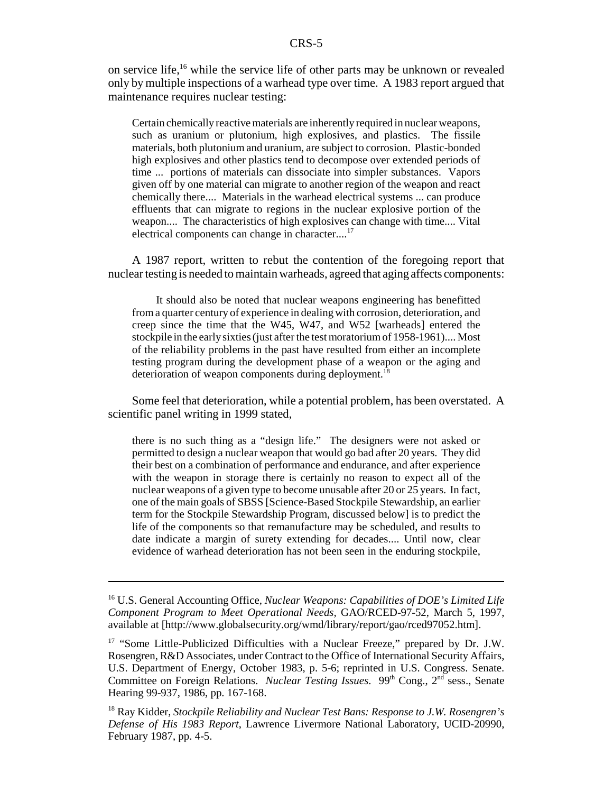on service life, $16$  while the service life of other parts may be unknown or revealed only by multiple inspections of a warhead type over time. A 1983 report argued that maintenance requires nuclear testing:

Certain chemically reactive materials are inherently required in nuclear weapons, such as uranium or plutonium, high explosives, and plastics. The fissile materials, both plutonium and uranium, are subject to corrosion. Plastic-bonded high explosives and other plastics tend to decompose over extended periods of time ... portions of materials can dissociate into simpler substances. Vapors given off by one material can migrate to another region of the weapon and react chemically there.... Materials in the warhead electrical systems ... can produce effluents that can migrate to regions in the nuclear explosive portion of the weapon.... The characteristics of high explosives can change with time.... Vital electrical components can change in character....<sup>17</sup>

A 1987 report, written to rebut the contention of the foregoing report that nuclear testing is needed to maintain warheads, agreed that aging affects components:

It should also be noted that nuclear weapons engineering has benefitted from a quarter century of experience in dealing with corrosion, deterioration, and creep since the time that the W45, W47, and W52 [warheads] entered the stockpile in the early sixties (just after the test moratorium of 1958-1961).... Most of the reliability problems in the past have resulted from either an incomplete testing program during the development phase of a weapon or the aging and deterioration of weapon components during deployment.<sup>18</sup>

Some feel that deterioration, while a potential problem, has been overstated. A scientific panel writing in 1999 stated,

there is no such thing as a "design life." The designers were not asked or permitted to design a nuclear weapon that would go bad after 20 years. They did their best on a combination of performance and endurance, and after experience with the weapon in storage there is certainly no reason to expect all of the nuclear weapons of a given type to become unusable after 20 or 25 years. In fact, one of the main goals of SBSS [Science-Based Stockpile Stewardship, an earlier term for the Stockpile Stewardship Program, discussed below] is to predict the life of the components so that remanufacture may be scheduled, and results to date indicate a margin of surety extending for decades.... Until now, clear evidence of warhead deterioration has not been seen in the enduring stockpile,

<sup>16</sup> U.S. General Accounting Office, *Nuclear Weapons: Capabilities of DOE's Limited Life Component Program to Meet Operational Needs,* GAO/RCED-97-52, March 5, 1997, available at [http://www.globalsecurity.org/wmd/library/report/gao/rced97052.htm].

<sup>&</sup>lt;sup>17</sup> "Some Little-Publicized Difficulties with a Nuclear Freeze," prepared by Dr. J.W. Rosengren, R&D Associates, under Contract to the Office of International Security Affairs, U.S. Department of Energy, October 1983, p. 5-6; reprinted in U.S. Congress. Senate. Committee on Foreign Relations. *Nuclear Testing Issues*. 99<sup>th</sup> Cong., 2<sup>nd</sup> sess., Senate Hearing 99-937, 1986, pp. 167-168.

<sup>18</sup> Ray Kidder, *Stockpile Reliability and Nuclear Test Bans: Response to J.W. Rosengren's Defense of His 1983 Report*, Lawrence Livermore National Laboratory, UCID-20990, February 1987, pp. 4-5.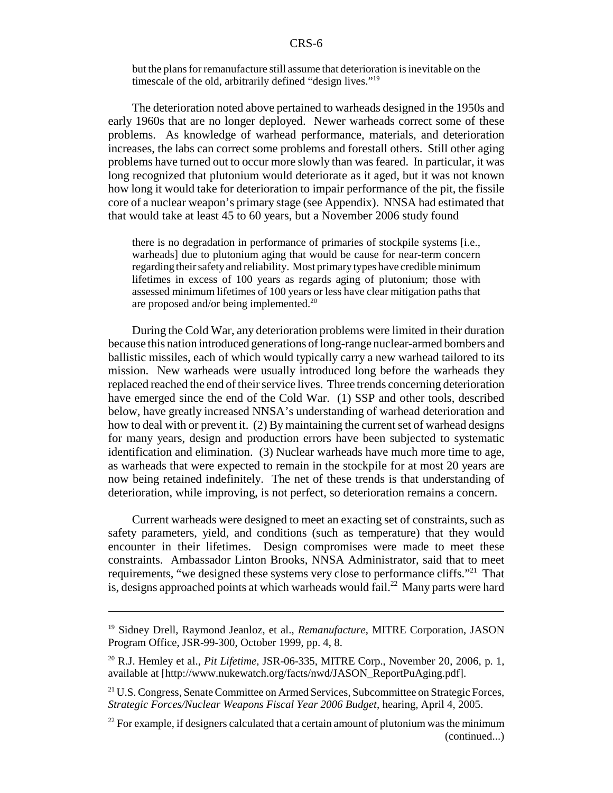but the plans for remanufacture still assume that deterioration is inevitable on the timescale of the old, arbitrarily defined "design lives."19

The deterioration noted above pertained to warheads designed in the 1950s and early 1960s that are no longer deployed. Newer warheads correct some of these problems. As knowledge of warhead performance, materials, and deterioration increases, the labs can correct some problems and forestall others. Still other aging problems have turned out to occur more slowly than was feared. In particular, it was long recognized that plutonium would deteriorate as it aged, but it was not known how long it would take for deterioration to impair performance of the pit, the fissile core of a nuclear weapon's primary stage (see Appendix). NNSA had estimated that that would take at least 45 to 60 years, but a November 2006 study found

there is no degradation in performance of primaries of stockpile systems [i.e., warheads] due to plutonium aging that would be cause for near-term concern regarding their safety and reliability. Most primary types have credible minimum lifetimes in excess of 100 years as regards aging of plutonium; those with assessed minimum lifetimes of 100 years or less have clear mitigation paths that are proposed and/or being implemented. $^{20}$ 

During the Cold War, any deterioration problems were limited in their duration because this nation introduced generations of long-range nuclear-armed bombers and ballistic missiles, each of which would typically carry a new warhead tailored to its mission. New warheads were usually introduced long before the warheads they replaced reached the end of their service lives. Three trends concerning deterioration have emerged since the end of the Cold War. (1) SSP and other tools, described below, have greatly increased NNSA's understanding of warhead deterioration and how to deal with or prevent it. (2) By maintaining the current set of warhead designs for many years, design and production errors have been subjected to systematic identification and elimination. (3) Nuclear warheads have much more time to age, as warheads that were expected to remain in the stockpile for at most 20 years are now being retained indefinitely. The net of these trends is that understanding of deterioration, while improving, is not perfect, so deterioration remains a concern.

Current warheads were designed to meet an exacting set of constraints, such as safety parameters, yield, and conditions (such as temperature) that they would encounter in their lifetimes. Design compromises were made to meet these constraints. Ambassador Linton Brooks, NNSA Administrator, said that to meet requirements, "we designed these systems very close to performance cliffs."21 That is, designs approached points at which warheads would fail.<sup>22</sup> Many parts were hard

<sup>19</sup> Sidney Drell, Raymond Jeanloz, et al., *Remanufacture*, MITRE Corporation, JASON Program Office, JSR-99-300, October 1999, pp. 4, 8.

<sup>20</sup> R.J. Hemley et al., *Pit Lifetime,* JSR-06-335, MITRE Corp., November 20, 2006, p. 1, available at [http://www.nukewatch.org/facts/nwd/JASON\_ReportPuAging.pdf].

<sup>&</sup>lt;sup>21</sup> U.S. Congress, Senate Committee on Armed Services, Subcommittee on Strategic Forces, *Strategic Forces/Nuclear Weapons Fiscal Year 2006 Budget*, hearing, April 4, 2005.

 $22$  For example, if designers calculated that a certain amount of plutonium was the minimum (continued...)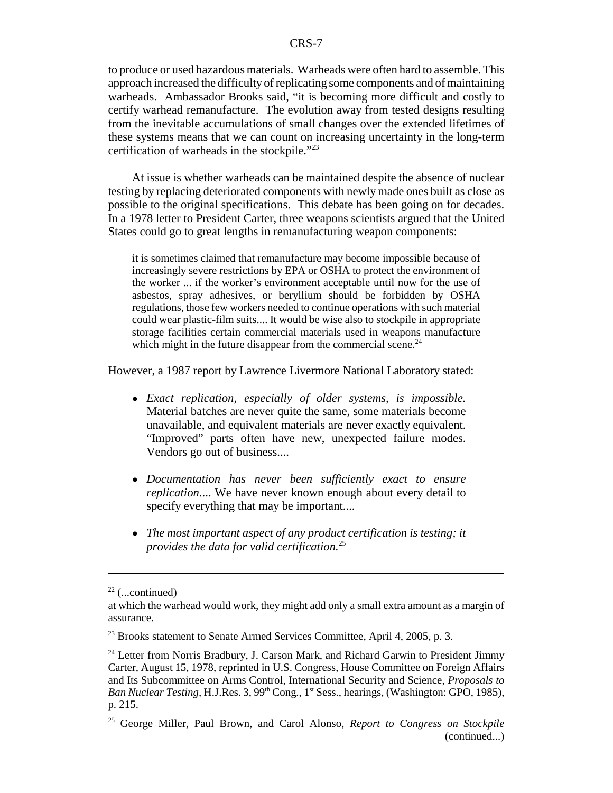to produce or used hazardous materials. Warheads were often hard to assemble. This approach increased the difficulty of replicating some components and of maintaining warheads. Ambassador Brooks said, "it is becoming more difficult and costly to certify warhead remanufacture. The evolution away from tested designs resulting from the inevitable accumulations of small changes over the extended lifetimes of these systems means that we can count on increasing uncertainty in the long-term certification of warheads in the stockpile."23

At issue is whether warheads can be maintained despite the absence of nuclear testing by replacing deteriorated components with newly made ones built as close as possible to the original specifications. This debate has been going on for decades. In a 1978 letter to President Carter, three weapons scientists argued that the United States could go to great lengths in remanufacturing weapon components:

it is sometimes claimed that remanufacture may become impossible because of increasingly severe restrictions by EPA or OSHA to protect the environment of the worker ... if the worker's environment acceptable until now for the use of asbestos, spray adhesives, or beryllium should be forbidden by OSHA regulations, those few workers needed to continue operations with such material could wear plastic-film suits.... It would be wise also to stockpile in appropriate storage facilities certain commercial materials used in weapons manufacture which might in the future disappear from the commercial scene. $24$ 

However, a 1987 report by Lawrence Livermore National Laboratory stated:

- ! *Exact replication, especially of older systems, is impossible.* Material batches are never quite the same, some materials become unavailable, and equivalent materials are never exactly equivalent. "Improved" parts often have new, unexpected failure modes. Vendors go out of business....
- ! *Documentation has never been sufficiently exact to ensure replication.*... We have never known enough about every detail to specify everything that may be important....
- ! *The most important aspect of any product certification is testing; it provides the data for valid certification.*25

 $22$  (...continued)

at which the warhead would work, they might add only a small extra amount as a margin of assurance.

<sup>&</sup>lt;sup>23</sup> Brooks statement to Senate Armed Services Committee, April 4, 2005, p. 3.

 $24$  Letter from Norris Bradbury, J. Carson Mark, and Richard Garwin to President Jimmy Carter, August 15, 1978, reprinted in U.S. Congress, House Committee on Foreign Affairs and Its Subcommittee on Arms Control, International Security and Science, *Proposals to* Ban Nuclear Testing, H.J.Res. 3, 99<sup>th</sup> Cong., 1<sup>st</sup> Sess., hearings, (Washington: GPO, 1985), p. 215.

<sup>25</sup> George Miller, Paul Brown, and Carol Alonso, *Report to Congress on Stockpile* (continued...)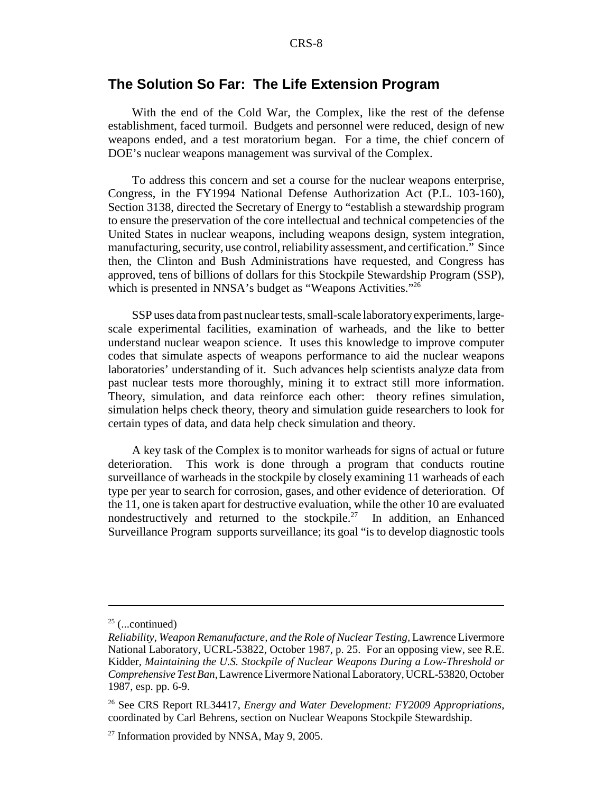#### **The Solution So Far: The Life Extension Program**

With the end of the Cold War, the Complex, like the rest of the defense establishment, faced turmoil. Budgets and personnel were reduced, design of new weapons ended, and a test moratorium began. For a time, the chief concern of DOE's nuclear weapons management was survival of the Complex.

To address this concern and set a course for the nuclear weapons enterprise, Congress, in the FY1994 National Defense Authorization Act (P.L. 103-160), Section 3138, directed the Secretary of Energy to "establish a stewardship program to ensure the preservation of the core intellectual and technical competencies of the United States in nuclear weapons, including weapons design, system integration, manufacturing, security, use control, reliability assessment, and certification." Since then, the Clinton and Bush Administrations have requested, and Congress has approved, tens of billions of dollars for this Stockpile Stewardship Program (SSP), which is presented in NNSA's budget as "Weapons Activities."<sup>26</sup>

SSP uses data from past nuclear tests, small-scale laboratory experiments, largescale experimental facilities, examination of warheads, and the like to better understand nuclear weapon science. It uses this knowledge to improve computer codes that simulate aspects of weapons performance to aid the nuclear weapons laboratories' understanding of it. Such advances help scientists analyze data from past nuclear tests more thoroughly, mining it to extract still more information. Theory, simulation, and data reinforce each other: theory refines simulation, simulation helps check theory, theory and simulation guide researchers to look for certain types of data, and data help check simulation and theory.

A key task of the Complex is to monitor warheads for signs of actual or future deterioration. This work is done through a program that conducts routine surveillance of warheads in the stockpile by closely examining 11 warheads of each type per year to search for corrosion, gases, and other evidence of deterioration. Of the 11, one is taken apart for destructive evaluation, while the other 10 are evaluated nondestructively and returned to the stockpile.<sup>27</sup> In addition, an Enhanced Surveillance Program supports surveillance; its goal "is to develop diagnostic tools

 $25$  (...continued)

*Reliability, Weapon Remanufacture, and the Role of Nuclear Testing,* Lawrence Livermore National Laboratory, UCRL-53822, October 1987, p. 25. For an opposing view, see R.E. Kidder, *Maintaining the U.S. Stockpile of Nuclear Weapons During a Low-Threshold or Comprehensive Test Ban*, Lawrence Livermore National Laboratory, UCRL-53820, October 1987, esp. pp. 6-9.

<sup>26</sup> See CRS Report RL34417, *Energy and Water Development: FY2009 Appropriations*, coordinated by Carl Behrens, section on Nuclear Weapons Stockpile Stewardship.

 $27$  Information provided by NNSA, May 9, 2005.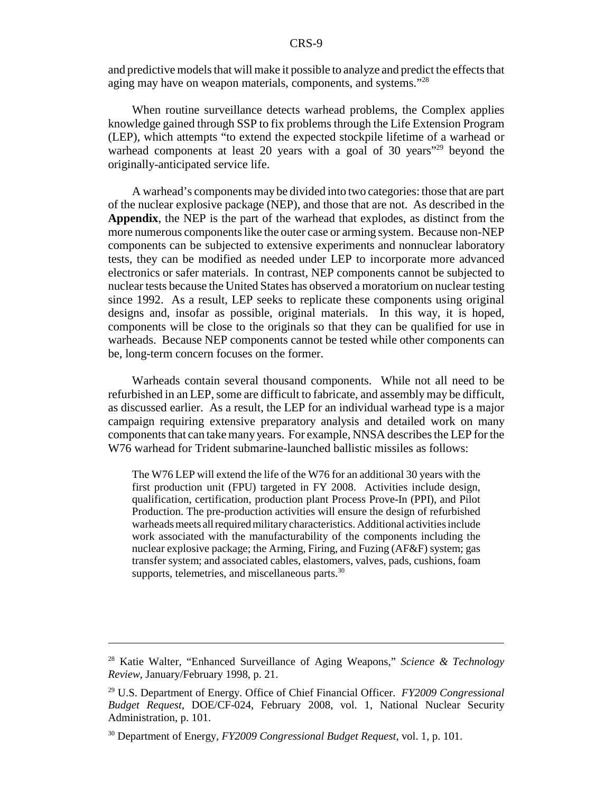and predictive models that will make it possible to analyze and predict the effects that aging may have on weapon materials, components, and systems."28

When routine surveillance detects warhead problems, the Complex applies knowledge gained through SSP to fix problems through the Life Extension Program (LEP), which attempts "to extend the expected stockpile lifetime of a warhead or warhead components at least 20 years with a goal of 30 years<sup>"29</sup> beyond the originally-anticipated service life.

A warhead's components may be divided into two categories: those that are part of the nuclear explosive package (NEP), and those that are not. As described in the **Appendix**, the NEP is the part of the warhead that explodes, as distinct from the more numerous components like the outer case or arming system. Because non-NEP components can be subjected to extensive experiments and nonnuclear laboratory tests, they can be modified as needed under LEP to incorporate more advanced electronics or safer materials. In contrast, NEP components cannot be subjected to nuclear tests because the United States has observed a moratorium on nuclear testing since 1992. As a result, LEP seeks to replicate these components using original designs and, insofar as possible, original materials. In this way, it is hoped, components will be close to the originals so that they can be qualified for use in warheads. Because NEP components cannot be tested while other components can be, long-term concern focuses on the former.

Warheads contain several thousand components. While not all need to be refurbished in an LEP, some are difficult to fabricate, and assembly may be difficult, as discussed earlier. As a result, the LEP for an individual warhead type is a major campaign requiring extensive preparatory analysis and detailed work on many components that can take many years. For example, NNSA describes the LEP for the W76 warhead for Trident submarine-launched ballistic missiles as follows:

The W76 LEP will extend the life of the W76 for an additional 30 years with the first production unit (FPU) targeted in FY 2008. Activities include design, qualification, certification, production plant Process Prove-In (PPI), and Pilot Production. The pre-production activities will ensure the design of refurbished warheads meets all required military characteristics. Additional activities include work associated with the manufacturability of the components including the nuclear explosive package; the Arming, Firing, and Fuzing (AF&F) system; gas transfer system; and associated cables, elastomers, valves, pads, cushions, foam supports, telemetries, and miscellaneous parts.<sup>30</sup>

<sup>28</sup> Katie Walter, "Enhanced Surveillance of Aging Weapons," *Science & Technology Review*, January/February 1998, p. 21.

<sup>29</sup> U.S. Department of Energy. Office of Chief Financial Officer. *FY2009 Congressional Budget Request*, DOE/CF-024, February 2008, vol. 1, National Nuclear Security Administration, p. 101.

<sup>30</sup> Department of Energy, *FY2009 Congressional Budget Request*, vol. 1, p. 101.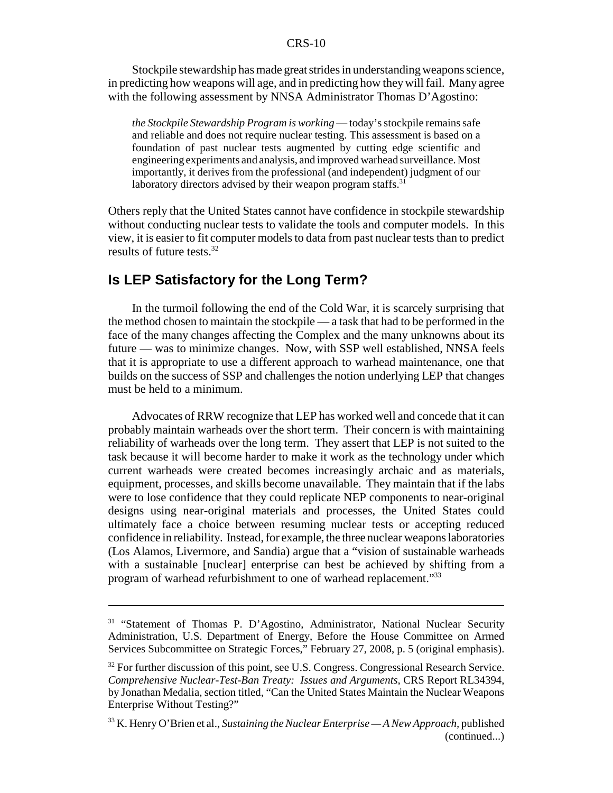Stockpile stewardship has made great strides in understanding weapons science, in predicting how weapons will age, and in predicting how they will fail. Many agree with the following assessment by NNSA Administrator Thomas D'Agostino:

*the Stockpile Stewardship Program is working* — today's stockpile remains safe and reliable and does not require nuclear testing. This assessment is based on a foundation of past nuclear tests augmented by cutting edge scientific and engineering experiments and analysis, and improved warhead surveillance. Most importantly, it derives from the professional (and independent) judgment of our laboratory directors advised by their weapon program staffs.<sup>31</sup>

Others reply that the United States cannot have confidence in stockpile stewardship without conducting nuclear tests to validate the tools and computer models. In this view, it is easier to fit computer models to data from past nuclear tests than to predict results of future tests.32

### **Is LEP Satisfactory for the Long Term?**

In the turmoil following the end of the Cold War, it is scarcely surprising that the method chosen to maintain the stockpile — a task that had to be performed in the face of the many changes affecting the Complex and the many unknowns about its future — was to minimize changes. Now, with SSP well established, NNSA feels that it is appropriate to use a different approach to warhead maintenance, one that builds on the success of SSP and challenges the notion underlying LEP that changes must be held to a minimum.

Advocates of RRW recognize that LEP has worked well and concede that it can probably maintain warheads over the short term. Their concern is with maintaining reliability of warheads over the long term. They assert that LEP is not suited to the task because it will become harder to make it work as the technology under which current warheads were created becomes increasingly archaic and as materials, equipment, processes, and skills become unavailable. They maintain that if the labs were to lose confidence that they could replicate NEP components to near-original designs using near-original materials and processes, the United States could ultimately face a choice between resuming nuclear tests or accepting reduced confidence in reliability. Instead, for example, the three nuclear weapons laboratories (Los Alamos, Livermore, and Sandia) argue that a "vision of sustainable warheads with a sustainable [nuclear] enterprise can best be achieved by shifting from a program of warhead refurbishment to one of warhead replacement."<sup>33</sup>

<sup>&</sup>lt;sup>31</sup> "Statement of Thomas P. D'Agostino, Administrator, National Nuclear Security Administration, U.S. Department of Energy, Before the House Committee on Armed Services Subcommittee on Strategic Forces," February 27, 2008, p. 5 (original emphasis).

 $32$  For further discussion of this point, see U.S. Congress. Congressional Research Service. *Comprehensive Nuclear-Test-Ban Treaty: Issues and Arguments,* CRS Report RL34394, by Jonathan Medalia, section titled, "Can the United States Maintain the Nuclear Weapons Enterprise Without Testing?"

<sup>33</sup> K. Henry O'Brien et al., *Sustaining the Nuclear Enterprise — A New Approach,* published (continued...)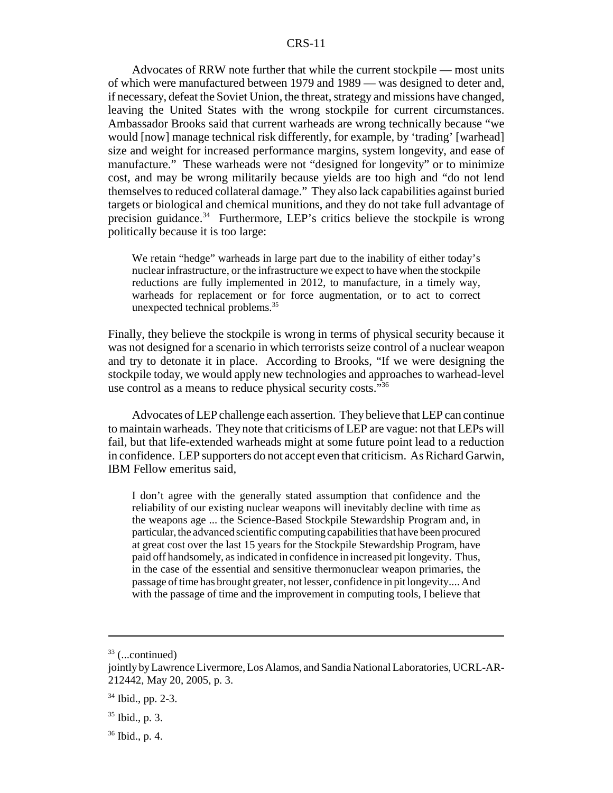Advocates of RRW note further that while the current stockpile — most units of which were manufactured between 1979 and 1989 — was designed to deter and, if necessary, defeat the Soviet Union, the threat, strategy and missions have changed, leaving the United States with the wrong stockpile for current circumstances. Ambassador Brooks said that current warheads are wrong technically because "we would [now] manage technical risk differently, for example, by 'trading' [warhead] size and weight for increased performance margins, system longevity, and ease of manufacture." These warheads were not "designed for longevity" or to minimize cost, and may be wrong militarily because yields are too high and "do not lend themselves to reduced collateral damage." They also lack capabilities against buried targets or biological and chemical munitions, and they do not take full advantage of precision guidance.<sup>34</sup> Furthermore, LEP's critics believe the stockpile is wrong politically because it is too large:

We retain "hedge" warheads in large part due to the inability of either today's nuclear infrastructure, or the infrastructure we expect to have when the stockpile reductions are fully implemented in 2012, to manufacture, in a timely way, warheads for replacement or for force augmentation, or to act to correct unexpected technical problems.35

Finally, they believe the stockpile is wrong in terms of physical security because it was not designed for a scenario in which terrorists seize control of a nuclear weapon and try to detonate it in place. According to Brooks, "If we were designing the stockpile today, we would apply new technologies and approaches to warhead-level use control as a means to reduce physical security costs."<sup>36</sup>

Advocates of LEP challenge each assertion. They believe that LEP can continue to maintain warheads. They note that criticisms of LEP are vague: not that LEPs will fail, but that life-extended warheads might at some future point lead to a reduction in confidence. LEP supporters do not accept even that criticism. As Richard Garwin, IBM Fellow emeritus said,

I don't agree with the generally stated assumption that confidence and the reliability of our existing nuclear weapons will inevitably decline with time as the weapons age ... the Science-Based Stockpile Stewardship Program and, in particular, the advanced scientific computing capabilities that have been procured at great cost over the last 15 years for the Stockpile Stewardship Program, have paid off handsomely, as indicated in confidence in increased pit longevity. Thus, in the case of the essential and sensitive thermonuclear weapon primaries, the passage of time has brought greater, not lesser, confidence in pit longevity.... And with the passage of time and the improvement in computing tools, I believe that

 $33$  (...continued)

jointly by Lawrence Livermore, Los Alamos, and Sandia National Laboratories, UCRL-AR-212442, May 20, 2005, p. 3.

<sup>34</sup> Ibid., pp. 2-3.

 $35$  Ibid., p. 3.

<sup>36</sup> Ibid., p. 4.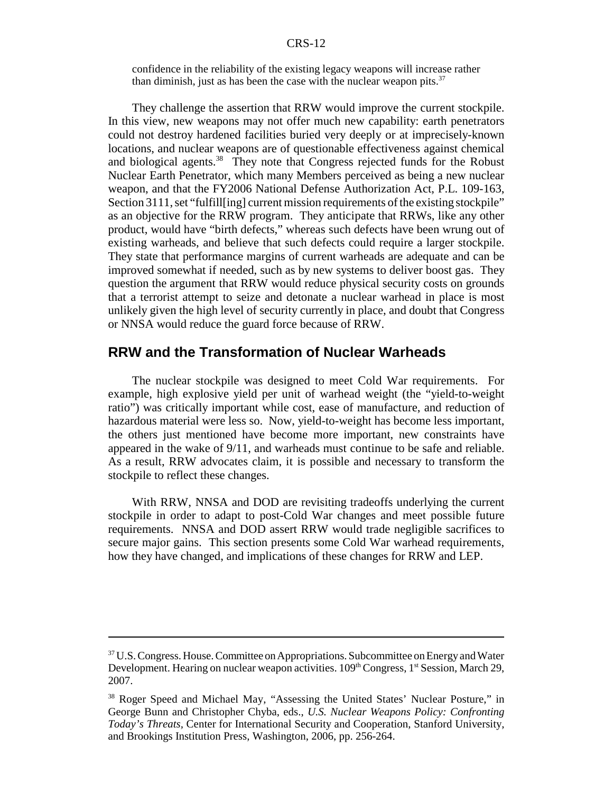confidence in the reliability of the existing legacy weapons will increase rather than diminish, just as has been the case with the nuclear weapon pits. $37$ 

They challenge the assertion that RRW would improve the current stockpile. In this view, new weapons may not offer much new capability: earth penetrators could not destroy hardened facilities buried very deeply or at imprecisely-known locations, and nuclear weapons are of questionable effectiveness against chemical and biological agents.38 They note that Congress rejected funds for the Robust Nuclear Earth Penetrator, which many Members perceived as being a new nuclear weapon, and that the FY2006 National Defense Authorization Act, P.L. 109-163, Section 3111, set "fulfill[ing] current mission requirements of the existing stockpile" as an objective for the RRW program. They anticipate that RRWs, like any other product, would have "birth defects," whereas such defects have been wrung out of existing warheads, and believe that such defects could require a larger stockpile. They state that performance margins of current warheads are adequate and can be improved somewhat if needed, such as by new systems to deliver boost gas. They question the argument that RRW would reduce physical security costs on grounds that a terrorist attempt to seize and detonate a nuclear warhead in place is most unlikely given the high level of security currently in place, and doubt that Congress or NNSA would reduce the guard force because of RRW.

#### **RRW and the Transformation of Nuclear Warheads**

The nuclear stockpile was designed to meet Cold War requirements. For example, high explosive yield per unit of warhead weight (the "yield-to-weight ratio") was critically important while cost, ease of manufacture, and reduction of hazardous material were less so. Now, yield-to-weight has become less important, the others just mentioned have become more important, new constraints have appeared in the wake of 9/11, and warheads must continue to be safe and reliable. As a result, RRW advocates claim, it is possible and necessary to transform the stockpile to reflect these changes.

With RRW, NNSA and DOD are revisiting tradeoffs underlying the current stockpile in order to adapt to post-Cold War changes and meet possible future requirements. NNSA and DOD assert RRW would trade negligible sacrifices to secure major gains. This section presents some Cold War warhead requirements, how they have changed, and implications of these changes for RRW and LEP.

 $37$  U.S. Congress. House. Committee on Appropriations. Subcommittee on Energy and Water Development. Hearing on nuclear weapon activities.  $109<sup>th</sup> Congress, 1<sup>st</sup> Session, March 29,$ 2007.

<sup>38</sup> Roger Speed and Michael May, "Assessing the United States' Nuclear Posture," in George Bunn and Christopher Chyba, eds., *U.S. Nuclear Weapons Policy: Confronting Today's Threats,* Center for International Security and Cooperation, Stanford University, and Brookings Institution Press, Washington, 2006, pp. 256-264.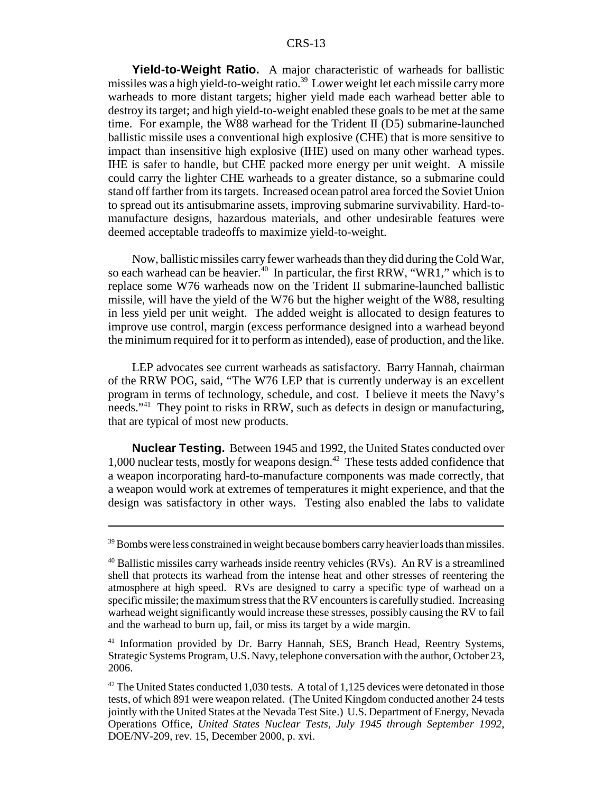**Yield-to-Weight Ratio.** A major characteristic of warheads for ballistic missiles was a high yield-to-weight ratio.<sup>39</sup> Lower weight let each missile carry more warheads to more distant targets; higher yield made each warhead better able to destroy its target; and high yield-to-weight enabled these goals to be met at the same time. For example, the W88 warhead for the Trident II (D5) submarine-launched ballistic missile uses a conventional high explosive (CHE) that is more sensitive to impact than insensitive high explosive (IHE) used on many other warhead types. IHE is safer to handle, but CHE packed more energy per unit weight. A missile could carry the lighter CHE warheads to a greater distance, so a submarine could stand off farther from its targets. Increased ocean patrol area forced the Soviet Union to spread out its antisubmarine assets, improving submarine survivability. Hard-tomanufacture designs, hazardous materials, and other undesirable features were deemed acceptable tradeoffs to maximize yield-to-weight.

Now, ballistic missiles carry fewer warheads than they did during the Cold War, so each warhead can be heavier.<sup>40</sup> In particular, the first RRW, "WR1," which is to replace some W76 warheads now on the Trident II submarine-launched ballistic missile, will have the yield of the W76 but the higher weight of the W88, resulting in less yield per unit weight. The added weight is allocated to design features to improve use control, margin (excess performance designed into a warhead beyond the minimum required for it to perform as intended), ease of production, and the like.

LEP advocates see current warheads as satisfactory. Barry Hannah, chairman of the RRW POG, said, "The W76 LEP that is currently underway is an excellent program in terms of technology, schedule, and cost. I believe it meets the Navy's needs."41 They point to risks in RRW, such as defects in design or manufacturing, that are typical of most new products.

**Nuclear Testing.** Between 1945 and 1992, the United States conducted over 1,000 nuclear tests, mostly for weapons design.42 These tests added confidence that a weapon incorporating hard-to-manufacture components was made correctly, that a weapon would work at extremes of temperatures it might experience, and that the design was satisfactory in other ways. Testing also enabled the labs to validate

 $39$  Bombs were less constrained in weight because bombers carry heavier loads than missiles.

 $40$  Ballistic missiles carry warheads inside reentry vehicles (RVs). An RV is a streamlined shell that protects its warhead from the intense heat and other stresses of reentering the atmosphere at high speed. RVs are designed to carry a specific type of warhead on a specific missile; the maximum stress that the RV encounters is carefully studied. Increasing warhead weight significantly would increase these stresses, possibly causing the RV to fail and the warhead to burn up, fail, or miss its target by a wide margin.

<sup>&</sup>lt;sup>41</sup> Information provided by Dr. Barry Hannah, SES, Branch Head, Reentry Systems, Strategic Systems Program, U.S. Navy, telephone conversation with the author, October 23, 2006.

 $42$  The United States conducted 1,030 tests. A total of 1,125 devices were detonated in those tests, of which 891 were weapon related. (The United Kingdom conducted another 24 tests jointly with the United States at the Nevada Test Site.) U.S. Department of Energy, Nevada Operations Office, *United States Nuclear Tests, July 1945 through September 1992*, DOE/NV-209, rev. 15, December 2000, p. xvi.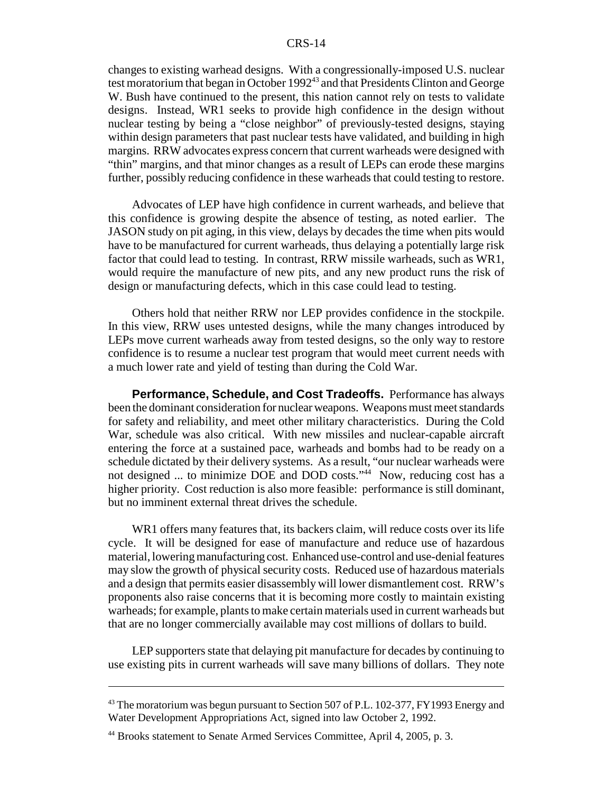changes to existing warhead designs. With a congressionally-imposed U.S. nuclear test moratorium that began in October 1992<sup>43</sup> and that Presidents Clinton and George W. Bush have continued to the present, this nation cannot rely on tests to validate designs. Instead, WR1 seeks to provide high confidence in the design without nuclear testing by being a "close neighbor" of previously-tested designs, staying within design parameters that past nuclear tests have validated, and building in high margins. RRW advocates express concern that current warheads were designed with "thin" margins, and that minor changes as a result of LEPs can erode these margins further, possibly reducing confidence in these warheads that could testing to restore.

Advocates of LEP have high confidence in current warheads, and believe that this confidence is growing despite the absence of testing, as noted earlier. The JASON study on pit aging, in this view, delays by decades the time when pits would have to be manufactured for current warheads, thus delaying a potentially large risk factor that could lead to testing. In contrast, RRW missile warheads, such as WR1, would require the manufacture of new pits, and any new product runs the risk of design or manufacturing defects, which in this case could lead to testing.

Others hold that neither RRW nor LEP provides confidence in the stockpile. In this view, RRW uses untested designs, while the many changes introduced by LEPs move current warheads away from tested designs, so the only way to restore confidence is to resume a nuclear test program that would meet current needs with a much lower rate and yield of testing than during the Cold War.

**Performance, Schedule, and Cost Tradeoffs.** Performance has always been the dominant consideration for nuclear weapons. Weapons must meet standards for safety and reliability, and meet other military characteristics. During the Cold War, schedule was also critical. With new missiles and nuclear-capable aircraft entering the force at a sustained pace, warheads and bombs had to be ready on a schedule dictated by their delivery systems. As a result, "our nuclear warheads were not designed ... to minimize DOE and DOD costs."<sup>44</sup> Now, reducing cost has a higher priority. Cost reduction is also more feasible: performance is still dominant, but no imminent external threat drives the schedule.

WR1 offers many features that, its backers claim, will reduce costs over its life cycle. It will be designed for ease of manufacture and reduce use of hazardous material, lowering manufacturing cost. Enhanced use-control and use-denial features may slow the growth of physical security costs. Reduced use of hazardous materials and a design that permits easier disassembly will lower dismantlement cost. RRW's proponents also raise concerns that it is becoming more costly to maintain existing warheads; for example, plants to make certain materials used in current warheads but that are no longer commercially available may cost millions of dollars to build.

LEP supporters state that delaying pit manufacture for decades by continuing to use existing pits in current warheads will save many billions of dollars. They note

<sup>&</sup>lt;sup>43</sup> The moratorium was begun pursuant to Section 507 of P.L. 102-377, FY1993 Energy and Water Development Appropriations Act, signed into law October 2, 1992.

<sup>&</sup>lt;sup>44</sup> Brooks statement to Senate Armed Services Committee, April 4, 2005, p. 3.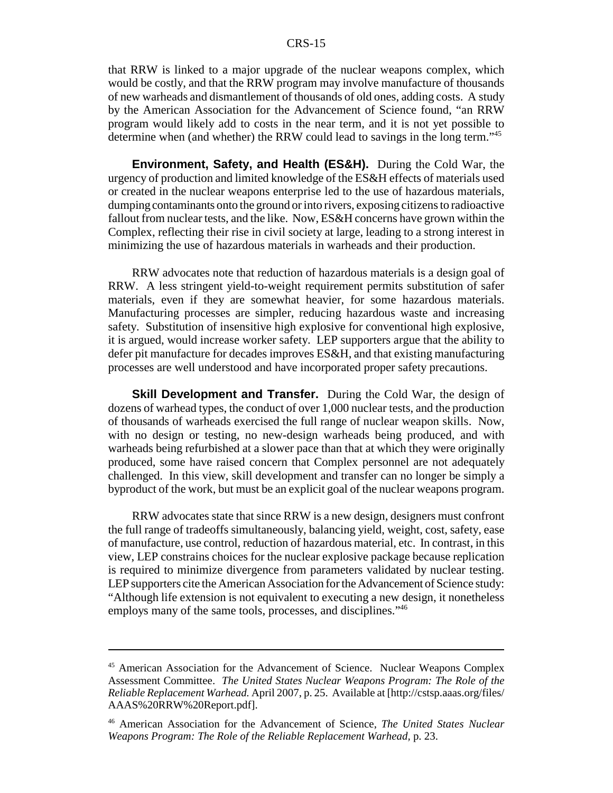that RRW is linked to a major upgrade of the nuclear weapons complex, which would be costly, and that the RRW program may involve manufacture of thousands of new warheads and dismantlement of thousands of old ones, adding costs. A study by the American Association for the Advancement of Science found, "an RRW program would likely add to costs in the near term, and it is not yet possible to determine when (and whether) the RRW could lead to savings in the long term."45

**Environment, Safety, and Health (ES&H).** During the Cold War, the urgency of production and limited knowledge of the ES&H effects of materials used or created in the nuclear weapons enterprise led to the use of hazardous materials, dumping contaminants onto the ground or into rivers, exposing citizens to radioactive fallout from nuclear tests, and the like. Now, ES&H concerns have grown within the Complex, reflecting their rise in civil society at large, leading to a strong interest in minimizing the use of hazardous materials in warheads and their production.

RRW advocates note that reduction of hazardous materials is a design goal of RRW. A less stringent yield-to-weight requirement permits substitution of safer materials, even if they are somewhat heavier, for some hazardous materials. Manufacturing processes are simpler, reducing hazardous waste and increasing safety. Substitution of insensitive high explosive for conventional high explosive, it is argued, would increase worker safety. LEP supporters argue that the ability to defer pit manufacture for decades improves ES&H, and that existing manufacturing processes are well understood and have incorporated proper safety precautions.

**Skill Development and Transfer.** During the Cold War, the design of dozens of warhead types, the conduct of over 1,000 nuclear tests, and the production of thousands of warheads exercised the full range of nuclear weapon skills. Now, with no design or testing, no new-design warheads being produced, and with warheads being refurbished at a slower pace than that at which they were originally produced, some have raised concern that Complex personnel are not adequately challenged. In this view, skill development and transfer can no longer be simply a byproduct of the work, but must be an explicit goal of the nuclear weapons program.

RRW advocates state that since RRW is a new design, designers must confront the full range of tradeoffs simultaneously, balancing yield, weight, cost, safety, ease of manufacture, use control, reduction of hazardous material, etc. In contrast, in this view, LEP constrains choices for the nuclear explosive package because replication is required to minimize divergence from parameters validated by nuclear testing. LEP supporters cite the American Association for the Advancement of Science study: "Although life extension is not equivalent to executing a new design, it nonetheless employs many of the same tools, processes, and disciplines."<sup>46</sup>

<sup>&</sup>lt;sup>45</sup> American Association for the Advancement of Science. Nuclear Weapons Complex Assessment Committee. *The United States Nuclear Weapons Program: The Role of the Reliable Replacement Warhead.* April 2007, p. 25. Available at [http://cstsp.aaas.org/files/ AAAS%20RRW%20Report.pdf].

<sup>46</sup> American Association for the Advancement of Science, *The United States Nuclear Weapons Program: The Role of the Reliable Replacement Warhead,* p. 23.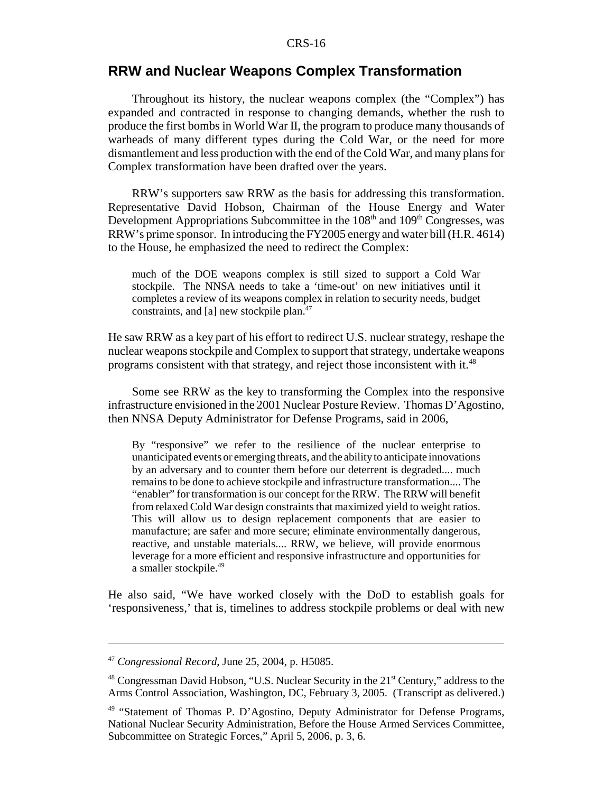### **RRW and Nuclear Weapons Complex Transformation**

Throughout its history, the nuclear weapons complex (the "Complex") has expanded and contracted in response to changing demands, whether the rush to produce the first bombs in World War II, the program to produce many thousands of warheads of many different types during the Cold War, or the need for more dismantlement and less production with the end of the Cold War, and many plans for Complex transformation have been drafted over the years.

RRW's supporters saw RRW as the basis for addressing this transformation. Representative David Hobson, Chairman of the House Energy and Water Development Appropriations Subcommittee in the  $108<sup>th</sup>$  and  $109<sup>th</sup>$  Congresses, was RRW's prime sponsor. In introducing the FY2005 energy and water bill (H.R. 4614) to the House, he emphasized the need to redirect the Complex:

much of the DOE weapons complex is still sized to support a Cold War stockpile. The NNSA needs to take a 'time-out' on new initiatives until it completes a review of its weapons complex in relation to security needs, budget constraints, and [a] new stockpile plan.<sup>47</sup>

He saw RRW as a key part of his effort to redirect U.S. nuclear strategy, reshape the nuclear weapons stockpile and Complex to support that strategy, undertake weapons programs consistent with that strategy, and reject those inconsistent with it.<sup>48</sup>

Some see RRW as the key to transforming the Complex into the responsive infrastructure envisioned in the 2001 Nuclear Posture Review. Thomas D'Agostino, then NNSA Deputy Administrator for Defense Programs, said in 2006,

By "responsive" we refer to the resilience of the nuclear enterprise to unanticipated events or emerging threats, and the ability to anticipate innovations by an adversary and to counter them before our deterrent is degraded.... much remains to be done to achieve stockpile and infrastructure transformation.... The "enabler" for transformation is our concept for the RRW. The RRW will benefit from relaxed Cold War design constraints that maximized yield to weight ratios. This will allow us to design replacement components that are easier to manufacture; are safer and more secure; eliminate environmentally dangerous, reactive, and unstable materials.... RRW, we believe, will provide enormous leverage for a more efficient and responsive infrastructure and opportunities for a smaller stockpile.<sup>49</sup>

He also said, "We have worked closely with the DoD to establish goals for 'responsiveness,' that is, timelines to address stockpile problems or deal with new

<sup>47</sup> *Congressional Record*, June 25, 2004, p. H5085.

<sup>&</sup>lt;sup>48</sup> Congressman David Hobson, "U.S. Nuclear Security in the 21<sup>st</sup> Century," address to the Arms Control Association, Washington, DC, February 3, 2005. (Transcript as delivered.)

<sup>&</sup>lt;sup>49</sup> "Statement of Thomas P. D'Agostino, Deputy Administrator for Defense Programs, National Nuclear Security Administration, Before the House Armed Services Committee, Subcommittee on Strategic Forces," April 5, 2006, p. 3, 6.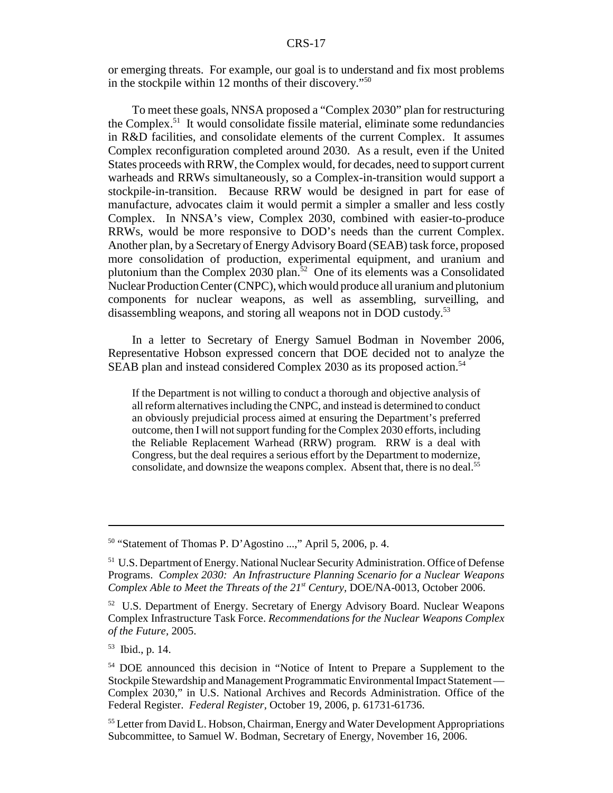or emerging threats. For example, our goal is to understand and fix most problems in the stockpile within 12 months of their discovery."50

To meet these goals, NNSA proposed a "Complex 2030" plan for restructuring the Complex.<sup>51</sup> It would consolidate fissile material, eliminate some redundancies in R&D facilities, and consolidate elements of the current Complex. It assumes Complex reconfiguration completed around 2030. As a result, even if the United States proceeds with RRW, the Complex would, for decades, need to support current warheads and RRWs simultaneously, so a Complex-in-transition would support a stockpile-in-transition. Because RRW would be designed in part for ease of manufacture, advocates claim it would permit a simpler a smaller and less costly Complex. In NNSA's view, Complex 2030, combined with easier-to-produce RRWs, would be more responsive to DOD's needs than the current Complex. Another plan, by a Secretary of Energy Advisory Board (SEAB) task force, proposed more consolidation of production, experimental equipment, and uranium and plutonium than the Complex 2030 plan.<sup>52</sup> One of its elements was a Consolidated Nuclear Production Center (CNPC), which would produce all uranium and plutonium components for nuclear weapons, as well as assembling, surveilling, and disassembling weapons, and storing all weapons not in DOD custody.<sup>53</sup>

In a letter to Secretary of Energy Samuel Bodman in November 2006, Representative Hobson expressed concern that DOE decided not to analyze the SEAB plan and instead considered Complex 2030 as its proposed action.<sup>54</sup>

If the Department is not willing to conduct a thorough and objective analysis of all reform alternatives including the CNPC, and instead is determined to conduct an obviously prejudicial process aimed at ensuring the Department's preferred outcome, then I will not support funding for the Complex 2030 efforts, including the Reliable Replacement Warhead (RRW) program. RRW is a deal with Congress, but the deal requires a serious effort by the Department to modernize, consolidate, and downsize the weapons complex. Absent that, there is no deal.<sup>55</sup>

<sup>50 &</sup>quot;Statement of Thomas P. D'Agostino ...," April 5, 2006, p. 4.

<sup>&</sup>lt;sup>51</sup> U.S. Department of Energy. National Nuclear Security Administration. Office of Defense Programs. *Complex 2030: An Infrastructure Planning Scenario for a Nuclear Weapons Complex Able to Meet the Threats of the 21st Century,* DOE/NA-0013, October 2006.

<sup>52</sup> U.S. Department of Energy. Secretary of Energy Advisory Board. Nuclear Weapons Complex Infrastructure Task Force. *Recommendations for the Nuclear Weapons Complex of the Future,* 2005.

<sup>53</sup> Ibid., p. 14.

<sup>54</sup> DOE announced this decision in "Notice of Intent to Prepare a Supplement to the Stockpile Stewardship and Management Programmatic Environmental Impact Statement — Complex 2030," in U.S. National Archives and Records Administration. Office of the Federal Register. *Federal Register,* October 19, 2006, p. 61731-61736.

<sup>&</sup>lt;sup>55</sup> Letter from David L. Hobson, Chairman, Energy and Water Development Appropriations Subcommittee, to Samuel W. Bodman, Secretary of Energy, November 16, 2006.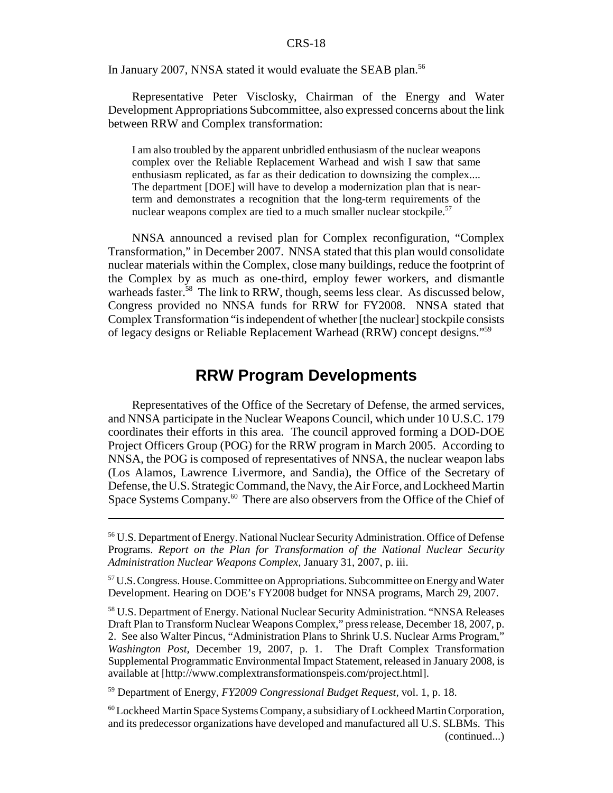In January 2007, NNSA stated it would evaluate the SEAB plan.<sup>56</sup>

Representative Peter Visclosky, Chairman of the Energy and Water Development Appropriations Subcommittee, also expressed concerns about the link between RRW and Complex transformation:

I am also troubled by the apparent unbridled enthusiasm of the nuclear weapons complex over the Reliable Replacement Warhead and wish I saw that same enthusiasm replicated, as far as their dedication to downsizing the complex.... The department [DOE] will have to develop a modernization plan that is nearterm and demonstrates a recognition that the long-term requirements of the nuclear weapons complex are tied to a much smaller nuclear stockpile.<sup>57</sup>

NNSA announced a revised plan for Complex reconfiguration, "Complex Transformation," in December 2007. NNSA stated that this plan would consolidate nuclear materials within the Complex, close many buildings, reduce the footprint of the Complex by as much as one-third, employ fewer workers, and dismantle warheads faster.<sup>58</sup> The link to RRW, though, seems less clear. As discussed below, Congress provided no NNSA funds for RRW for FY2008. NNSA stated that Complex Transformation "is independent of whether [the nuclear] stockpile consists of legacy designs or Reliable Replacement Warhead (RRW) concept designs."59

# **RRW Program Developments**

Representatives of the Office of the Secretary of Defense, the armed services, and NNSA participate in the Nuclear Weapons Council, which under 10 U.S.C. 179 coordinates their efforts in this area. The council approved forming a DOD-DOE Project Officers Group (POG) for the RRW program in March 2005. According to NNSA, the POG is composed of representatives of NNSA, the nuclear weapon labs (Los Alamos, Lawrence Livermore, and Sandia), the Office of the Secretary of Defense, the U.S. Strategic Command, the Navy, the Air Force, and Lockheed Martin Space Systems Company.<sup>60</sup> There are also observers from the Office of the Chief of

59 Department of Energy, *FY2009 Congressional Budget Request,* vol. 1, p. 18.

<sup>56</sup> U.S. Department of Energy. National Nuclear Security Administration. Office of Defense Programs. *Report on the Plan for Transformation of the National Nuclear Security Administration Nuclear Weapons Complex,* January 31, 2007, p. iii.

<sup>&</sup>lt;sup>57</sup> U.S. Congress. House. Committee on Appropriations. Subcommittee on Energy and Water Development. Hearing on DOE's FY2008 budget for NNSA programs, March 29, 2007.

<sup>58</sup> U.S. Department of Energy. National Nuclear Security Administration. "NNSA Releases Draft Plan to Transform Nuclear Weapons Complex," press release, December 18, 2007, p. 2. See also Walter Pincus, "Administration Plans to Shrink U.S. Nuclear Arms Program," *Washington Post,* December 19, 2007, p. 1. The Draft Complex Transformation Supplemental Programmatic Environmental Impact Statement, released in January 2008, is available at [http://www.complextransformationspeis.com/project.html].

 $60$  Lockheed Martin Space Systems Company, a subsidiary of Lockheed Martin Corporation, and its predecessor organizations have developed and manufactured all U.S. SLBMs. This (continued...)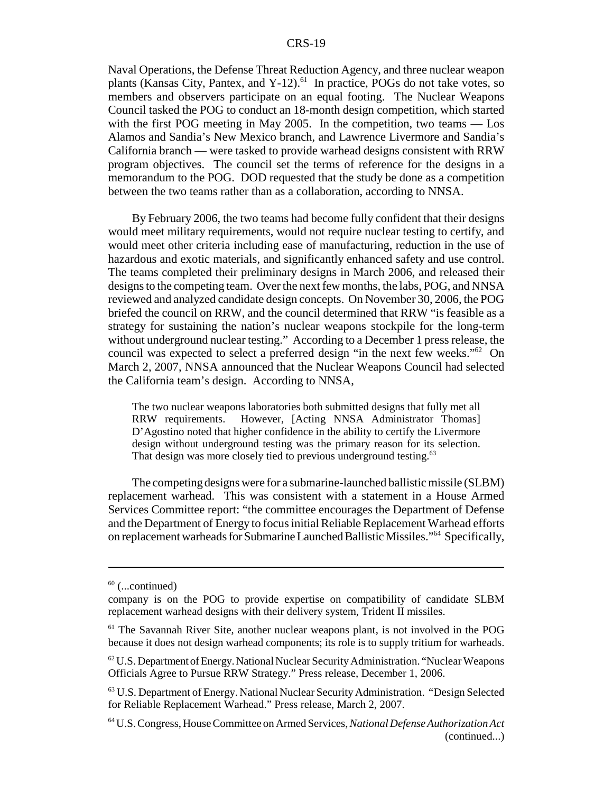Naval Operations, the Defense Threat Reduction Agency, and three nuclear weapon plants (Kansas City, Pantex, and Y-12).<sup>61</sup> In practice, POGs do not take votes, so members and observers participate on an equal footing. The Nuclear Weapons Council tasked the POG to conduct an 18-month design competition, which started with the first POG meeting in May 2005. In the competition, two teams  $-$  Los Alamos and Sandia's New Mexico branch, and Lawrence Livermore and Sandia's California branch — were tasked to provide warhead designs consistent with RRW program objectives. The council set the terms of reference for the designs in a memorandum to the POG. DOD requested that the study be done as a competition between the two teams rather than as a collaboration, according to NNSA.

By February 2006, the two teams had become fully confident that their designs would meet military requirements, would not require nuclear testing to certify, and would meet other criteria including ease of manufacturing, reduction in the use of hazardous and exotic materials, and significantly enhanced safety and use control. The teams completed their preliminary designs in March 2006, and released their designs to the competing team. Over the next few months, the labs, POG, and NNSA reviewed and analyzed candidate design concepts. On November 30, 2006, the POG briefed the council on RRW, and the council determined that RRW "is feasible as a strategy for sustaining the nation's nuclear weapons stockpile for the long-term without underground nuclear testing." According to a December 1 press release, the council was expected to select a preferred design "in the next few weeks."62 On March 2, 2007, NNSA announced that the Nuclear Weapons Council had selected the California team's design. According to NNSA,

The two nuclear weapons laboratories both submitted designs that fully met all RRW requirements. However, [Acting NNSA Administrator Thomas] D'Agostino noted that higher confidence in the ability to certify the Livermore design without underground testing was the primary reason for its selection. That design was more closely tied to previous underground testing.<sup>63</sup>

The competing designs were for a submarine-launched ballistic missile (SLBM) replacement warhead. This was consistent with a statement in a House Armed Services Committee report: "the committee encourages the Department of Defense and the Department of Energy to focus initial Reliable Replacement Warhead efforts on replacement warheads for Submarine Launched Ballistic Missiles."64 Specifically,

 $60$  (...continued)

company is on the POG to provide expertise on compatibility of candidate SLBM replacement warhead designs with their delivery system, Trident II missiles.

<sup>61</sup> The Savannah River Site, another nuclear weapons plant, is not involved in the POG because it does not design warhead components; its role is to supply tritium for warheads.

 $62$  U.S. Department of Energy. National Nuclear Security Administration. "Nuclear Weapons Officials Agree to Pursue RRW Strategy." Press release, December 1, 2006.

<sup>&</sup>lt;sup>63</sup> U.S. Department of Energy. National Nuclear Security Administration. "Design Selected for Reliable Replacement Warhead." Press release, March 2, 2007.

<sup>64</sup> U.S. Congress, House Committee on Armed Services, *National Defense Authorization Act* (continued...)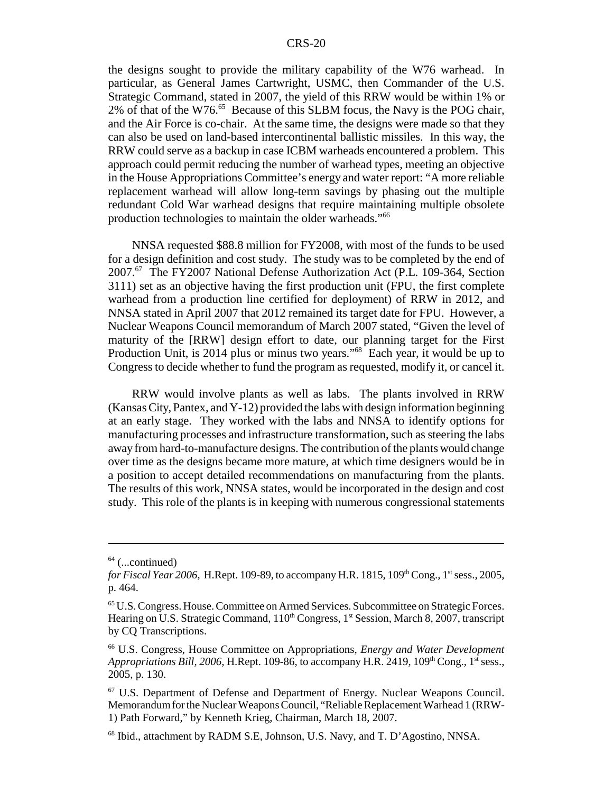the designs sought to provide the military capability of the W76 warhead. In particular, as General James Cartwright, USMC, then Commander of the U.S. Strategic Command, stated in 2007, the yield of this RRW would be within 1% or 2% of that of the W76.<sup>65</sup> Because of this SLBM focus, the Navy is the POG chair, and the Air Force is co-chair. At the same time, the designs were made so that they can also be used on land-based intercontinental ballistic missiles. In this way, the RRW could serve as a backup in case ICBM warheads encountered a problem. This approach could permit reducing the number of warhead types, meeting an objective in the House Appropriations Committee's energy and water report: "A more reliable replacement warhead will allow long-term savings by phasing out the multiple redundant Cold War warhead designs that require maintaining multiple obsolete production technologies to maintain the older warheads."66

NNSA requested \$88.8 million for FY2008, with most of the funds to be used for a design definition and cost study. The study was to be completed by the end of 2007.<sup>67</sup> The FY2007 National Defense Authorization Act (P.L. 109-364, Section 3111) set as an objective having the first production unit (FPU, the first complete warhead from a production line certified for deployment) of RRW in 2012, and NNSA stated in April 2007 that 2012 remained its target date for FPU. However, a Nuclear Weapons Council memorandum of March 2007 stated, "Given the level of maturity of the [RRW] design effort to date, our planning target for the First Production Unit, is 2014 plus or minus two years."<sup>68</sup> Each year, it would be up to Congress to decide whether to fund the program as requested, modify it, or cancel it.

RRW would involve plants as well as labs. The plants involved in RRW (Kansas City, Pantex, and Y-12) provided the labs with design information beginning at an early stage. They worked with the labs and NNSA to identify options for manufacturing processes and infrastructure transformation, such as steering the labs away from hard-to-manufacture designs. The contribution of the plants would change over time as the designs became more mature, at which time designers would be in a position to accept detailed recommendations on manufacturing from the plants. The results of this work, NNSA states, would be incorporated in the design and cost study. This role of the plants is in keeping with numerous congressional statements

 $64$  (...continued)

*for Fiscal Year 2006, H.Rept. 109-89, to accompany H.R. 1815, 109<sup>th</sup> Cong., 1<sup>st</sup> sess., 2005,* p. 464.

<sup>65</sup> U.S. Congress. House. Committee on Armed Services. Subcommittee on Strategic Forces. Hearing on U.S. Strategic Command,  $110<sup>th</sup>$  Congress,  $1<sup>st</sup>$  Session, March 8, 2007, transcript by CQ Transcriptions.

<sup>66</sup> U.S. Congress, House Committee on Appropriations, *Energy and Water Development Appropriations Bill, 2006, H.Rept. 109-86, to accompany H.R. 2419, 109<sup>th</sup> Cong., 1<sup>st</sup> sess.,* 2005, p. 130.

<sup>&</sup>lt;sup>67</sup> U.S. Department of Defense and Department of Energy. Nuclear Weapons Council. Memorandum for the Nuclear Weapons Council, "Reliable Replacement Warhead 1 (RRW-1) Path Forward," by Kenneth Krieg, Chairman, March 18, 2007.

<sup>68</sup> Ibid., attachment by RADM S.E, Johnson, U.S. Navy, and T. D'Agostino, NNSA.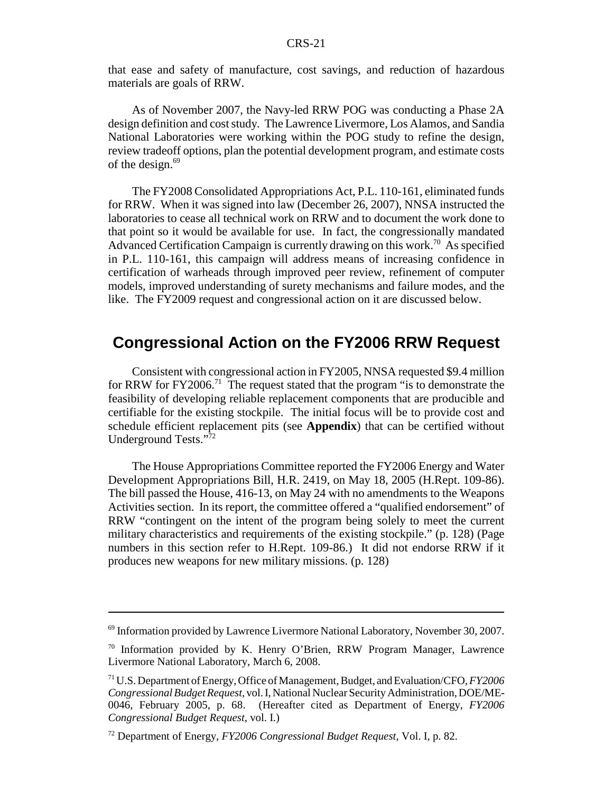that ease and safety of manufacture, cost savings, and reduction of hazardous materials are goals of RRW.

As of November 2007, the Navy-led RRW POG was conducting a Phase 2A design definition and cost study. The Lawrence Livermore, Los Alamos, and Sandia National Laboratories were working within the POG study to refine the design, review tradeoff options, plan the potential development program, and estimate costs of the design. $69$ 

The FY2008 Consolidated Appropriations Act, P.L. 110-161, eliminated funds for RRW. When it was signed into law (December 26, 2007), NNSA instructed the laboratories to cease all technical work on RRW and to document the work done to that point so it would be available for use. In fact, the congressionally mandated Advanced Certification Campaign is currently drawing on this work.<sup>70</sup> As specified in P.L. 110-161, this campaign will address means of increasing confidence in certification of warheads through improved peer review, refinement of computer models, improved understanding of surety mechanisms and failure modes, and the like. The FY2009 request and congressional action on it are discussed below.

# **Congressional Action on the FY2006 RRW Request**

Consistent with congressional action in FY2005, NNSA requested \$9.4 million for RRW for FY2006.<sup>71</sup> The request stated that the program "is to demonstrate the feasibility of developing reliable replacement components that are producible and certifiable for the existing stockpile. The initial focus will be to provide cost and schedule efficient replacement pits (see **Appendix**) that can be certified without Underground Tests."<sup>72</sup>

The House Appropriations Committee reported the FY2006 Energy and Water Development Appropriations Bill, H.R. 2419, on May 18, 2005 (H.Rept. 109-86). The bill passed the House, 416-13, on May 24 with no amendments to the Weapons Activities section. In its report, the committee offered a "qualified endorsement" of RRW "contingent on the intent of the program being solely to meet the current military characteristics and requirements of the existing stockpile." (p. 128) (Page numbers in this section refer to H.Rept. 109-86.) It did not endorse RRW if it produces new weapons for new military missions. (p. 128)

<sup>69</sup> Information provided by Lawrence Livermore National Laboratory, November 30, 2007.

<sup>&</sup>lt;sup>70</sup> Information provided by K. Henry O'Brien, RRW Program Manager, Lawrence Livermore National Laboratory, March 6, 2008.

<sup>71</sup> U.S. Department of Energy, Office of Management, Budget, and Evaluation/CFO, *FY2006 Congressional Budget Request*, vol. I, National Nuclear Security Administration, DOE/ME-0046, February 2005, p. 68. (Hereafter cited as Department of Energy, *FY2006 Congressional Budget Request*, vol. I.)

<sup>72</sup> Department of Energy, *FY2006 Congressional Budget Request*, Vol. I, p. 82.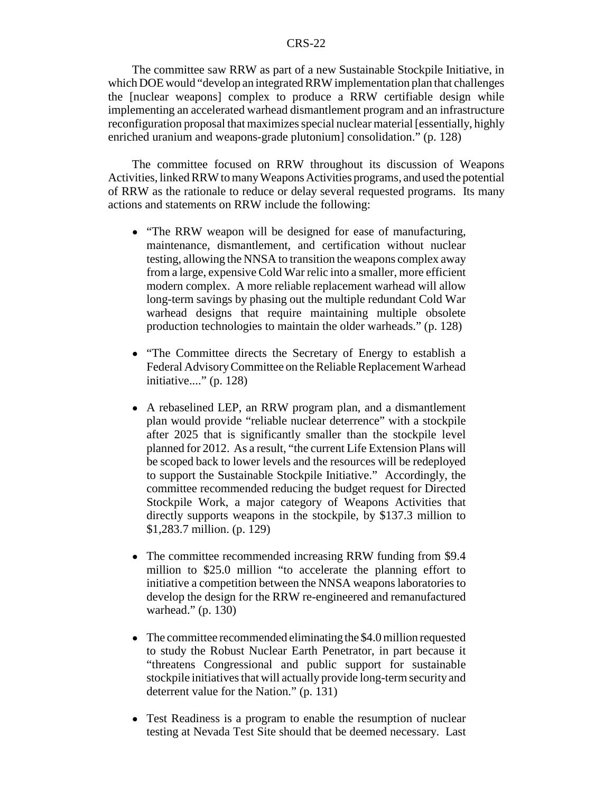The committee saw RRW as part of a new Sustainable Stockpile Initiative, in which DOE would "develop an integrated RRW implementation plan that challenges the [nuclear weapons] complex to produce a RRW certifiable design while implementing an accelerated warhead dismantlement program and an infrastructure reconfiguration proposal that maximizes special nuclear material [essentially, highly enriched uranium and weapons-grade plutonium] consolidation." (p. 128)

The committee focused on RRW throughout its discussion of Weapons Activities, linked RRW to many Weapons Activities programs, and used the potential of RRW as the rationale to reduce or delay several requested programs. Its many actions and statements on RRW include the following:

- "The RRW weapon will be designed for ease of manufacturing, maintenance, dismantlement, and certification without nuclear testing, allowing the NNSA to transition the weapons complex away from a large, expensive Cold War relic into a smaller, more efficient modern complex. A more reliable replacement warhead will allow long-term savings by phasing out the multiple redundant Cold War warhead designs that require maintaining multiple obsolete production technologies to maintain the older warheads." (p. 128)
- "The Committee directs the Secretary of Energy to establish a Federal Advisory Committee on the Reliable Replacement Warhead initiative...." (p. 128)
- ! A rebaselined LEP, an RRW program plan, and a dismantlement plan would provide "reliable nuclear deterrence" with a stockpile after 2025 that is significantly smaller than the stockpile level planned for 2012. As a result, "the current Life Extension Plans will be scoped back to lower levels and the resources will be redeployed to support the Sustainable Stockpile Initiative." Accordingly, the committee recommended reducing the budget request for Directed Stockpile Work, a major category of Weapons Activities that directly supports weapons in the stockpile, by \$137.3 million to \$1,283.7 million. (p. 129)
- The committee recommended increasing RRW funding from \$9.4 million to \$25.0 million "to accelerate the planning effort to initiative a competition between the NNSA weapons laboratories to develop the design for the RRW re-engineered and remanufactured warhead." (p. 130)
- The committee recommended eliminating the \$4.0 million requested to study the Robust Nuclear Earth Penetrator, in part because it "threatens Congressional and public support for sustainable stockpile initiatives that will actually provide long-term security and deterrent value for the Nation." (p. 131)
- Test Readiness is a program to enable the resumption of nuclear testing at Nevada Test Site should that be deemed necessary. Last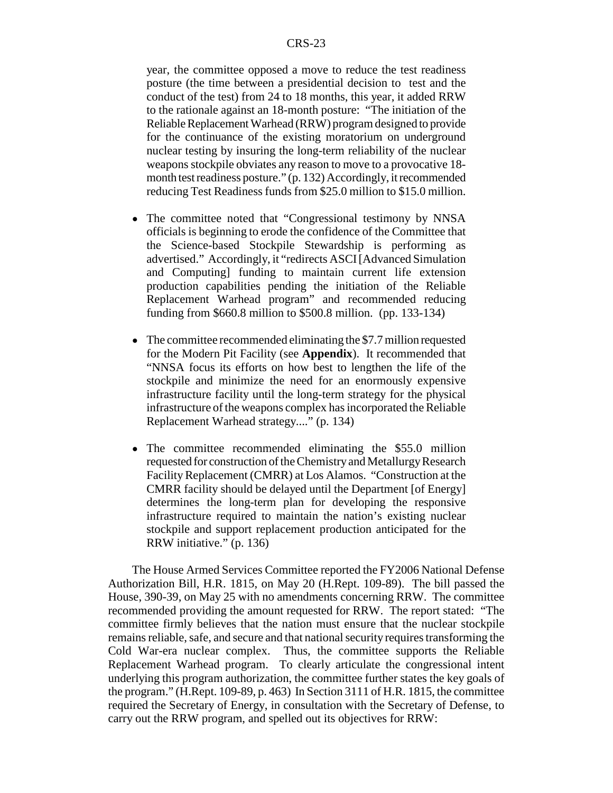year, the committee opposed a move to reduce the test readiness posture (the time between a presidential decision to test and the conduct of the test) from 24 to 18 months, this year, it added RRW to the rationale against an 18-month posture: "The initiation of the Reliable Replacement Warhead (RRW) program designed to provide for the continuance of the existing moratorium on underground nuclear testing by insuring the long-term reliability of the nuclear weapons stockpile obviates any reason to move to a provocative 18 month test readiness posture." (p. 132) Accordingly, it recommended reducing Test Readiness funds from \$25.0 million to \$15.0 million.

- The committee noted that "Congressional testimony by NNSA officials is beginning to erode the confidence of the Committee that the Science-based Stockpile Stewardship is performing as advertised." Accordingly, it "redirects ASCI [Advanced Simulation and Computing] funding to maintain current life extension production capabilities pending the initiation of the Reliable Replacement Warhead program" and recommended reducing funding from \$660.8 million to \$500.8 million. (pp. 133-134)
- The committee recommended eliminating the \$7.7 million requested for the Modern Pit Facility (see **Appendix**). It recommended that "NNSA focus its efforts on how best to lengthen the life of the stockpile and minimize the need for an enormously expensive infrastructure facility until the long-term strategy for the physical infrastructure of the weapons complex has incorporated the Reliable Replacement Warhead strategy...." (p. 134)
- The committee recommended eliminating the \$55.0 million requested for construction of the Chemistry and Metallurgy Research Facility Replacement (CMRR) at Los Alamos. "Construction at the CMRR facility should be delayed until the Department [of Energy] determines the long-term plan for developing the responsive infrastructure required to maintain the nation's existing nuclear stockpile and support replacement production anticipated for the RRW initiative." (p. 136)

The House Armed Services Committee reported the FY2006 National Defense Authorization Bill, H.R. 1815, on May 20 (H.Rept. 109-89). The bill passed the House, 390-39, on May 25 with no amendments concerning RRW. The committee recommended providing the amount requested for RRW. The report stated: "The committee firmly believes that the nation must ensure that the nuclear stockpile remains reliable, safe, and secure and that national security requires transforming the Cold War-era nuclear complex. Thus, the committee supports the Reliable Replacement Warhead program. To clearly articulate the congressional intent underlying this program authorization, the committee further states the key goals of the program." (H.Rept. 109-89, p. 463) In Section 3111 of H.R. 1815, the committee required the Secretary of Energy, in consultation with the Secretary of Defense, to carry out the RRW program, and spelled out its objectives for RRW: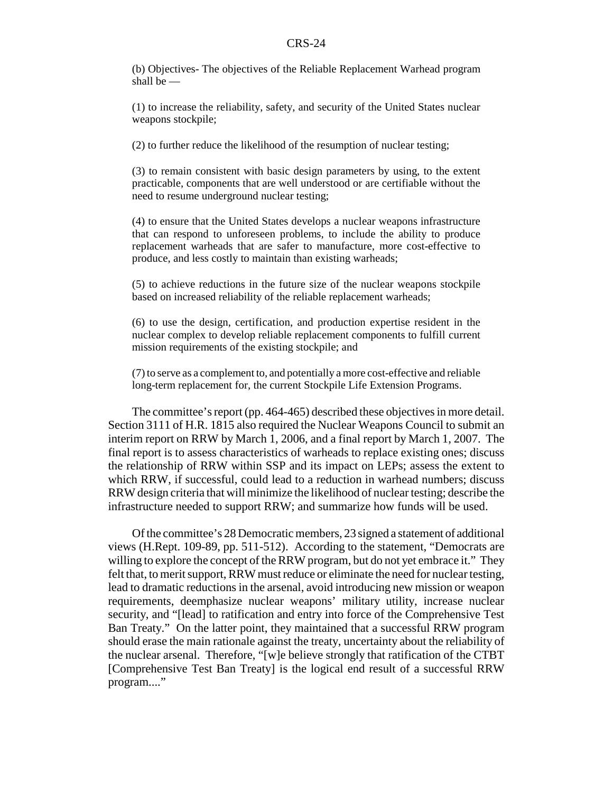(b) Objectives- The objectives of the Reliable Replacement Warhead program shall be —

(1) to increase the reliability, safety, and security of the United States nuclear weapons stockpile;

(2) to further reduce the likelihood of the resumption of nuclear testing;

(3) to remain consistent with basic design parameters by using, to the extent practicable, components that are well understood or are certifiable without the need to resume underground nuclear testing;

(4) to ensure that the United States develops a nuclear weapons infrastructure that can respond to unforeseen problems, to include the ability to produce replacement warheads that are safer to manufacture, more cost-effective to produce, and less costly to maintain than existing warheads;

(5) to achieve reductions in the future size of the nuclear weapons stockpile based on increased reliability of the reliable replacement warheads;

(6) to use the design, certification, and production expertise resident in the nuclear complex to develop reliable replacement components to fulfill current mission requirements of the existing stockpile; and

(7) to serve as a complement to, and potentially a more cost-effective and reliable long-term replacement for, the current Stockpile Life Extension Programs.

The committee's report (pp. 464-465) described these objectives in more detail. Section 3111 of H.R. 1815 also required the Nuclear Weapons Council to submit an interim report on RRW by March 1, 2006, and a final report by March 1, 2007. The final report is to assess characteristics of warheads to replace existing ones; discuss the relationship of RRW within SSP and its impact on LEPs; assess the extent to which RRW, if successful, could lead to a reduction in warhead numbers; discuss RRW design criteria that will minimize the likelihood of nuclear testing; describe the infrastructure needed to support RRW; and summarize how funds will be used.

Of the committee's 28 Democratic members, 23 signed a statement of additional views (H.Rept. 109-89, pp. 511-512). According to the statement, "Democrats are willing to explore the concept of the RRW program, but do not yet embrace it." They felt that, to merit support, RRW must reduce or eliminate the need for nuclear testing, lead to dramatic reductions in the arsenal, avoid introducing new mission or weapon requirements, deemphasize nuclear weapons' military utility, increase nuclear security, and "[lead] to ratification and entry into force of the Comprehensive Test Ban Treaty." On the latter point, they maintained that a successful RRW program should erase the main rationale against the treaty, uncertainty about the reliability of the nuclear arsenal. Therefore, "[w]e believe strongly that ratification of the CTBT [Comprehensive Test Ban Treaty] is the logical end result of a successful RRW program...."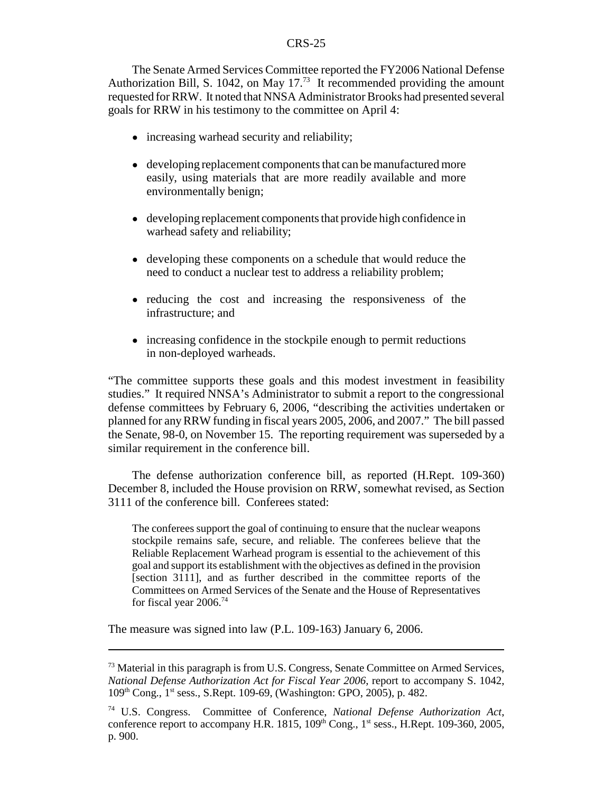The Senate Armed Services Committee reported the FY2006 National Defense Authorization Bill, S. 1042, on May 17.<sup>73</sup> It recommended providing the amount requested for RRW. It noted that NNSA Administrator Brooks had presented several goals for RRW in his testimony to the committee on April 4:

- increasing warhead security and reliability;
- developing replacement components that can be manufactured more easily, using materials that are more readily available and more environmentally benign;
- developing replacement components that provide high confidence in warhead safety and reliability;
- developing these components on a schedule that would reduce the need to conduct a nuclear test to address a reliability problem;
- ! reducing the cost and increasing the responsiveness of the infrastructure; and
- increasing confidence in the stockpile enough to permit reductions in non-deployed warheads.

"The committee supports these goals and this modest investment in feasibility studies." It required NNSA's Administrator to submit a report to the congressional defense committees by February 6, 2006, "describing the activities undertaken or planned for any RRW funding in fiscal years 2005, 2006, and 2007." The bill passed the Senate, 98-0, on November 15. The reporting requirement was superseded by a similar requirement in the conference bill.

The defense authorization conference bill, as reported (H.Rept. 109-360) December 8, included the House provision on RRW, somewhat revised, as Section 3111 of the conference bill. Conferees stated:

The conferees support the goal of continuing to ensure that the nuclear weapons stockpile remains safe, secure, and reliable. The conferees believe that the Reliable Replacement Warhead program is essential to the achievement of this goal and support its establishment with the objectives as defined in the provision [section 3111], and as further described in the committee reports of the Committees on Armed Services of the Senate and the House of Representatives for fiscal year 2006.74

The measure was signed into law (P.L. 109-163) January 6, 2006.

 $<sup>73</sup>$  Material in this paragraph is from U.S. Congress, Senate Committee on Armed Services,</sup> *National Defense Authorization Act for Fiscal Year 2006*, report to accompany S. 1042, 109th Cong., 1st sess., S.Rept. 109-69, (Washington: GPO, 2005), p. 482.

<sup>74</sup> U.S. Congress. Committee of Conference, *National Defense Authorization Act*, conference report to accompany H.R. 1815,  $109<sup>th</sup>$  Cong.,  $1<sup>st</sup>$  sess., H.Rept. 109-360, 2005, p. 900.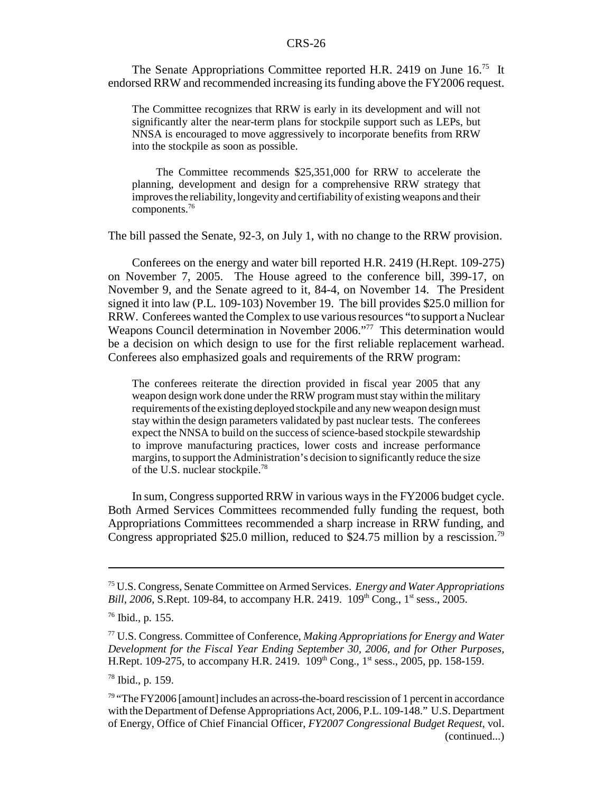The Senate Appropriations Committee reported H.R. 2419 on June 16.75 It endorsed RRW and recommended increasing its funding above the FY2006 request.

The Committee recognizes that RRW is early in its development and will not significantly alter the near-term plans for stockpile support such as LEPs, but NNSA is encouraged to move aggressively to incorporate benefits from RRW into the stockpile as soon as possible.

The Committee recommends \$25,351,000 for RRW to accelerate the planning, development and design for a comprehensive RRW strategy that improves the reliability, longevity and certifiability of existing weapons and their components.76

The bill passed the Senate, 92-3, on July 1, with no change to the RRW provision.

Conferees on the energy and water bill reported H.R. 2419 (H.Rept. 109-275) on November 7, 2005. The House agreed to the conference bill, 399-17, on November 9, and the Senate agreed to it, 84-4, on November 14. The President signed it into law (P.L. 109-103) November 19. The bill provides \$25.0 million for RRW. Conferees wanted the Complex to use various resources "to support a Nuclear Weapons Council determination in November 2006."<sup>77</sup> This determination would be a decision on which design to use for the first reliable replacement warhead. Conferees also emphasized goals and requirements of the RRW program:

The conferees reiterate the direction provided in fiscal year 2005 that any weapon design work done under the RRW program must stay within the military requirements of the existing deployed stockpile and any new weapon design must stay within the design parameters validated by past nuclear tests. The conferees expect the NNSA to build on the success of science-based stockpile stewardship to improve manufacturing practices, lower costs and increase performance margins, to support the Administration's decision to significantly reduce the size of the U.S. nuclear stockpile.78

In sum, Congress supported RRW in various ways in the FY2006 budget cycle. Both Armed Services Committees recommended fully funding the request, both Appropriations Committees recommended a sharp increase in RRW funding, and Congress appropriated \$25.0 million, reduced to \$24.75 million by a rescission.<sup>79</sup>

<sup>75</sup> U.S. Congress, Senate Committee on Armed Services. *Energy and Water Appropriations Bill, 2006*, S.Rept. 109-84, to accompany H.R. 2419. 109<sup>th</sup> Cong., 1<sup>st</sup> sess., 2005.

<sup>76</sup> Ibid., p. 155.

<sup>77</sup> U.S. Congress. Committee of Conference, *Making Appropriations for Energy and Water Development for the Fiscal Year Ending September 30, 2006, and for Other Purposes*, H.Rept. 109-275, to accompany H.R. 2419.  $109<sup>th</sup>$  Cong.,  $1<sup>st</sup>$  sess., 2005, pp. 158-159.

<sup>78</sup> Ibid., p. 159.

<sup>&</sup>lt;sup>79</sup> "The FY2006 [amount] includes an across-the-board rescission of 1 percent in accordance with the Department of Defense Appropriations Act, 2006, P.L. 109-148." U.S. Department of Energy, Office of Chief Financial Officer, *FY2007 Congressional Budget Request*, vol. (continued...)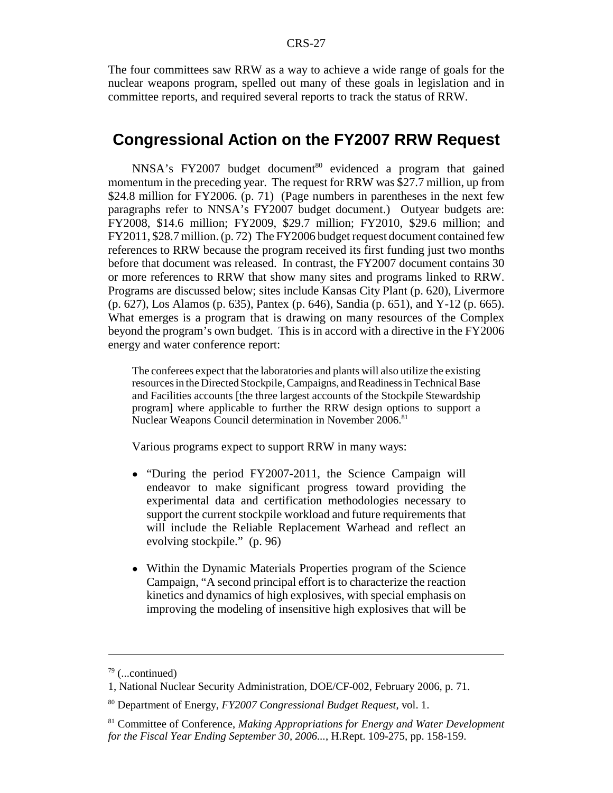The four committees saw RRW as a way to achieve a wide range of goals for the nuclear weapons program, spelled out many of these goals in legislation and in committee reports, and required several reports to track the status of RRW.

# **Congressional Action on the FY2007 RRW Request**

 $NNSA's FY2007 budget document<sup>80</sup> evidenced a program that gained$ momentum in the preceding year. The request for RRW was \$27.7 million, up from \$24.8 million for FY2006. (p. 71) (Page numbers in parentheses in the next few paragraphs refer to NNSA's FY2007 budget document.) Outyear budgets are: FY2008, \$14.6 million; FY2009, \$29.7 million; FY2010, \$29.6 million; and FY2011, \$28.7 million. (p. 72) The FY2006 budget request document contained few references to RRW because the program received its first funding just two months before that document was released. In contrast, the FY2007 document contains 30 or more references to RRW that show many sites and programs linked to RRW. Programs are discussed below; sites include Kansas City Plant (p. 620), Livermore (p. 627), Los Alamos (p. 635), Pantex (p. 646), Sandia (p. 651), and Y-12 (p. 665). What emerges is a program that is drawing on many resources of the Complex beyond the program's own budget. This is in accord with a directive in the FY2006 energy and water conference report:

The conferees expect that the laboratories and plants will also utilize the existing resources in the Directed Stockpile, Campaigns, and Readiness in Technical Base and Facilities accounts [the three largest accounts of the Stockpile Stewardship program] where applicable to further the RRW design options to support a Nuclear Weapons Council determination in November 2006.<sup>81</sup>

Various programs expect to support RRW in many ways:

- "During the period FY2007-2011, the Science Campaign will endeavor to make significant progress toward providing the experimental data and certification methodologies necessary to support the current stockpile workload and future requirements that will include the Reliable Replacement Warhead and reflect an evolving stockpile." (p. 96)
- Within the Dynamic Materials Properties program of the Science Campaign, "A second principal effort is to characterize the reaction kinetics and dynamics of high explosives, with special emphasis on improving the modeling of insensitive high explosives that will be

 $79$  (...continued)

<sup>1,</sup> National Nuclear Security Administration, DOE/CF-002, February 2006, p. 71.

<sup>80</sup> Department of Energy, *FY2007 Congressional Budget Request*, vol. 1.

<sup>81</sup> Committee of Conference, *Making Appropriations for Energy and Water Development for the Fiscal Year Ending September 30, 2006...*, H.Rept. 109-275, pp. 158-159.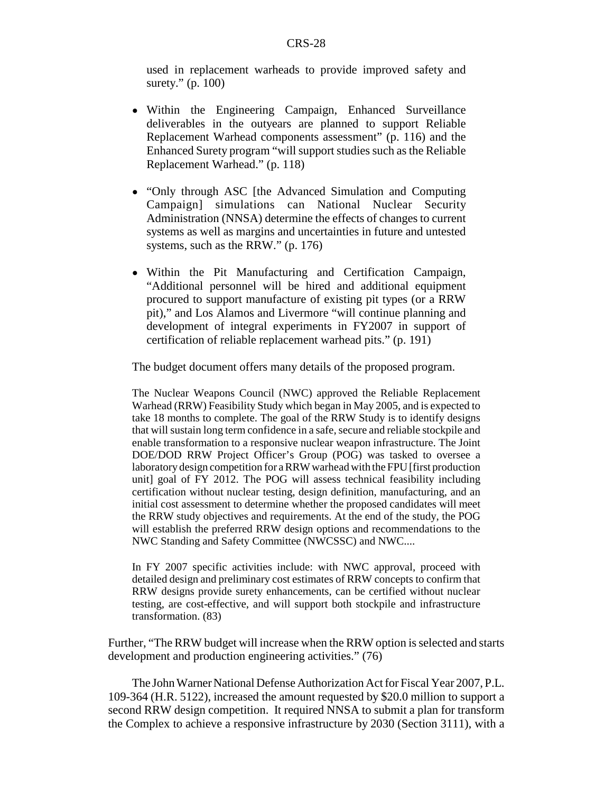used in replacement warheads to provide improved safety and surety." (p. 100)

- ! Within the Engineering Campaign, Enhanced Surveillance deliverables in the outyears are planned to support Reliable Replacement Warhead components assessment" (p. 116) and the Enhanced Surety program "will support studies such as the Reliable Replacement Warhead." (p. 118)
- "Only through ASC [the Advanced Simulation and Computing Campaign] simulations can National Nuclear Security Administration (NNSA) determine the effects of changes to current systems as well as margins and uncertainties in future and untested systems, such as the RRW." (p. 176)
- ! Within the Pit Manufacturing and Certification Campaign, "Additional personnel will be hired and additional equipment procured to support manufacture of existing pit types (or a RRW pit)," and Los Alamos and Livermore "will continue planning and development of integral experiments in FY2007 in support of certification of reliable replacement warhead pits." (p. 191)

The budget document offers many details of the proposed program.

The Nuclear Weapons Council (NWC) approved the Reliable Replacement Warhead (RRW) Feasibility Study which began in May 2005, and is expected to take 18 months to complete. The goal of the RRW Study is to identify designs that will sustain long term confidence in a safe, secure and reliable stockpile and enable transformation to a responsive nuclear weapon infrastructure. The Joint DOE/DOD RRW Project Officer's Group (POG) was tasked to oversee a laboratory design competition for a RRW warhead with the FPU [first production unit] goal of FY 2012. The POG will assess technical feasibility including certification without nuclear testing, design definition, manufacturing, and an initial cost assessment to determine whether the proposed candidates will meet the RRW study objectives and requirements. At the end of the study, the POG will establish the preferred RRW design options and recommendations to the NWC Standing and Safety Committee (NWCSSC) and NWC....

In FY 2007 specific activities include: with NWC approval, proceed with detailed design and preliminary cost estimates of RRW concepts to confirm that RRW designs provide surety enhancements, can be certified without nuclear testing, are cost-effective, and will support both stockpile and infrastructure transformation. (83)

Further, "The RRW budget will increase when the RRW option is selected and starts development and production engineering activities." (76)

The John Warner National Defense Authorization Act for Fiscal Year 2007, P.L. 109-364 (H.R. 5122), increased the amount requested by \$20.0 million to support a second RRW design competition. It required NNSA to submit a plan for transform the Complex to achieve a responsive infrastructure by 2030 (Section 3111), with a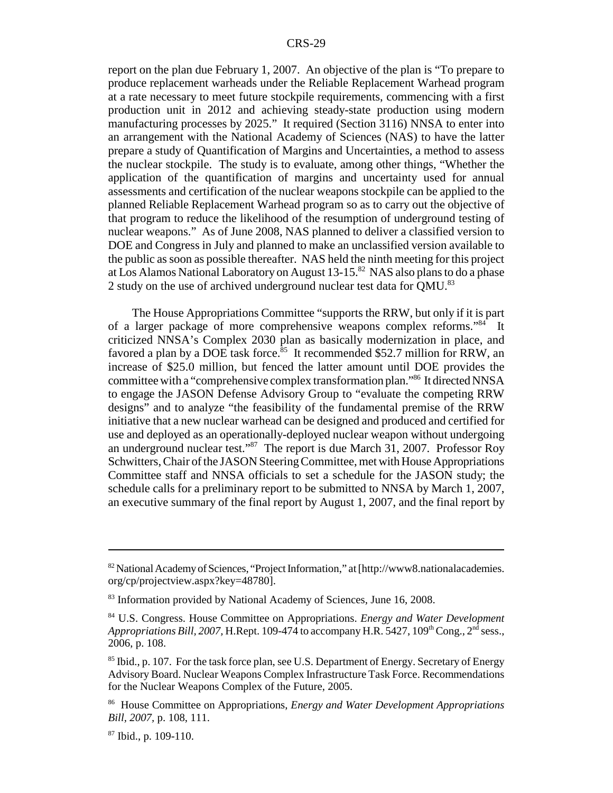report on the plan due February 1, 2007. An objective of the plan is "To prepare to produce replacement warheads under the Reliable Replacement Warhead program at a rate necessary to meet future stockpile requirements, commencing with a first production unit in 2012 and achieving steady-state production using modern manufacturing processes by 2025." It required (Section 3116) NNSA to enter into an arrangement with the National Academy of Sciences (NAS) to have the latter prepare a study of Quantification of Margins and Uncertainties, a method to assess the nuclear stockpile. The study is to evaluate, among other things, "Whether the application of the quantification of margins and uncertainty used for annual assessments and certification of the nuclear weapons stockpile can be applied to the planned Reliable Replacement Warhead program so as to carry out the objective of that program to reduce the likelihood of the resumption of underground testing of nuclear weapons." As of June 2008, NAS planned to deliver a classified version to DOE and Congress in July and planned to make an unclassified version available to the public as soon as possible thereafter. NAS held the ninth meeting for this project at Los Alamos National Laboratory on August 13-15.82 NAS also plans to do a phase 2 study on the use of archived underground nuclear test data for QMU.<sup>83</sup>

The House Appropriations Committee "supports the RRW, but only if it is part of a larger package of more comprehensive weapons complex reforms."84 It criticized NNSA's Complex 2030 plan as basically modernization in place, and favored a plan by a DOE task force.<sup>85</sup> It recommended \$52.7 million for RRW, an increase of \$25.0 million, but fenced the latter amount until DOE provides the committee with a "comprehensive complex transformation plan."86 It directed NNSA to engage the JASON Defense Advisory Group to "evaluate the competing RRW designs" and to analyze "the feasibility of the fundamental premise of the RRW initiative that a new nuclear warhead can be designed and produced and certified for use and deployed as an operationally-deployed nuclear weapon without undergoing an underground nuclear test."87 The report is due March 31, 2007. Professor Roy Schwitters, Chair of the JASON Steering Committee, met with House Appropriations Committee staff and NNSA officials to set a schedule for the JASON study; the schedule calls for a preliminary report to be submitted to NNSA by March 1, 2007, an executive summary of the final report by August 1, 2007, and the final report by

<sup>82</sup> National Academy of Sciences, "Project Information," at [http://www8.nationalacademies. org/cp/projectview.aspx?key=48780].

<sup>&</sup>lt;sup>83</sup> Information provided by National Academy of Sciences, June 16, 2008.

<sup>84</sup> U.S. Congress. House Committee on Appropriations. *Energy and Water Development Appropriations Bill, 2007, H.Rept. 109-474 to accompany H.R. 5427, 109*<sup>th</sup> Cong.,  $2<sup>nd</sup>$  sess., 2006, p. 108.

<sup>&</sup>lt;sup>85</sup> Ibid., p. 107. For the task force plan, see U.S. Department of Energy. Secretary of Energy Advisory Board. Nuclear Weapons Complex Infrastructure Task Force. Recommendations for the Nuclear Weapons Complex of the Future, 2005.

<sup>86</sup> House Committee on Appropriations, *Energy and Water Development Appropriations Bill, 2007,* p. 108, 111.

<sup>87</sup> Ibid., p. 109-110.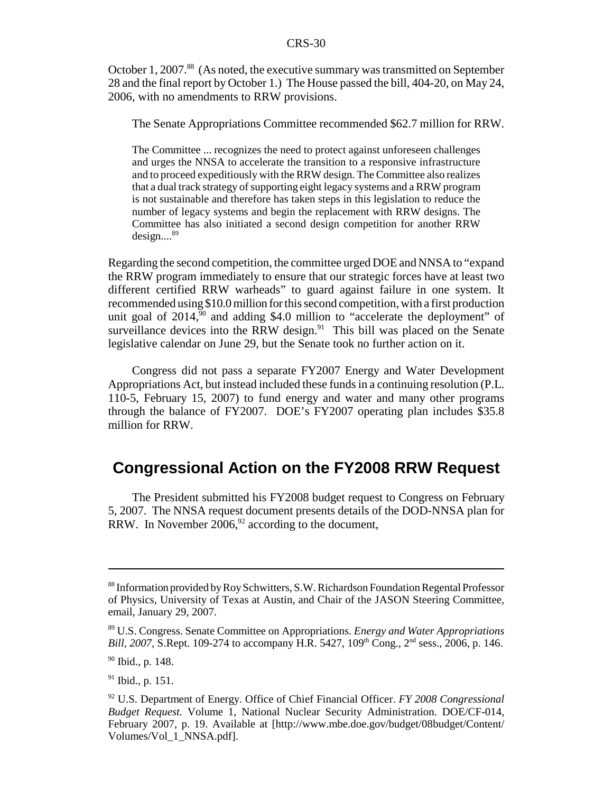October 1, 2007.<sup>88</sup> (As noted, the executive summary was transmitted on September 28 and the final report by October 1.) The House passed the bill, 404-20, on May 24, 2006, with no amendments to RRW provisions.

The Senate Appropriations Committee recommended \$62.7 million for RRW.

The Committee ... recognizes the need to protect against unforeseen challenges and urges the NNSA to accelerate the transition to a responsive infrastructure and to proceed expeditiously with the RRW design. The Committee also realizes that a dual track strategy of supporting eight legacy systems and a RRW program is not sustainable and therefore has taken steps in this legislation to reduce the number of legacy systems and begin the replacement with RRW designs. The Committee has also initiated a second design competition for another RRW  $design....<sup>89</sup>$ 

Regarding the second competition, the committee urged DOE and NNSA to "expand the RRW program immediately to ensure that our strategic forces have at least two different certified RRW warheads" to guard against failure in one system. It recommended using \$10.0 million for this second competition, with a first production unit goal of  $2014$ ,  $\frac{90}{90}$  and adding \$4.0 million to "accelerate the deployment" of surveillance devices into the RRW design. $91$  This bill was placed on the Senate legislative calendar on June 29, but the Senate took no further action on it.

Congress did not pass a separate FY2007 Energy and Water Development Appropriations Act, but instead included these funds in a continuing resolution (P.L. 110-5, February 15, 2007) to fund energy and water and many other programs through the balance of FY2007. DOE's FY2007 operating plan includes \$35.8 million for RRW.

# **Congressional Action on the FY2008 RRW Request**

The President submitted his FY2008 budget request to Congress on February 5, 2007. The NNSA request document presents details of the DOD-NNSA plan for RRW. In November  $2006$ ,  $92$  according to the document,

<sup>&</sup>lt;sup>88</sup> Information provided by Roy Schwitters, S.W. Richardson Foundation Regental Professor of Physics, University of Texas at Austin, and Chair of the JASON Steering Committee, email, January 29, 2007.

<sup>89</sup> U.S. Congress. Senate Committee on Appropriations. *Energy and Water Appropriations Bill, 2007, S.Rept. 109-274 to accompany H.R. 5427, 109<sup>th</sup> Cong., 2<sup>nd</sup> sess., 2006, p. 146.* 

<sup>90</sup> Ibid., p. 148.

 $91$  Ibid., p. 151.

<sup>92</sup> U.S. Department of Energy. Office of Chief Financial Officer. *FY 2008 Congressional Budget Request.* Volume 1, National Nuclear Security Administration. DOE/CF-014, February 2007, p. 19. Available at [http://www.mbe.doe.gov/budget/08budget/Content/ Volumes/Vol\_1\_NNSA.pdf].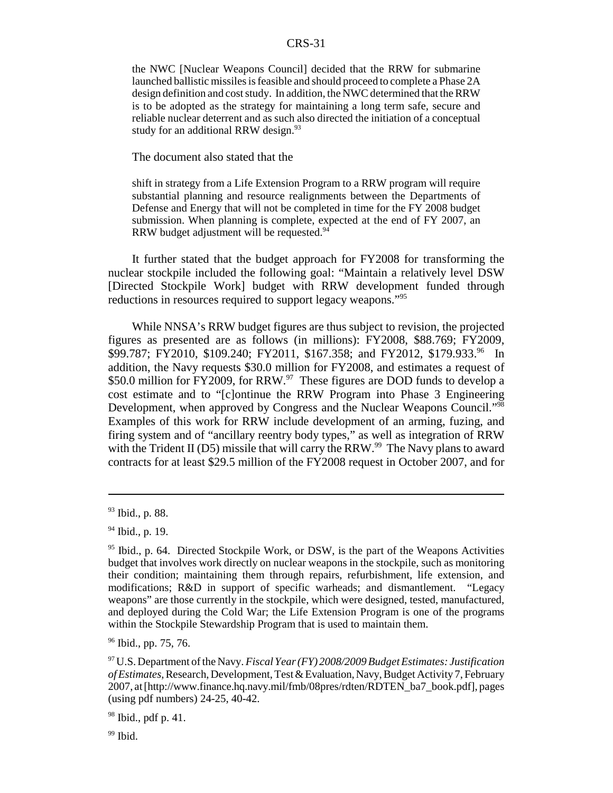the NWC [Nuclear Weapons Council] decided that the RRW for submarine launched ballistic missiles is feasible and should proceed to complete a Phase 2A design definition and cost study. In addition, the NWC determined that the RRW is to be adopted as the strategy for maintaining a long term safe, secure and reliable nuclear deterrent and as such also directed the initiation of a conceptual study for an additional RRW design.<sup>93</sup>

The document also stated that the

shift in strategy from a Life Extension Program to a RRW program will require substantial planning and resource realignments between the Departments of Defense and Energy that will not be completed in time for the FY 2008 budget submission. When planning is complete, expected at the end of FY 2007, an RRW budget adjustment will be requested.<sup>94</sup>

It further stated that the budget approach for FY2008 for transforming the nuclear stockpile included the following goal: "Maintain a relatively level DSW [Directed Stockpile Work] budget with RRW development funded through reductions in resources required to support legacy weapons."95

While NNSA's RRW budget figures are thus subject to revision, the projected figures as presented are as follows (in millions): FY2008, \$88.769; FY2009, \$99.787; FY2010, \$109.240; FY2011, \$167.358; and FY2012, \$179.933.<sup>96</sup> In addition, the Navy requests \$30.0 million for FY2008, and estimates a request of \$50.0 million for FY2009, for RRW.<sup>97</sup> These figures are DOD funds to develop a cost estimate and to "[c]ontinue the RRW Program into Phase 3 Engineering Development, when approved by Congress and the Nuclear Weapons Council."98 Examples of this work for RRW include development of an arming, fuzing, and firing system and of "ancillary reentry body types," as well as integration of RRW with the Trident II (D5) missile that will carry the RRW.<sup>99</sup> The Navy plans to award contracts for at least \$29.5 million of the FY2008 request in October 2007, and for

96 Ibid., pp. 75, 76.

<sup>93</sup> Ibid., p. 88.

<sup>&</sup>lt;sup>94</sup> Ibid., p. 19.

 $95$  Ibid., p. 64. Directed Stockpile Work, or DSW, is the part of the Weapons Activities budget that involves work directly on nuclear weapons in the stockpile, such as monitoring their condition; maintaining them through repairs, refurbishment, life extension, and modifications; R&D in support of specific warheads; and dismantlement. "Legacy weapons" are those currently in the stockpile, which were designed, tested, manufactured, and deployed during the Cold War; the Life Extension Program is one of the programs within the Stockpile Stewardship Program that is used to maintain them.

<sup>97</sup> U.S. Department of the Navy. *Fiscal Year (FY) 2008/2009 Budget Estimates: Justification of Estimates,* Research, Development, Test & Evaluation, Navy, Budget Activity 7, February 2007, at [http://www.finance.hq.navy.mil/fmb/08pres/rdten/RDTEN\_ba7\_book.pdf], pages (using pdf numbers) 24-25, 40-42.

 $98$  Ibid., pdf p. 41.

 $99$  Ibid.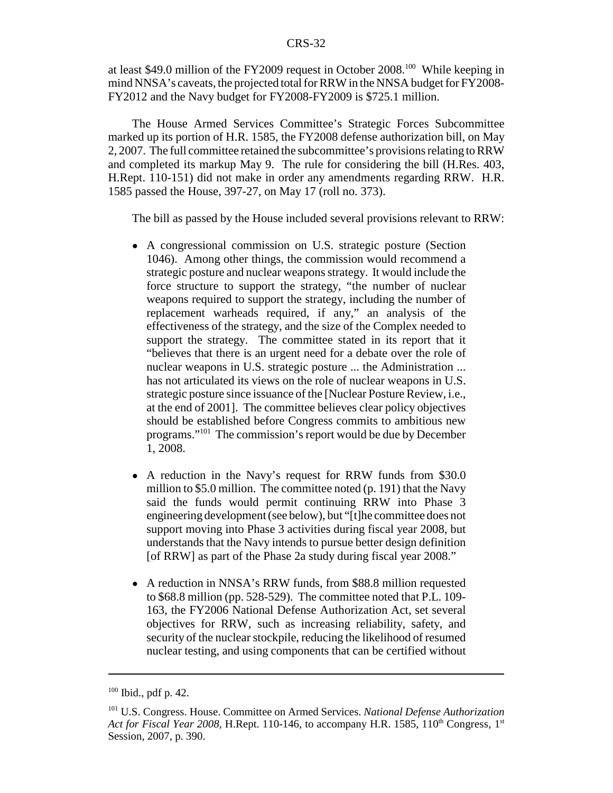at least \$49.0 million of the FY2009 request in October 2008.100 While keeping in mind NNSA's caveats, the projected total for RRW in the NNSA budget for FY2008- FY2012 and the Navy budget for FY2008-FY2009 is \$725.1 million.

The House Armed Services Committee's Strategic Forces Subcommittee marked up its portion of H.R. 1585, the FY2008 defense authorization bill, on May 2, 2007. The full committee retained the subcommittee's provisions relating to RRW and completed its markup May 9. The rule for considering the bill (H.Res. 403, H.Rept. 110-151) did not make in order any amendments regarding RRW. H.R. 1585 passed the House, 397-27, on May 17 (roll no. 373).

The bill as passed by the House included several provisions relevant to RRW:

- A congressional commission on U.S. strategic posture (Section 1046). Among other things, the commission would recommend a strategic posture and nuclear weapons strategy. It would include the force structure to support the strategy, "the number of nuclear weapons required to support the strategy, including the number of replacement warheads required, if any," an analysis of the effectiveness of the strategy, and the size of the Complex needed to support the strategy. The committee stated in its report that it "believes that there is an urgent need for a debate over the role of nuclear weapons in U.S. strategic posture ... the Administration ... has not articulated its views on the role of nuclear weapons in U.S. strategic posture since issuance of the [Nuclear Posture Review, i.e., at the end of 2001]. The committee believes clear policy objectives should be established before Congress commits to ambitious new programs."101 The commission's report would be due by December 1, 2008.
- A reduction in the Navy's request for RRW funds from \$30.0 million to \$5.0 million. The committee noted (p. 191) that the Navy said the funds would permit continuing RRW into Phase 3 engineering development (see below), but "[t]he committee does not support moving into Phase 3 activities during fiscal year 2008, but understands that the Navy intends to pursue better design definition [of RRW] as part of the Phase 2a study during fiscal year 2008."
- A reduction in NNSA's RRW funds, from \$88.8 million requested to \$68.8 million (pp. 528-529). The committee noted that P.L. 109- 163, the FY2006 National Defense Authorization Act, set several objectives for RRW, such as increasing reliability, safety, and security of the nuclear stockpile, reducing the likelihood of resumed nuclear testing, and using components that can be certified without

<sup>100</sup> Ibid., pdf p. 42.

<sup>101</sup> U.S. Congress. House. Committee on Armed Services. *National Defense Authorization Act for Fiscal Year 2008,* H.Rept. 110-146, to accompany H.R. 1585, 110<sup>th</sup> Congress, 1<sup>st</sup> Session, 2007, p. 390.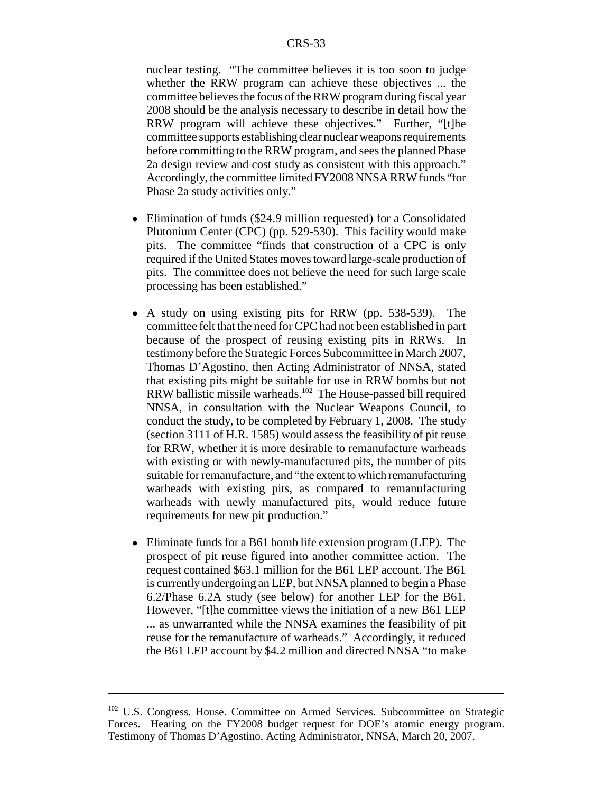nuclear testing. "The committee believes it is too soon to judge whether the RRW program can achieve these objectives ... the committee believes the focus of the RRW program during fiscal year 2008 should be the analysis necessary to describe in detail how the RRW program will achieve these objectives." Further, "[t]he committee supports establishing clear nuclear weapons requirements before committing to the RRW program, and sees the planned Phase 2a design review and cost study as consistent with this approach." Accordingly, the committee limited FY2008 NNSA RRW funds "for Phase 2a study activities only."

- Elimination of funds (\$24.9 million requested) for a Consolidated Plutonium Center (CPC) (pp. 529-530). This facility would make pits. The committee "finds that construction of a CPC is only required if the United States moves toward large-scale production of pits. The committee does not believe the need for such large scale processing has been established."
- A study on using existing pits for RRW (pp. 538-539). The committee felt that the need for CPC had not been established in part because of the prospect of reusing existing pits in RRWs. In testimony before the Strategic Forces Subcommittee in March 2007, Thomas D'Agostino, then Acting Administrator of NNSA, stated that existing pits might be suitable for use in RRW bombs but not RRW ballistic missile warheads.102 The House-passed bill required NNSA, in consultation with the Nuclear Weapons Council, to conduct the study, to be completed by February 1, 2008. The study (section 3111 of H.R. 1585) would assess the feasibility of pit reuse for RRW, whether it is more desirable to remanufacture warheads with existing or with newly-manufactured pits, the number of pits suitable for remanufacture, and "the extent to which remanufacturing warheads with existing pits, as compared to remanufacturing warheads with newly manufactured pits, would reduce future requirements for new pit production."
- Eliminate funds for a B61 bomb life extension program (LEP). The prospect of pit reuse figured into another committee action. The request contained \$63.1 million for the B61 LEP account. The B61 is currently undergoing an LEP, but NNSA planned to begin a Phase 6.2/Phase 6.2A study (see below) for another LEP for the B61. However, "[t]he committee views the initiation of a new B61 LEP ... as unwarranted while the NNSA examines the feasibility of pit reuse for the remanufacture of warheads." Accordingly, it reduced the B61 LEP account by \$4.2 million and directed NNSA "to make

<sup>&</sup>lt;sup>102</sup> U.S. Congress. House. Committee on Armed Services. Subcommittee on Strategic Forces. Hearing on the FY2008 budget request for DOE's atomic energy program. Testimony of Thomas D'Agostino, Acting Administrator, NNSA, March 20, 2007.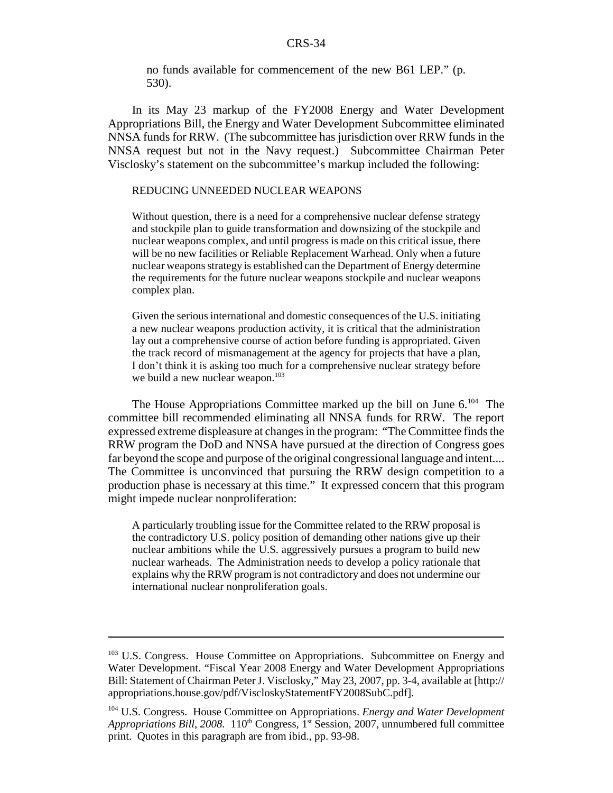no funds available for commencement of the new B61 LEP." (p. 530).

In its May 23 markup of the FY2008 Energy and Water Development Appropriations Bill, the Energy and Water Development Subcommittee eliminated NNSA funds for RRW. (The subcommittee has jurisdiction over RRW funds in the NNSA request but not in the Navy request.) Subcommittee Chairman Peter Visclosky's statement on the subcommittee's markup included the following:

#### REDUCING UNNEEDED NUCLEAR WEAPONS

Without question, there is a need for a comprehensive nuclear defense strategy and stockpile plan to guide transformation and downsizing of the stockpile and nuclear weapons complex, and until progress is made on this critical issue, there will be no new facilities or Reliable Replacement Warhead. Only when a future nuclear weapons strategy is established can the Department of Energy determine the requirements for the future nuclear weapons stockpile and nuclear weapons complex plan.

Given the serious international and domestic consequences of the U.S. initiating a new nuclear weapons production activity, it is critical that the administration lay out a comprehensive course of action before funding is appropriated. Given the track record of mismanagement at the agency for projects that have a plan, I don't think it is asking too much for a comprehensive nuclear strategy before we build a new nuclear weapon.<sup>103</sup>

The House Appropriations Committee marked up the bill on June  $6^{104}$  The committee bill recommended eliminating all NNSA funds for RRW. The report expressed extreme displeasure at changes in the program: "The Committee finds the RRW program the DoD and NNSA have pursued at the direction of Congress goes far beyond the scope and purpose of the original congressional language and intent.... The Committee is unconvinced that pursuing the RRW design competition to a production phase is necessary at this time." It expressed concern that this program might impede nuclear nonproliferation:

A particularly troubling issue for the Committee related to the RRW proposal is the contradictory U.S. policy position of demanding other nations give up their nuclear ambitions while the U.S. aggressively pursues a program to build new nuclear warheads. The Administration needs to develop a policy rationale that explains why the RRW program is not contradictory and does not undermine our international nuclear nonproliferation goals.

<sup>&</sup>lt;sup>103</sup> U.S. Congress. House Committee on Appropriations. Subcommittee on Energy and Water Development. "Fiscal Year 2008 Energy and Water Development Appropriations Bill: Statement of Chairman Peter J. Visclosky," May 23, 2007, pp. 3-4, available at [http:// appropriations.house.gov/pdf/ViscloskyStatementFY2008SubC.pdf].

<sup>104</sup> U.S. Congress. House Committee on Appropriations. *Energy and Water Development Appropriations Bill, 2008.* 110<sup>th</sup> Congress, 1<sup>st</sup> Session, 2007, unnumbered full committee print. Quotes in this paragraph are from ibid., pp. 93-98.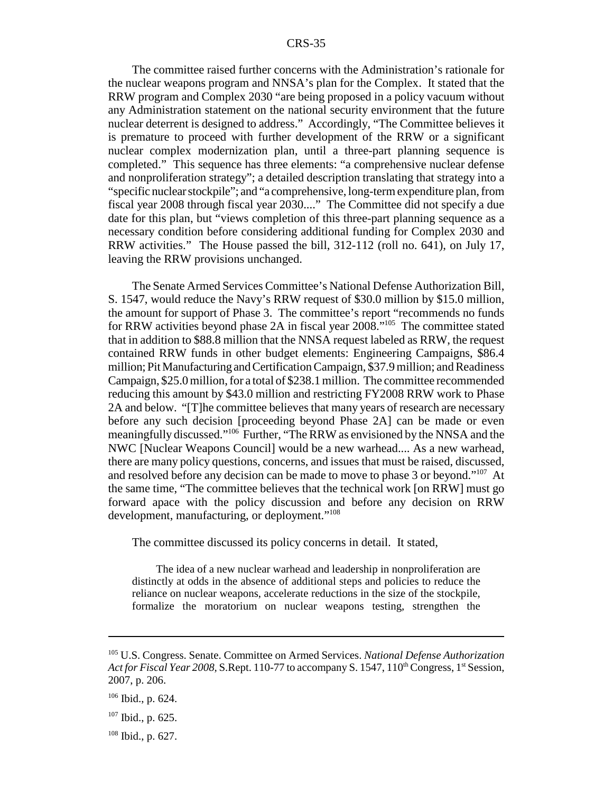The committee raised further concerns with the Administration's rationale for the nuclear weapons program and NNSA's plan for the Complex. It stated that the RRW program and Complex 2030 "are being proposed in a policy vacuum without any Administration statement on the national security environment that the future nuclear deterrent is designed to address." Accordingly, "The Committee believes it is premature to proceed with further development of the RRW or a significant nuclear complex modernization plan, until a three-part planning sequence is completed." This sequence has three elements: "a comprehensive nuclear defense and nonproliferation strategy"; a detailed description translating that strategy into a "specific nuclear stockpile"; and "a comprehensive, long-term expenditure plan, from fiscal year 2008 through fiscal year 2030...." The Committee did not specify a due date for this plan, but "views completion of this three-part planning sequence as a necessary condition before considering additional funding for Complex 2030 and RRW activities." The House passed the bill, 312-112 (roll no. 641), on July 17, leaving the RRW provisions unchanged.

The Senate Armed Services Committee's National Defense Authorization Bill, S. 1547, would reduce the Navy's RRW request of \$30.0 million by \$15.0 million, the amount for support of Phase 3. The committee's report "recommends no funds for RRW activities beyond phase 2A in fiscal year 2008."105 The committee stated that in addition to \$88.8 million that the NNSA request labeled as RRW, the request contained RRW funds in other budget elements: Engineering Campaigns, \$86.4 million; Pit Manufacturing and Certification Campaign, \$37.9 million; and Readiness Campaign, \$25.0 million, for a total of \$238.1 million. The committee recommended reducing this amount by \$43.0 million and restricting FY2008 RRW work to Phase 2A and below. "[T]he committee believes that many years of research are necessary before any such decision [proceeding beyond Phase 2A] can be made or even meaningfully discussed."106 Further, "The RRW as envisioned by the NNSA and the NWC [Nuclear Weapons Council] would be a new warhead.... As a new warhead, there are many policy questions, concerns, and issues that must be raised, discussed, and resolved before any decision can be made to move to phase 3 or beyond."<sup>107</sup> At the same time, "The committee believes that the technical work [on RRW] must go forward apace with the policy discussion and before any decision on RRW development, manufacturing, or deployment."108

The committee discussed its policy concerns in detail. It stated,

The idea of a new nuclear warhead and leadership in nonproliferation are distinctly at odds in the absence of additional steps and policies to reduce the reliance on nuclear weapons, accelerate reductions in the size of the stockpile, formalize the moratorium on nuclear weapons testing, strengthen the

<sup>105</sup> U.S. Congress. Senate. Committee on Armed Services. *National Defense Authorization Act for Fiscal Year 2008, S.Rept.* 110-77 to accompany S. 1547, 110<sup>th</sup> Congress, 1<sup>st</sup> Session, 2007, p. 206.

 $106$  Ibid., p. 624.

 $107$  Ibid., p. 625.

 $108$  Ibid., p. 627.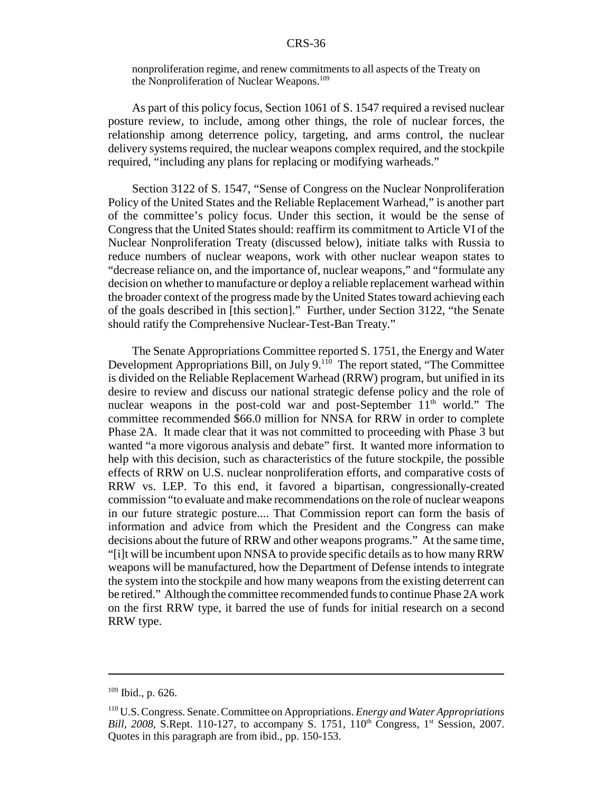nonproliferation regime, and renew commitments to all aspects of the Treaty on the Nonproliferation of Nuclear Weapons.<sup>109</sup>

As part of this policy focus, Section 1061 of S. 1547 required a revised nuclear posture review, to include, among other things, the role of nuclear forces, the relationship among deterrence policy, targeting, and arms control, the nuclear delivery systems required, the nuclear weapons complex required, and the stockpile required, "including any plans for replacing or modifying warheads."

Section 3122 of S. 1547, "Sense of Congress on the Nuclear Nonproliferation Policy of the United States and the Reliable Replacement Warhead," is another part of the committee's policy focus. Under this section, it would be the sense of Congress that the United States should: reaffirm its commitment to Article VI of the Nuclear Nonproliferation Treaty (discussed below), initiate talks with Russia to reduce numbers of nuclear weapons, work with other nuclear weapon states to "decrease reliance on, and the importance of, nuclear weapons," and "formulate any decision on whether to manufacture or deploy a reliable replacement warhead within the broader context of the progress made by the United States toward achieving each of the goals described in [this section]." Further, under Section 3122, "the Senate should ratify the Comprehensive Nuclear-Test-Ban Treaty."

The Senate Appropriations Committee reported S. 1751, the Energy and Water Development Appropriations Bill, on July 9.<sup>110</sup> The report stated, "The Committee" is divided on the Reliable Replacement Warhead (RRW) program, but unified in its desire to review and discuss our national strategic defense policy and the role of nuclear weapons in the post-cold war and post-September  $11<sup>th</sup>$  world." The committee recommended \$66.0 million for NNSA for RRW in order to complete Phase 2A. It made clear that it was not committed to proceeding with Phase 3 but wanted "a more vigorous analysis and debate" first. It wanted more information to help with this decision, such as characteristics of the future stockpile, the possible effects of RRW on U.S. nuclear nonproliferation efforts, and comparative costs of RRW vs. LEP. To this end, it favored a bipartisan, congressionally-created commission "to evaluate and make recommendations on the role of nuclear weapons in our future strategic posture.... That Commission report can form the basis of information and advice from which the President and the Congress can make decisions about the future of RRW and other weapons programs." At the same time, "[i]t will be incumbent upon NNSA to provide specific details as to how many RRW weapons will be manufactured, how the Department of Defense intends to integrate the system into the stockpile and how many weapons from the existing deterrent can be retired." Although the committee recommended funds to continue Phase 2A work on the first RRW type, it barred the use of funds for initial research on a second RRW type.

<sup>109</sup> Ibid., p. 626.

<sup>110</sup> U.S. Congress. Senate. Committee on Appropriations. *Energy and Water Appropriations Bill, 2008, S.Rept.* 110-127, to accompany S. 1751,  $110^{th}$  Congress, 1<sup>st</sup> Session, 2007. Quotes in this paragraph are from ibid., pp. 150-153.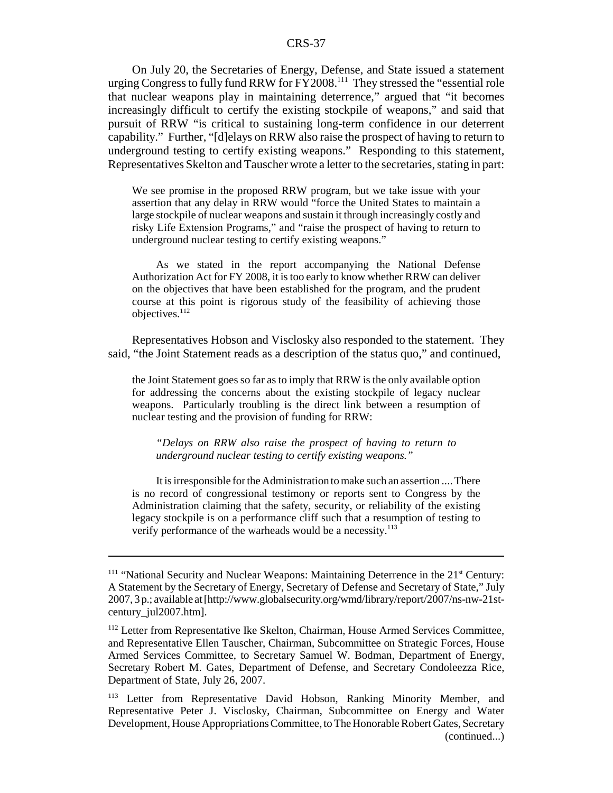On July 20, the Secretaries of Energy, Defense, and State issued a statement urging Congress to fully fund RRW for FY2008.<sup>111</sup> They stressed the "essential role" that nuclear weapons play in maintaining deterrence," argued that "it becomes increasingly difficult to certify the existing stockpile of weapons," and said that pursuit of RRW "is critical to sustaining long-term confidence in our deterrent capability." Further, "[d]elays on RRW also raise the prospect of having to return to underground testing to certify existing weapons." Responding to this statement, Representatives Skelton and Tauscher wrote a letter to the secretaries, stating in part:

We see promise in the proposed RRW program, but we take issue with your assertion that any delay in RRW would "force the United States to maintain a large stockpile of nuclear weapons and sustain it through increasingly costly and risky Life Extension Programs," and "raise the prospect of having to return to underground nuclear testing to certify existing weapons."

As we stated in the report accompanying the National Defense Authorization Act for FY 2008, it is too early to know whether RRW can deliver on the objectives that have been established for the program, and the prudent course at this point is rigorous study of the feasibility of achieving those objectives.<sup>112</sup>

Representatives Hobson and Visclosky also responded to the statement. They said, "the Joint Statement reads as a description of the status quo," and continued,

the Joint Statement goes so far as to imply that RRW is the only available option for addressing the concerns about the existing stockpile of legacy nuclear weapons. Particularly troubling is the direct link between a resumption of nuclear testing and the provision of funding for RRW:

*"Delays on RRW also raise the prospect of having to return to underground nuclear testing to certify existing weapons."*

It is irresponsible for the Administration to make such an assertion .... There is no record of congressional testimony or reports sent to Congress by the Administration claiming that the safety, security, or reliability of the existing legacy stockpile is on a performance cliff such that a resumption of testing to verify performance of the warheads would be a necessity.<sup>113</sup>

<sup>&</sup>lt;sup>111</sup> "National Security and Nuclear Weapons: Maintaining Deterrence in the  $21<sup>st</sup>$  Century: A Statement by the Secretary of Energy, Secretary of Defense and Secretary of State," July 2007, 3 p.; available at [http://www.globalsecurity.org/wmd/library/report/2007/ns-nw-21stcentury\_jul2007.htm].

<sup>&</sup>lt;sup>112</sup> Letter from Representative Ike Skelton, Chairman, House Armed Services Committee, and Representative Ellen Tauscher, Chairman, Subcommittee on Strategic Forces, House Armed Services Committee, to Secretary Samuel W. Bodman, Department of Energy, Secretary Robert M. Gates, Department of Defense, and Secretary Condoleezza Rice, Department of State, July 26, 2007.

<sup>&</sup>lt;sup>113</sup> Letter from Representative David Hobson, Ranking Minority Member, and Representative Peter J. Visclosky, Chairman, Subcommittee on Energy and Water Development, House Appropriations Committee, to The Honorable Robert Gates, Secretary (continued...)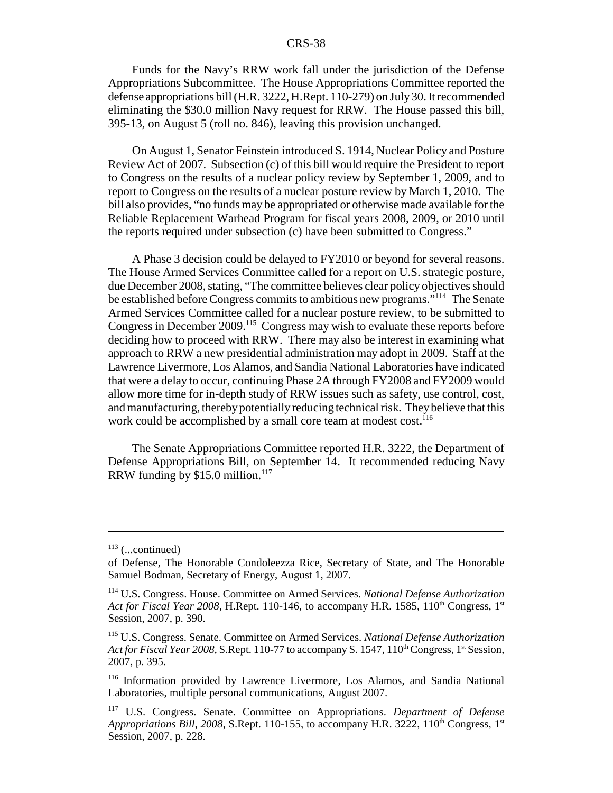Funds for the Navy's RRW work fall under the jurisdiction of the Defense Appropriations Subcommittee. The House Appropriations Committee reported the defense appropriations bill (H.R. 3222, H.Rept. 110-279) on July 30. It recommended eliminating the \$30.0 million Navy request for RRW. The House passed this bill, 395-13, on August 5 (roll no. 846), leaving this provision unchanged.

On August 1, Senator Feinstein introduced S. 1914, Nuclear Policy and Posture Review Act of 2007. Subsection (c) of this bill would require the President to report to Congress on the results of a nuclear policy review by September 1, 2009, and to report to Congress on the results of a nuclear posture review by March 1, 2010. The bill also provides, "no funds may be appropriated or otherwise made available for the Reliable Replacement Warhead Program for fiscal years 2008, 2009, or 2010 until the reports required under subsection (c) have been submitted to Congress."

A Phase 3 decision could be delayed to FY2010 or beyond for several reasons. The House Armed Services Committee called for a report on U.S. strategic posture, due December 2008, stating, "The committee believes clear policy objectives should be established before Congress commits to ambitious new programs."<sup>114</sup> The Senate Armed Services Committee called for a nuclear posture review, to be submitted to Congress in December 2009.<sup>115</sup> Congress may wish to evaluate these reports before deciding how to proceed with RRW. There may also be interest in examining what approach to RRW a new presidential administration may adopt in 2009. Staff at the Lawrence Livermore, Los Alamos, and Sandia National Laboratories have indicated that were a delay to occur, continuing Phase 2A through FY2008 and FY2009 would allow more time for in-depth study of RRW issues such as safety, use control, cost, and manufacturing, thereby potentially reducing technical risk. They believe that this work could be accomplished by a small core team at modest cost.<sup>116</sup>

The Senate Appropriations Committee reported H.R. 3222, the Department of Defense Appropriations Bill, on September 14. It recommended reducing Navy RRW funding by  $$15.0$  million.<sup>117</sup>

 $113$  (...continued)

of Defense, The Honorable Condoleezza Rice, Secretary of State, and The Honorable Samuel Bodman, Secretary of Energy, August 1, 2007.

<sup>114</sup> U.S. Congress. House. Committee on Armed Services. *National Defense Authorization Act for Fiscal Year 2008, H.Rept. 110-146, to accompany H.R. 1585, 110<sup>th</sup> Congress, 1<sup>st</sup>* Session, 2007, p. 390.

<sup>115</sup> U.S. Congress. Senate. Committee on Armed Services. *National Defense Authorization Act for Fiscal Year 2008, S.Rept. 110-77 to accompany S. 1547, 110<sup>th</sup> Congress, 1<sup>st</sup> Session,* 2007, p. 395.

<sup>116</sup> Information provided by Lawrence Livermore, Los Alamos, and Sandia National Laboratories, multiple personal communications, August 2007.

<sup>117</sup> U.S. Congress. Senate. Committee on Appropriations. *Department of Defense Appropriations Bill, 2008, S.Rept.* 110-155, to accompany H.R. 3222,  $110^{th}$  Congress,  $1^{st}$ Session, 2007, p. 228.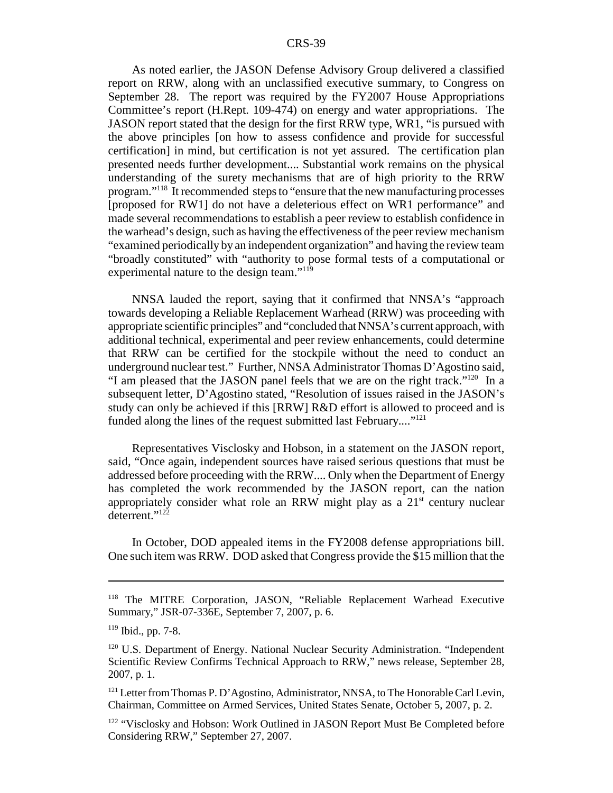As noted earlier, the JASON Defense Advisory Group delivered a classified report on RRW, along with an unclassified executive summary, to Congress on September 28. The report was required by the FY2007 House Appropriations Committee's report (H.Rept. 109-474) on energy and water appropriations. The JASON report stated that the design for the first RRW type, WR1, "is pursued with the above principles [on how to assess confidence and provide for successful certification] in mind, but certification is not yet assured. The certification plan presented needs further development.... Substantial work remains on the physical understanding of the surety mechanisms that are of high priority to the RRW program."118 It recommended steps to "ensure that the new manufacturing processes [proposed for RW1] do not have a deleterious effect on WR1 performance" and made several recommendations to establish a peer review to establish confidence in the warhead's design, such as having the effectiveness of the peer review mechanism "examined periodically by an independent organization" and having the review team "broadly constituted" with "authority to pose formal tests of a computational or experimental nature to the design team."<sup>119</sup>

NNSA lauded the report, saying that it confirmed that NNSA's "approach towards developing a Reliable Replacement Warhead (RRW) was proceeding with appropriate scientific principles" and "concluded that NNSA's current approach, with additional technical, experimental and peer review enhancements, could determine that RRW can be certified for the stockpile without the need to conduct an underground nuclear test." Further, NNSA Administrator Thomas D'Agostino said, "I am pleased that the JASON panel feels that we are on the right track."120 In a subsequent letter, D'Agostino stated, "Resolution of issues raised in the JASON's study can only be achieved if this [RRW] R&D effort is allowed to proceed and is funded along the lines of the request submitted last February.... $"^{121}$ 

Representatives Visclosky and Hobson, in a statement on the JASON report, said, "Once again, independent sources have raised serious questions that must be addressed before proceeding with the RRW.... Only when the Department of Energy has completed the work recommended by the JASON report, can the nation appropriately consider what role an RRW might play as a  $21<sup>st</sup>$  century nuclear deterrent."<sup>122</sup>

In October, DOD appealed items in the FY2008 defense appropriations bill. One such item was RRW. DOD asked that Congress provide the \$15 million that the

<sup>118</sup> The MITRE Corporation, JASON, "Reliable Replacement Warhead Executive Summary," JSR-07-336E, September 7, 2007, p. 6.

 $119$  Ibid., pp. 7-8.

<sup>&</sup>lt;sup>120</sup> U.S. Department of Energy. National Nuclear Security Administration. "Independent Scientific Review Confirms Technical Approach to RRW," news release, September 28, 2007, p. 1.

<sup>&</sup>lt;sup>121</sup> Letter from Thomas P. D'Agostino, Administrator, NNSA, to The Honorable Carl Levin, Chairman, Committee on Armed Services, United States Senate, October 5, 2007, p. 2.

<sup>&</sup>lt;sup>122</sup> "Visclosky and Hobson: Work Outlined in JASON Report Must Be Completed before Considering RRW," September 27, 2007.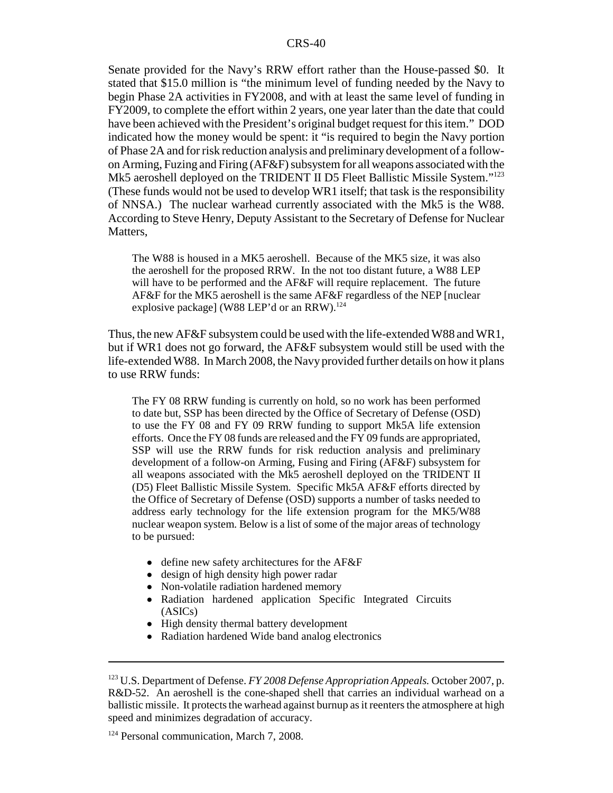Senate provided for the Navy's RRW effort rather than the House-passed \$0. It stated that \$15.0 million is "the minimum level of funding needed by the Navy to begin Phase 2A activities in FY2008, and with at least the same level of funding in FY2009, to complete the effort within 2 years, one year later than the date that could have been achieved with the President's original budget request for this item." DOD indicated how the money would be spent: it "is required to begin the Navy portion of Phase 2A and for risk reduction analysis and preliminary development of a followon Arming, Fuzing and Firing (AF&F) subsystem for all weapons associated with the Mk5 aeroshell deployed on the TRIDENT II D5 Fleet Ballistic Missile System."<sup>123</sup> (These funds would not be used to develop WR1 itself; that task is the responsibility of NNSA.) The nuclear warhead currently associated with the Mk5 is the W88. According to Steve Henry, Deputy Assistant to the Secretary of Defense for Nuclear Matters,

The W88 is housed in a MK5 aeroshell. Because of the MK5 size, it was also the aeroshell for the proposed RRW. In the not too distant future, a W88 LEP will have to be performed and the AF&F will require replacement. The future AF&F for the MK5 aeroshell is the same AF&F regardless of the NEP [nuclear explosive package] (W88 LEP'd or an RRW).<sup>124</sup>

Thus, the new AF&F subsystem could be used with the life-extended W88 and WR1, but if WR1 does not go forward, the AF&F subsystem would still be used with the life-extended W88. In March 2008, the Navy provided further details on how it plans to use RRW funds:

The FY 08 RRW funding is currently on hold, so no work has been performed to date but, SSP has been directed by the Office of Secretary of Defense (OSD) to use the FY 08 and FY 09 RRW funding to support Mk5A life extension efforts. Once the FY 08 funds are released and the FY 09 funds are appropriated, SSP will use the RRW funds for risk reduction analysis and preliminary development of a follow-on Arming, Fusing and Firing (AF&F) subsystem for all weapons associated with the Mk5 aeroshell deployed on the TRIDENT II (D5) Fleet Ballistic Missile System. Specific Mk5A AF&F efforts directed by the Office of Secretary of Defense (OSD) supports a number of tasks needed to address early technology for the life extension program for the MK5/W88 nuclear weapon system. Below is a list of some of the major areas of technology to be pursued:

- ! define new safety architectures for the AF&F
- design of high density high power radar
- Non-volatile radiation hardened memory
- ! Radiation hardened application Specific Integrated Circuits (ASICs)
- High density thermal battery development
- Radiation hardened Wide band analog electronics

<sup>123</sup> U.S. Department of Defense. *FY 2008 Defense Appropriation Appeals.* October 2007, p. R&D-52. An aeroshell is the cone-shaped shell that carries an individual warhead on a ballistic missile. It protects the warhead against burnup as it reenters the atmosphere at high speed and minimizes degradation of accuracy.

<sup>&</sup>lt;sup>124</sup> Personal communication, March 7, 2008.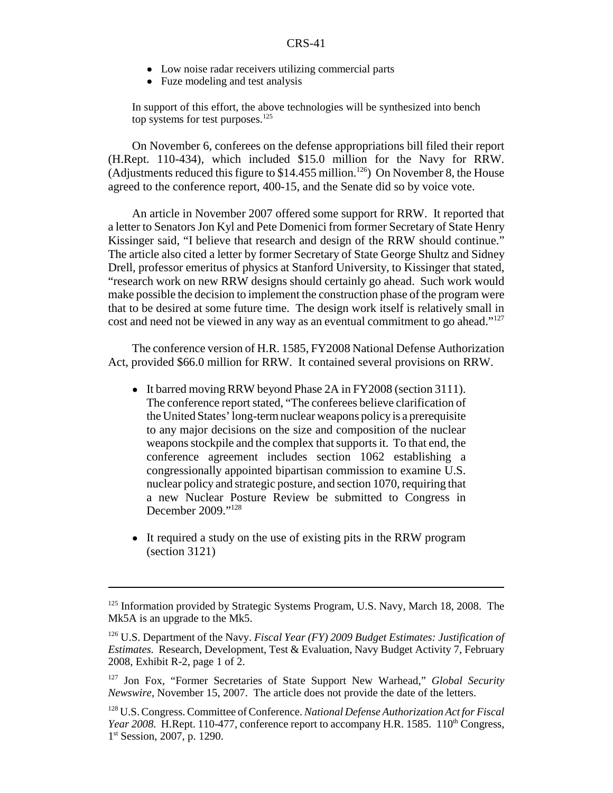- ! Low noise radar receivers utilizing commercial parts
- Fuze modeling and test analysis

In support of this effort, the above technologies will be synthesized into bench top systems for test purposes.<sup>125</sup>

On November 6, conferees on the defense appropriations bill filed their report (H.Rept. 110-434), which included \$15.0 million for the Navy for RRW. (Adjustments reduced this figure to  $$14.455$  million.<sup>126</sup>) On November 8, the House agreed to the conference report, 400-15, and the Senate did so by voice vote.

An article in November 2007 offered some support for RRW. It reported that a letter to Senators Jon Kyl and Pete Domenici from former Secretary of State Henry Kissinger said, "I believe that research and design of the RRW should continue." The article also cited a letter by former Secretary of State George Shultz and Sidney Drell, professor emeritus of physics at Stanford University, to Kissinger that stated, "research work on new RRW designs should certainly go ahead. Such work would make possible the decision to implement the construction phase of the program were that to be desired at some future time. The design work itself is relatively small in cost and need not be viewed in any way as an eventual commitment to go ahead."127

The conference version of H.R. 1585, FY2008 National Defense Authorization Act, provided \$66.0 million for RRW. It contained several provisions on RRW.

- It barred moving RRW beyond Phase 2A in FY2008 (section 3111). The conference report stated, "The conferees believe clarification of the United States' long-term nuclear weapons policy is a prerequisite to any major decisions on the size and composition of the nuclear weapons stockpile and the complex that supports it. To that end, the conference agreement includes section 1062 establishing a congressionally appointed bipartisan commission to examine U.S. nuclear policy and strategic posture, and section 1070, requiring that a new Nuclear Posture Review be submitted to Congress in December 2009."128
- ! It required a study on the use of existing pits in the RRW program (section 3121)

<sup>&</sup>lt;sup>125</sup> Information provided by Strategic Systems Program, U.S. Navy, March 18, 2008. The Mk5A is an upgrade to the Mk5.

<sup>126</sup> U.S. Department of the Navy. *Fiscal Year (FY) 2009 Budget Estimates: Justification of Estimates.* Research, Development, Test & Evaluation, Navy Budget Activity 7, February 2008, Exhibit R-2, page 1 of 2.

<sup>127</sup> Jon Fox, "Former Secretaries of State Support New Warhead," *Global Security Newswire,* November 15, 2007. The article does not provide the date of the letters.

<sup>128</sup> U.S. Congress. Committee of Conference. *National Defense Authorization Act for Fiscal Year 2008.* H.Rept. 110-477, conference report to accompany H.R. 1585. 110<sup>th</sup> Congress, 1<sup>st</sup> Session, 2007, p. 1290.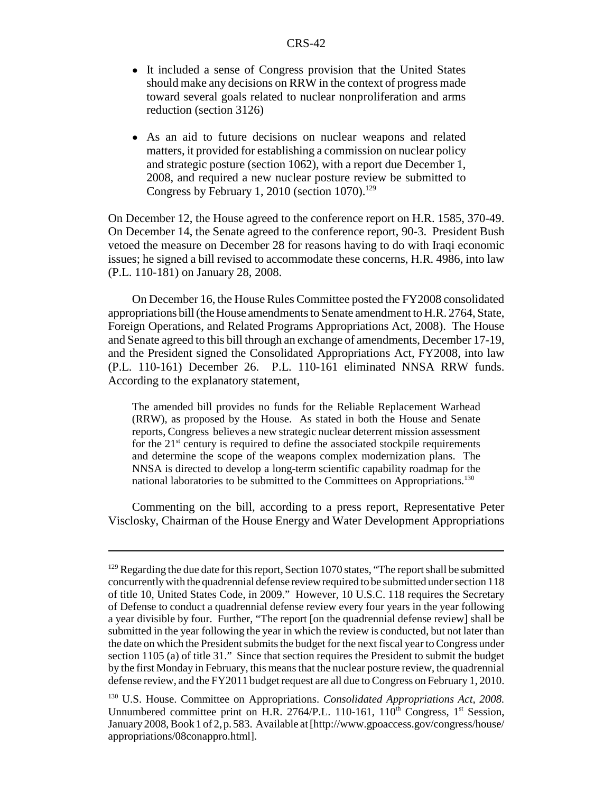- ! It included a sense of Congress provision that the United States should make any decisions on RRW in the context of progress made toward several goals related to nuclear nonproliferation and arms reduction (section 3126)
- ! As an aid to future decisions on nuclear weapons and related matters, it provided for establishing a commission on nuclear policy and strategic posture (section 1062), with a report due December 1, 2008, and required a new nuclear posture review be submitted to Congress by February 1, 2010 (section 1070).<sup>129</sup>

On December 12, the House agreed to the conference report on H.R. 1585, 370-49. On December 14, the Senate agreed to the conference report, 90-3. President Bush vetoed the measure on December 28 for reasons having to do with Iraqi economic issues; he signed a bill revised to accommodate these concerns, H.R. 4986, into law (P.L. 110-181) on January 28, 2008.

On December 16, the House Rules Committee posted the FY2008 consolidated appropriations bill (the House amendments to Senate amendment to H.R. 2764, State, Foreign Operations, and Related Programs Appropriations Act, 2008). The House and Senate agreed to this bill through an exchange of amendments, December 17-19, and the President signed the Consolidated Appropriations Act, FY2008, into law (P.L. 110-161) December 26. P.L. 110-161 eliminated NNSA RRW funds. According to the explanatory statement,

The amended bill provides no funds for the Reliable Replacement Warhead (RRW), as proposed by the House. As stated in both the House and Senate reports, Congress believes a new strategic nuclear deterrent mission assessment for the  $21<sup>st</sup>$  century is required to define the associated stockpile requirements and determine the scope of the weapons complex modernization plans. The NNSA is directed to develop a long-term scientific capability roadmap for the national laboratories to be submitted to the Committees on Appropriations.<sup>130</sup>

Commenting on the bill, according to a press report, Representative Peter Visclosky, Chairman of the House Energy and Water Development Appropriations

<sup>&</sup>lt;sup>129</sup> Regarding the due date for this report, Section 1070 states, "The report shall be submitted concurrently with the quadrennial defense review required to be submitted under section 118 of title 10, United States Code, in 2009." However, 10 U.S.C. 118 requires the Secretary of Defense to conduct a quadrennial defense review every four years in the year following a year divisible by four. Further, "The report [on the quadrennial defense review] shall be submitted in the year following the year in which the review is conducted, but not later than the date on which the President submits the budget for the next fiscal year to Congress under section 1105 (a) of title 31." Since that section requires the President to submit the budget by the first Monday in February, this means that the nuclear posture review, the quadrennial defense review, and the FY2011 budget request are all due to Congress on February 1, 2010.

<sup>130</sup> U.S. House. Committee on Appropriations. *Consolidated Appropriations Act, 2008.* Unnumbered committee print on H.R. 2764/P.L. 110-161,  $110<sup>th</sup>$  Congress,  $1<sup>st</sup>$  Session, January 2008, Book 1 of 2, p. 583. Available at [http://www.gpoaccess.gov/congress/house/ appropriations/08conappro.html].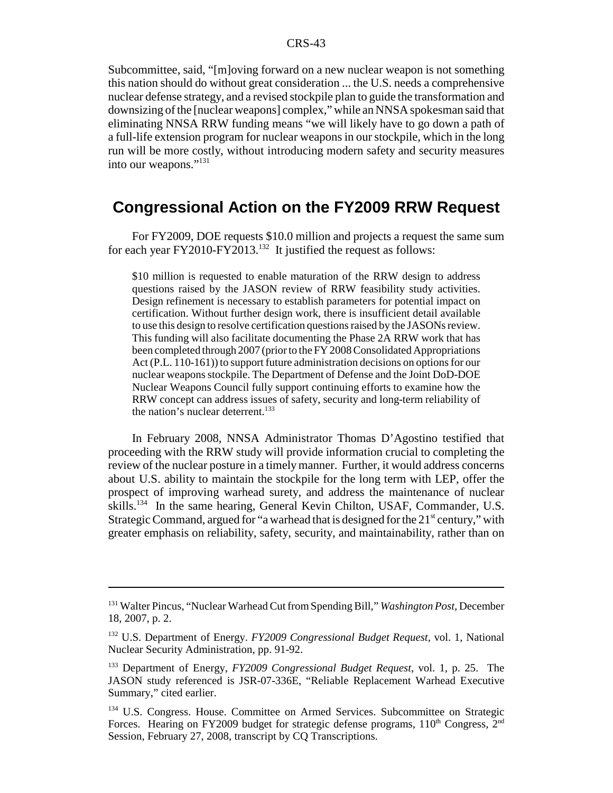Subcommittee, said, "[m]oving forward on a new nuclear weapon is not something this nation should do without great consideration ... the U.S. needs a comprehensive nuclear defense strategy, and a revised stockpile plan to guide the transformation and downsizing of the [nuclear weapons] complex," while an NNSA spokesman said that eliminating NNSA RRW funding means "we will likely have to go down a path of a full-life extension program for nuclear weapons in our stockpile, which in the long run will be more costly, without introducing modern safety and security measures into our weapons."131

# **Congressional Action on the FY2009 RRW Request**

For FY2009, DOE requests \$10.0 million and projects a request the same sum for each year  $FY2010-FY2013.<sup>132</sup>$  It justified the request as follows:

\$10 million is requested to enable maturation of the RRW design to address questions raised by the JASON review of RRW feasibility study activities. Design refinement is necessary to establish parameters for potential impact on certification. Without further design work, there is insufficient detail available to use this design to resolve certification questions raised by the JASONs review. This funding will also facilitate documenting the Phase 2A RRW work that has been completed through 2007 (prior to the FY 2008 Consolidated Appropriations Act (P.L. 110-161)) to support future administration decisions on options for our nuclear weapons stockpile. The Department of Defense and the Joint DoD-DOE Nuclear Weapons Council fully support continuing efforts to examine how the RRW concept can address issues of safety, security and long-term reliability of the nation's nuclear deterrent.<sup>133</sup>

In February 2008, NNSA Administrator Thomas D'Agostino testified that proceeding with the RRW study will provide information crucial to completing the review of the nuclear posture in a timely manner. Further, it would address concerns about U.S. ability to maintain the stockpile for the long term with LEP, offer the prospect of improving warhead surety, and address the maintenance of nuclear skills.<sup>134</sup> In the same hearing, General Kevin Chilton, USAF, Commander, U.S. Strategic Command, argued for "a warhead that is designed for the  $21<sup>st</sup>$  century," with greater emphasis on reliability, safety, security, and maintainability, rather than on

<sup>131</sup> Walter Pincus, "Nuclear Warhead Cut from Spending Bill," *Washington Post,* December 18, 2007, p. 2.

<sup>132</sup> U.S. Department of Energy. *FY2009 Congressional Budget Request,* vol. 1, National Nuclear Security Administration, pp. 91-92.

<sup>133</sup> Department of Energy, *FY2009 Congressional Budget Request*, vol. 1, p. 25. The JASON study referenced is JSR-07-336E, "Reliable Replacement Warhead Executive Summary," cited earlier.

<sup>&</sup>lt;sup>134</sup> U.S. Congress. House. Committee on Armed Services. Subcommittee on Strategic Forces. Hearing on FY2009 budget for strategic defense programs,  $110<sup>th</sup>$  Congress,  $2<sup>nd</sup>$ Session, February 27, 2008, transcript by CQ Transcriptions.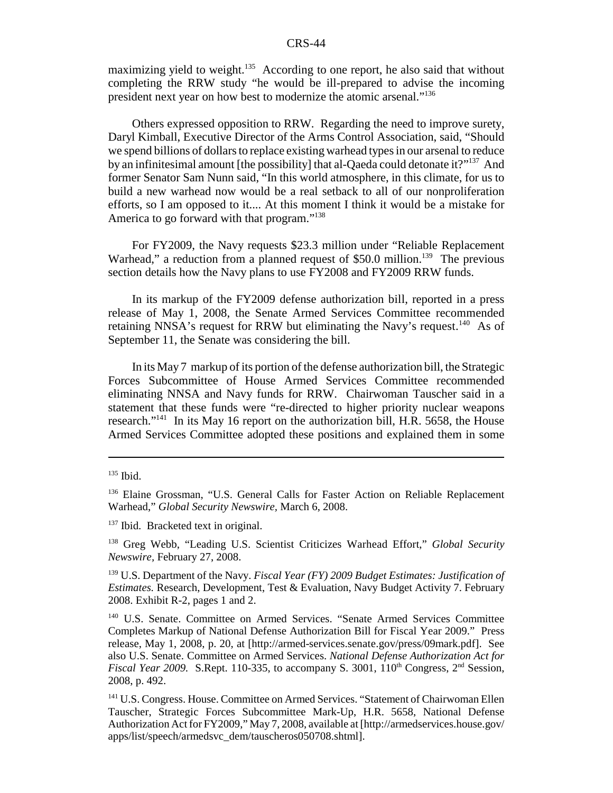maximizing yield to weight.<sup>135</sup> According to one report, he also said that without completing the RRW study "he would be ill-prepared to advise the incoming president next year on how best to modernize the atomic arsenal."136

Others expressed opposition to RRW. Regarding the need to improve surety, Daryl Kimball, Executive Director of the Arms Control Association, said, "Should we spend billions of dollars to replace existing warhead types in our arsenal to reduce by an infinitesimal amount [the possibility] that al-Qaeda could detonate it?"137 And former Senator Sam Nunn said, "In this world atmosphere, in this climate, for us to build a new warhead now would be a real setback to all of our nonproliferation efforts, so I am opposed to it.... At this moment I think it would be a mistake for America to go forward with that program."<sup>138</sup>

For FY2009, the Navy requests \$23.3 million under "Reliable Replacement Warhead," a reduction from a planned request of  $$50.0$  million.<sup>139</sup> The previous section details how the Navy plans to use FY2008 and FY2009 RRW funds.

In its markup of the FY2009 defense authorization bill, reported in a press release of May 1, 2008, the Senate Armed Services Committee recommended retaining NNSA's request for RRW but eliminating the Navy's request.<sup>140</sup> As of September 11, the Senate was considering the bill.

In its May 7 markup of its portion of the defense authorization bill, the Strategic Forces Subcommittee of House Armed Services Committee recommended eliminating NNSA and Navy funds for RRW. Chairwoman Tauscher said in a statement that these funds were "re-directed to higher priority nuclear weapons research."141 In its May 16 report on the authorization bill, H.R. 5658, the House Armed Services Committee adopted these positions and explained them in some

 $135$  Ibid.

<sup>136</sup> Elaine Grossman, "U.S. General Calls for Faster Action on Reliable Replacement Warhead," *Global Security Newswire,* March 6, 2008.

<sup>&</sup>lt;sup>137</sup> Ibid. Bracketed text in original.

<sup>138</sup> Greg Webb, "Leading U.S. Scientist Criticizes Warhead Effort," *Global Security Newswire,* February 27, 2008.

<sup>139</sup> U.S. Department of the Navy. *Fiscal Year (FY) 2009 Budget Estimates: Justification of Estimates.* Research, Development, Test & Evaluation, Navy Budget Activity 7. February 2008. Exhibit R-2, pages 1 and 2.

<sup>140</sup> U.S. Senate. Committee on Armed Services. "Senate Armed Services Committee Completes Markup of National Defense Authorization Bill for Fiscal Year 2009." Press release, May 1, 2008, p. 20, at [http://armed-services.senate.gov/press/09mark.pdf]. See also U.S. Senate. Committee on Armed Services. *National Defense Authorization Act for Fiscal Year 2009.* S.Rept. 110-335, to accompany S. 3001,  $110^{th}$  Congress,  $2^{nd}$  Session, 2008, p. 492.

<sup>&</sup>lt;sup>141</sup> U.S. Congress. House. Committee on Armed Services. "Statement of Chairwoman Ellen Tauscher, Strategic Forces Subcommittee Mark-Up, H.R. 5658, National Defense Authorization Act for FY2009," May 7, 2008, available at [http://armedservices.house.gov/ apps/list/speech/armedsvc\_dem/tauscheros050708.shtml].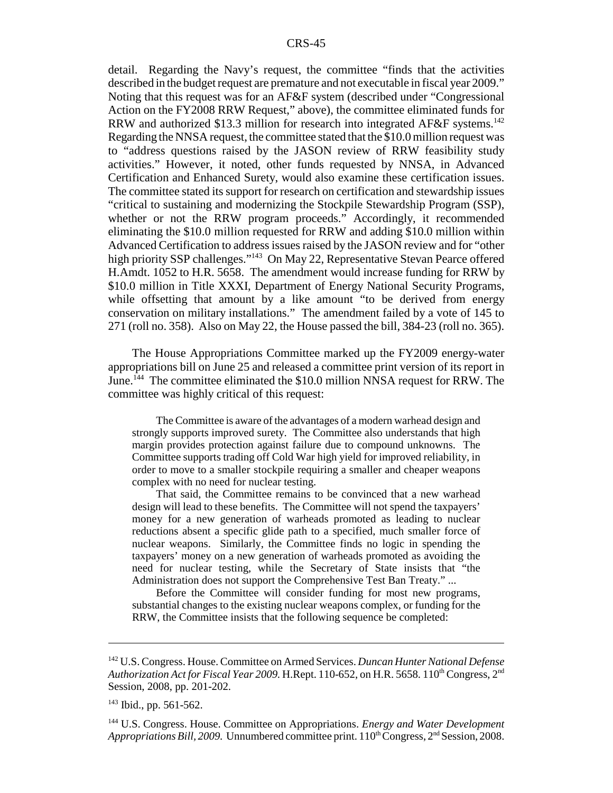detail. Regarding the Navy's request, the committee "finds that the activities described in the budget request are premature and not executable in fiscal year 2009." Noting that this request was for an AF&F system (described under "Congressional Action on the FY2008 RRW Request," above), the committee eliminated funds for RRW and authorized \$13.3 million for research into integrated AF&F systems.<sup>142</sup> Regarding the NNSA request, the committee stated that the \$10.0 million request was to "address questions raised by the JASON review of RRW feasibility study activities." However, it noted, other funds requested by NNSA, in Advanced Certification and Enhanced Surety, would also examine these certification issues. The committee stated its support for research on certification and stewardship issues "critical to sustaining and modernizing the Stockpile Stewardship Program (SSP), whether or not the RRW program proceeds." Accordingly, it recommended eliminating the \$10.0 million requested for RRW and adding \$10.0 million within Advanced Certification to address issues raised by the JASON review and for "other high priority SSP challenges."<sup>143</sup> On May 22, Representative Stevan Pearce offered H.Amdt. 1052 to H.R. 5658. The amendment would increase funding for RRW by \$10.0 million in Title XXXI, Department of Energy National Security Programs, while offsetting that amount by a like amount "to be derived from energy conservation on military installations." The amendment failed by a vote of 145 to 271 (roll no. 358). Also on May 22, the House passed the bill, 384-23 (roll no. 365).

The House Appropriations Committee marked up the FY2009 energy-water appropriations bill on June 25 and released a committee print version of its report in June.<sup>144</sup> The committee eliminated the \$10.0 million NNSA request for RRW. The committee was highly critical of this request:

The Committee is aware of the advantages of a modern warhead design and strongly supports improved surety. The Committee also understands that high margin provides protection against failure due to compound unknowns. The Committee supports trading off Cold War high yield for improved reliability, in order to move to a smaller stockpile requiring a smaller and cheaper weapons complex with no need for nuclear testing.

That said, the Committee remains to be convinced that a new warhead design will lead to these benefits. The Committee will not spend the taxpayers' money for a new generation of warheads promoted as leading to nuclear reductions absent a specific glide path to a specified, much smaller force of nuclear weapons. Similarly, the Committee finds no logic in spending the taxpayers' money on a new generation of warheads promoted as avoiding the need for nuclear testing, while the Secretary of State insists that "the Administration does not support the Comprehensive Test Ban Treaty." ...

Before the Committee will consider funding for most new programs, substantial changes to the existing nuclear weapons complex, or funding for the RRW, the Committee insists that the following sequence be completed:

<sup>142</sup> U.S. Congress. House. Committee on Armed Services. *Duncan Hunter National Defense Authorization Act for Fiscal Year 2009.* H.Rept. 110-652, on H.R. 5658. 110<sup>th</sup> Congress, 2<sup>nd</sup> Session, 2008, pp. 201-202.

 $143$  Ibid., pp. 561-562.

<sup>144</sup> U.S. Congress. House. Committee on Appropriations. *Energy and Water Development Appropriations Bill, 2009.* Unnumbered committee print. 110<sup>th</sup> Congress, 2<sup>nd</sup> Session, 2008.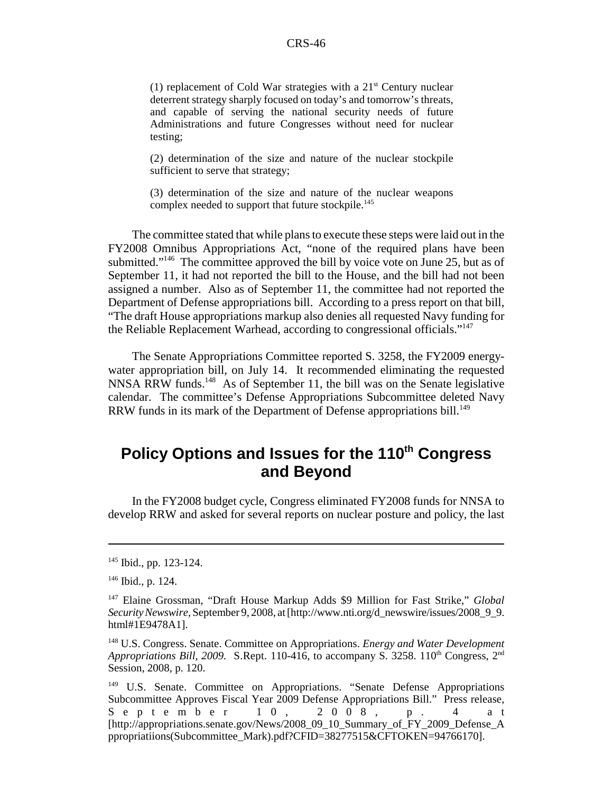(1) replacement of Cold War strategies with a  $21<sup>st</sup>$  Century nuclear deterrent strategy sharply focused on today's and tomorrow's threats, and capable of serving the national security needs of future Administrations and future Congresses without need for nuclear testing;

(2) determination of the size and nature of the nuclear stockpile sufficient to serve that strategy;

(3) determination of the size and nature of the nuclear weapons complex needed to support that future stockpile.<sup>145</sup>

The committee stated that while plans to execute these steps were laid out in the FY2008 Omnibus Appropriations Act, "none of the required plans have been submitted."<sup>146</sup> The committee approved the bill by voice vote on June 25, but as of September 11, it had not reported the bill to the House, and the bill had not been assigned a number. Also as of September 11, the committee had not reported the Department of Defense appropriations bill. According to a press report on that bill, "The draft House appropriations markup also denies all requested Navy funding for the Reliable Replacement Warhead, according to congressional officials."147

The Senate Appropriations Committee reported S. 3258, the FY2009 energywater appropriation bill, on July 14. It recommended eliminating the requested NNSA RRW funds.<sup>148</sup> As of September 11, the bill was on the Senate legislative calendar. The committee's Defense Appropriations Subcommittee deleted Navy RRW funds in its mark of the Department of Defense appropriations bill.<sup>149</sup>

# **Policy Options and Issues for the 110<sup>th</sup> Congress and Beyond**

In the FY2008 budget cycle, Congress eliminated FY2008 funds for NNSA to develop RRW and asked for several reports on nuclear posture and policy, the last

<sup>&</sup>lt;sup>145</sup> Ibid., pp. 123-124.

 $146$  Ibid., p. 124.

<sup>147</sup> Elaine Grossman, "Draft House Markup Adds \$9 Million for Fast Strike," *Global Security Newswire,* September 9, 2008, at [http://www.nti.org/d\_newswire/issues/2008\_9\_9. html#1E9478A1].

<sup>148</sup> U.S. Congress. Senate. Committee on Appropriations. *Energy and Water Development Appropriations Bill, 2009.* S.Rept. 110-416, to accompany S. 3258. 110<sup>th</sup> Congress, 2<sup>nd</sup> Session, 2008, p. 120.

<sup>&</sup>lt;sup>149</sup> U.S. Senate. Committee on Appropriations. "Senate Defense Appropriations Subcommittee Approves Fiscal Year 2009 Defense Appropriations Bill." Press release, September 10, 20 08, p. 4 at [http://appropriations.senate.gov/News/2008\_09\_10\_Summary\_of\_FY\_2009\_Defense\_A ppropriatiions(Subcommittee\_Mark).pdf?CFID=38277515&CFTOKEN=94766170].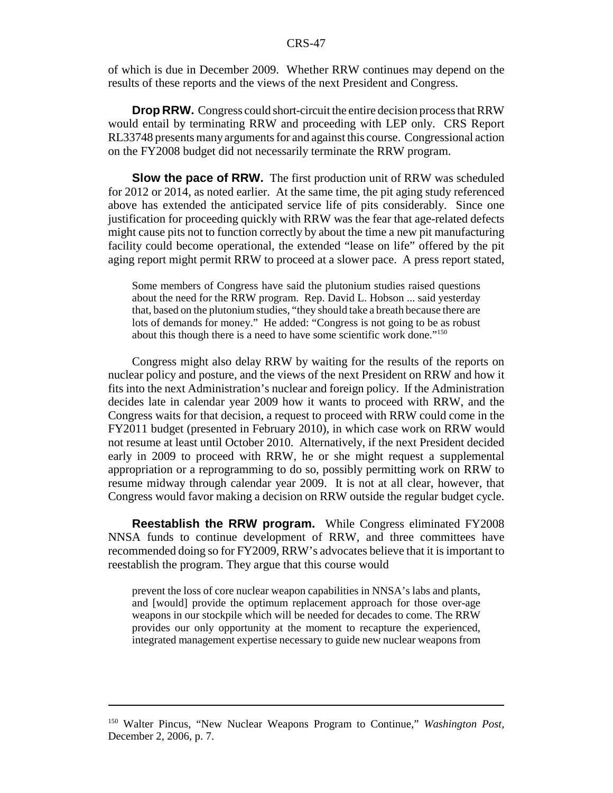of which is due in December 2009. Whether RRW continues may depend on the results of these reports and the views of the next President and Congress.

**Drop RRW.** Congress could short-circuit the entire decision process that RRW would entail by terminating RRW and proceeding with LEP only. CRS Report RL33748 presents many arguments for and against this course. Congressional action on the FY2008 budget did not necessarily terminate the RRW program.

**Slow the pace of RRW.** The first production unit of RRW was scheduled for 2012 or 2014, as noted earlier. At the same time, the pit aging study referenced above has extended the anticipated service life of pits considerably. Since one justification for proceeding quickly with RRW was the fear that age-related defects might cause pits not to function correctly by about the time a new pit manufacturing facility could become operational, the extended "lease on life" offered by the pit aging report might permit RRW to proceed at a slower pace. A press report stated,

Some members of Congress have said the plutonium studies raised questions about the need for the RRW program. Rep. David L. Hobson ... said yesterday that, based on the plutonium studies, "they should take a breath because there are lots of demands for money." He added: "Congress is not going to be as robust about this though there is a need to have some scientific work done."150

Congress might also delay RRW by waiting for the results of the reports on nuclear policy and posture, and the views of the next President on RRW and how it fits into the next Administration's nuclear and foreign policy. If the Administration decides late in calendar year 2009 how it wants to proceed with RRW, and the Congress waits for that decision, a request to proceed with RRW could come in the FY2011 budget (presented in February 2010), in which case work on RRW would not resume at least until October 2010. Alternatively, if the next President decided early in 2009 to proceed with RRW, he or she might request a supplemental appropriation or a reprogramming to do so, possibly permitting work on RRW to resume midway through calendar year 2009. It is not at all clear, however, that Congress would favor making a decision on RRW outside the regular budget cycle.

**Reestablish the RRW program.** While Congress eliminated FY2008 NNSA funds to continue development of RRW, and three committees have recommended doing so for FY2009, RRW's advocates believe that it is important to reestablish the program. They argue that this course would

prevent the loss of core nuclear weapon capabilities in NNSA's labs and plants, and [would] provide the optimum replacement approach for those over-age weapons in our stockpile which will be needed for decades to come. The RRW provides our only opportunity at the moment to recapture the experienced, integrated management expertise necessary to guide new nuclear weapons from

<sup>150</sup> Walter Pincus, "New Nuclear Weapons Program to Continue," *Washington Post,* December 2, 2006, p. 7.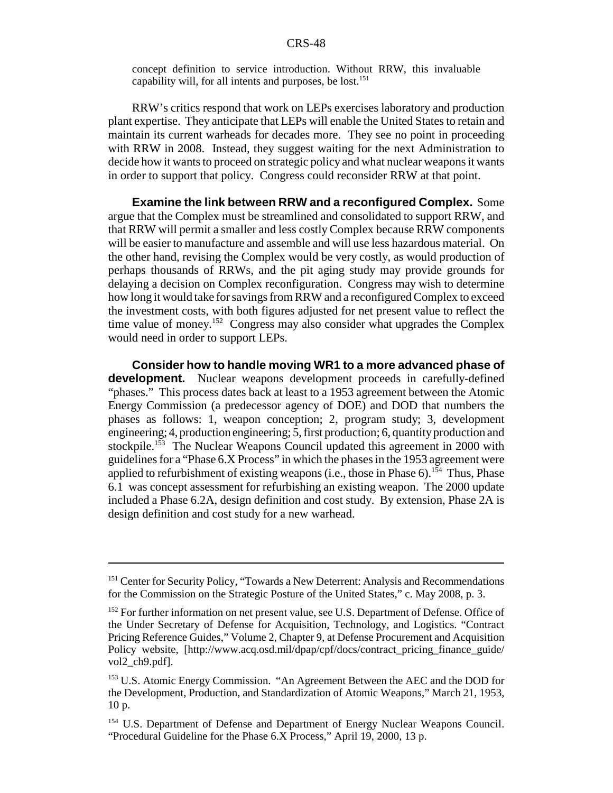concept definition to service introduction. Without RRW, this invaluable capability will, for all intents and purposes, be lost.<sup>151</sup>

RRW's critics respond that work on LEPs exercises laboratory and production plant expertise. They anticipate that LEPs will enable the United States to retain and maintain its current warheads for decades more. They see no point in proceeding with RRW in 2008. Instead, they suggest waiting for the next Administration to decide how it wants to proceed on strategic policy and what nuclear weapons it wants in order to support that policy. Congress could reconsider RRW at that point.

**Examine the link between RRW and a reconfigured Complex.** Some argue that the Complex must be streamlined and consolidated to support RRW, and that RRW will permit a smaller and less costly Complex because RRW components will be easier to manufacture and assemble and will use less hazardous material. On the other hand, revising the Complex would be very costly, as would production of perhaps thousands of RRWs, and the pit aging study may provide grounds for delaying a decision on Complex reconfiguration. Congress may wish to determine how long it would take for savings from RRW and a reconfigured Complex to exceed the investment costs, with both figures adjusted for net present value to reflect the time value of money.<sup>152</sup> Congress may also consider what upgrades the Complex would need in order to support LEPs.

**Consider how to handle moving WR1 to a more advanced phase of development.** Nuclear weapons development proceeds in carefully-defined "phases." This process dates back at least to a 1953 agreement between the Atomic Energy Commission (a predecessor agency of DOE) and DOD that numbers the phases as follows: 1, weapon conception; 2, program study; 3, development engineering; 4, production engineering; 5, first production; 6, quantity production and stockpile.<sup>153</sup> The Nuclear Weapons Council updated this agreement in 2000 with guidelines for a "Phase 6.X Process" in which the phases in the 1953 agreement were applied to refurbishment of existing weapons (i.e., those in Phase  $6$ ).<sup>154</sup> Thus, Phase 6.1 was concept assessment for refurbishing an existing weapon. The 2000 update included a Phase 6.2A, design definition and cost study. By extension, Phase 2A is design definition and cost study for a new warhead.

<sup>&</sup>lt;sup>151</sup> Center for Security Policy, "Towards a New Deterrent: Analysis and Recommendations for the Commission on the Strategic Posture of the United States," c. May 2008, p. 3.

<sup>&</sup>lt;sup>152</sup> For further information on net present value, see U.S. Department of Defense. Office of the Under Secretary of Defense for Acquisition, Technology, and Logistics. "Contract Pricing Reference Guides," Volume 2, Chapter 9, at Defense Procurement and Acquisition Policy website, [http://www.acq.osd.mil/dpap/cpf/docs/contract\_pricing\_finance\_guide/ vol2\_ch9.pdf].

<sup>&</sup>lt;sup>153</sup> U.S. Atomic Energy Commission. "An Agreement Between the AEC and the DOD for the Development, Production, and Standardization of Atomic Weapons," March 21, 1953, 10 p.

<sup>&</sup>lt;sup>154</sup> U.S. Department of Defense and Department of Energy Nuclear Weapons Council. "Procedural Guideline for the Phase 6.X Process," April 19, 2000, 13 p.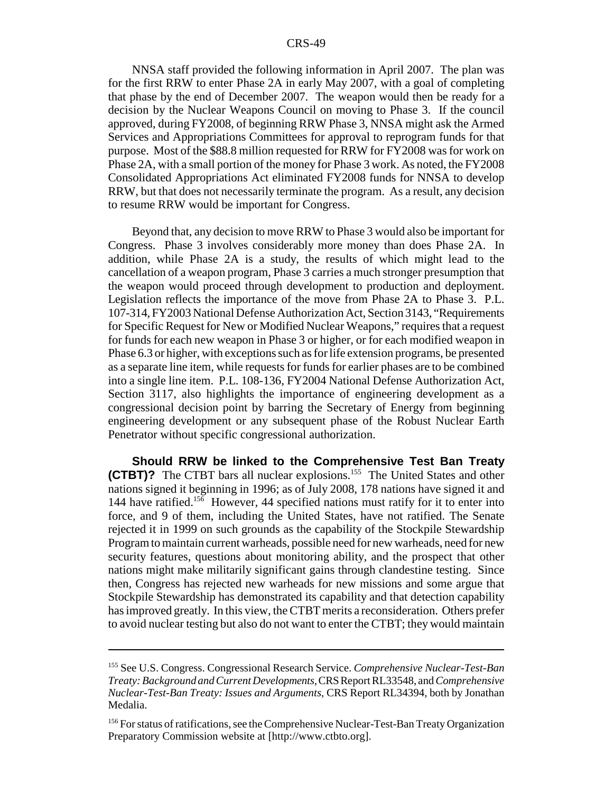NNSA staff provided the following information in April 2007. The plan was for the first RRW to enter Phase 2A in early May 2007, with a goal of completing that phase by the end of December 2007. The weapon would then be ready for a decision by the Nuclear Weapons Council on moving to Phase 3. If the council approved, during FY2008, of beginning RRW Phase 3, NNSA might ask the Armed Services and Appropriations Committees for approval to reprogram funds for that purpose. Most of the \$88.8 million requested for RRW for FY2008 was for work on Phase 2A, with a small portion of the money for Phase 3 work. As noted, the FY2008 Consolidated Appropriations Act eliminated FY2008 funds for NNSA to develop RRW, but that does not necessarily terminate the program. As a result, any decision to resume RRW would be important for Congress.

Beyond that, any decision to move RRW to Phase 3 would also be important for Congress. Phase 3 involves considerably more money than does Phase 2A. In addition, while Phase 2A is a study, the results of which might lead to the cancellation of a weapon program, Phase 3 carries a much stronger presumption that the weapon would proceed through development to production and deployment. Legislation reflects the importance of the move from Phase 2A to Phase 3. P.L. 107-314, FY2003 National Defense Authorization Act, Section 3143, "Requirements for Specific Request for New or Modified Nuclear Weapons," requires that a request for funds for each new weapon in Phase 3 or higher, or for each modified weapon in Phase 6.3 or higher, with exceptions such as for life extension programs, be presented as a separate line item, while requests for funds for earlier phases are to be combined into a single line item. P.L. 108-136, FY2004 National Defense Authorization Act, Section 3117, also highlights the importance of engineering development as a congressional decision point by barring the Secretary of Energy from beginning engineering development or any subsequent phase of the Robust Nuclear Earth Penetrator without specific congressional authorization.

**Should RRW be linked to the Comprehensive Test Ban Treaty (CTBT)?** The CTBT bars all nuclear explosions.<sup>155</sup> The United States and other nations signed it beginning in 1996; as of July 2008, 178 nations have signed it and 144 have ratified.<sup>156</sup> However, 44 specified nations must ratify for it to enter into force, and 9 of them, including the United States, have not ratified. The Senate rejected it in 1999 on such grounds as the capability of the Stockpile Stewardship Program to maintain current warheads, possible need for new warheads, need for new security features, questions about monitoring ability, and the prospect that other nations might make militarily significant gains through clandestine testing. Since then, Congress has rejected new warheads for new missions and some argue that Stockpile Stewardship has demonstrated its capability and that detection capability has improved greatly. In this view, the CTBT merits a reconsideration. Others prefer to avoid nuclear testing but also do not want to enter the CTBT; they would maintain

<sup>155</sup> See U.S. Congress. Congressional Research Service. *Comprehensive Nuclear-Test-Ban Treaty: Background and Current Developments,* CRS Report RL33548, and *Comprehensive Nuclear-Test-Ban Treaty: Issues and Arguments,* CRS Report RL34394, both by Jonathan Medalia.

<sup>&</sup>lt;sup>156</sup> For status of ratifications, see the Comprehensive Nuclear-Test-Ban Treaty Organization Preparatory Commission website at [http://www.ctbto.org].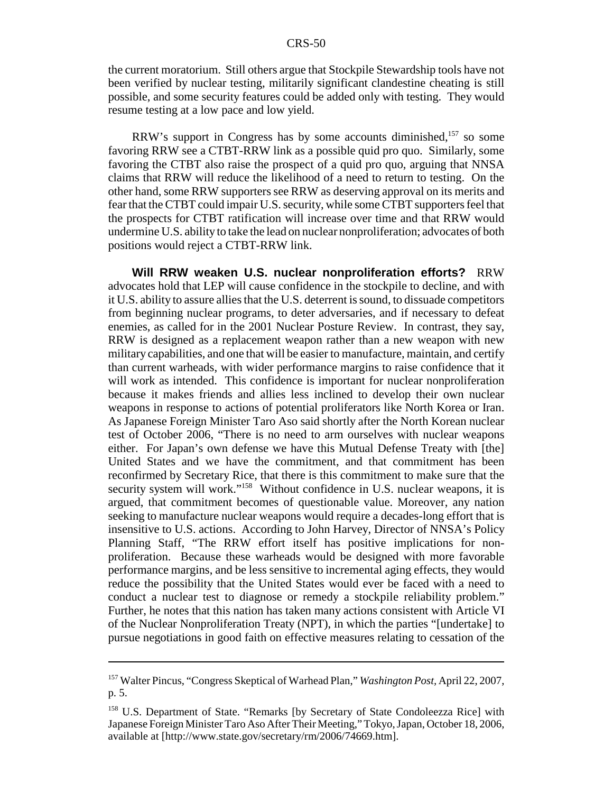the current moratorium. Still others argue that Stockpile Stewardship tools have not been verified by nuclear testing, militarily significant clandestine cheating is still possible, and some security features could be added only with testing. They would resume testing at a low pace and low yield.

RRW's support in Congress has by some accounts diminished,<sup>157</sup> so some favoring RRW see a CTBT-RRW link as a possible quid pro quo. Similarly, some favoring the CTBT also raise the prospect of a quid pro quo, arguing that NNSA claims that RRW will reduce the likelihood of a need to return to testing. On the other hand, some RRW supporters see RRW as deserving approval on its merits and fear that the CTBT could impair U.S. security, while some CTBT supporters feel that the prospects for CTBT ratification will increase over time and that RRW would undermine U.S. ability to take the lead on nuclear nonproliferation; advocates of both positions would reject a CTBT-RRW link.

**Will RRW weaken U.S. nuclear nonproliferation efforts?** RRW advocates hold that LEP will cause confidence in the stockpile to decline, and with it U.S. ability to assure allies that the U.S. deterrent is sound, to dissuade competitors from beginning nuclear programs, to deter adversaries, and if necessary to defeat enemies, as called for in the 2001 Nuclear Posture Review. In contrast, they say, RRW is designed as a replacement weapon rather than a new weapon with new military capabilities, and one that will be easier to manufacture, maintain, and certify than current warheads, with wider performance margins to raise confidence that it will work as intended. This confidence is important for nuclear nonproliferation because it makes friends and allies less inclined to develop their own nuclear weapons in response to actions of potential proliferators like North Korea or Iran. As Japanese Foreign Minister Taro Aso said shortly after the North Korean nuclear test of October 2006, "There is no need to arm ourselves with nuclear weapons either. For Japan's own defense we have this Mutual Defense Treaty with [the] United States and we have the commitment, and that commitment has been reconfirmed by Secretary Rice, that there is this commitment to make sure that the security system will work."<sup>158</sup> Without confidence in U.S. nuclear weapons, it is argued, that commitment becomes of questionable value. Moreover, any nation seeking to manufacture nuclear weapons would require a decades-long effort that is insensitive to U.S. actions. According to John Harvey, Director of NNSA's Policy Planning Staff, "The RRW effort itself has positive implications for nonproliferation. Because these warheads would be designed with more favorable performance margins, and be less sensitive to incremental aging effects, they would reduce the possibility that the United States would ever be faced with a need to conduct a nuclear test to diagnose or remedy a stockpile reliability problem." Further, he notes that this nation has taken many actions consistent with Article VI of the Nuclear Nonproliferation Treaty (NPT), in which the parties "[undertake] to pursue negotiations in good faith on effective measures relating to cessation of the

<sup>157</sup> Walter Pincus, "Congress Skeptical of Warhead Plan," *Washington Post,* April 22, 2007, p. 5.

<sup>158</sup> U.S. Department of State. "Remarks [by Secretary of State Condoleezza Rice] with Japanese Foreign Minister Taro Aso After Their Meeting," Tokyo, Japan, October 18, 2006, available at [http://www.state.gov/secretary/rm/2006/74669.htm].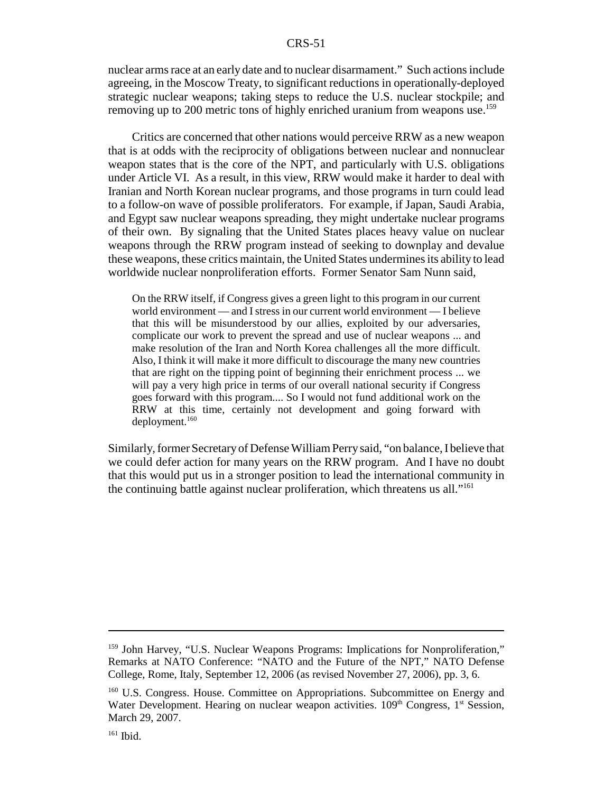nuclear arms race at an early date and to nuclear disarmament." Such actions include agreeing, in the Moscow Treaty, to significant reductions in operationally-deployed strategic nuclear weapons; taking steps to reduce the U.S. nuclear stockpile; and removing up to 200 metric tons of highly enriched uranium from weapons use.<sup>159</sup>

Critics are concerned that other nations would perceive RRW as a new weapon that is at odds with the reciprocity of obligations between nuclear and nonnuclear weapon states that is the core of the NPT, and particularly with U.S. obligations under Article VI. As a result, in this view, RRW would make it harder to deal with Iranian and North Korean nuclear programs, and those programs in turn could lead to a follow-on wave of possible proliferators. For example, if Japan, Saudi Arabia, and Egypt saw nuclear weapons spreading, they might undertake nuclear programs of their own. By signaling that the United States places heavy value on nuclear weapons through the RRW program instead of seeking to downplay and devalue these weapons, these critics maintain, the United States undermines its ability to lead worldwide nuclear nonproliferation efforts. Former Senator Sam Nunn said,

On the RRW itself, if Congress gives a green light to this program in our current world environment — and I stress in our current world environment — I believe that this will be misunderstood by our allies, exploited by our adversaries, complicate our work to prevent the spread and use of nuclear weapons ... and make resolution of the Iran and North Korea challenges all the more difficult. Also, I think it will make it more difficult to discourage the many new countries that are right on the tipping point of beginning their enrichment process ... we will pay a very high price in terms of our overall national security if Congress goes forward with this program.... So I would not fund additional work on the RRW at this time, certainly not development and going forward with deployment.160

Similarly, former Secretary of Defense William Perry said, "on balance, I believe that we could defer action for many years on the RRW program. And I have no doubt that this would put us in a stronger position to lead the international community in the continuing battle against nuclear proliferation, which threatens us all."161

<sup>&</sup>lt;sup>159</sup> John Harvey, "U.S. Nuclear Weapons Programs: Implications for Nonproliferation," Remarks at NATO Conference: "NATO and the Future of the NPT," NATO Defense College, Rome, Italy, September 12, 2006 (as revised November 27, 2006), pp. 3, 6.

<sup>&</sup>lt;sup>160</sup> U.S. Congress. House. Committee on Appropriations. Subcommittee on Energy and Water Development. Hearing on nuclear weapon activities. 109<sup>th</sup> Congress, 1<sup>st</sup> Session, March 29, 2007.

 $161$  Ibid.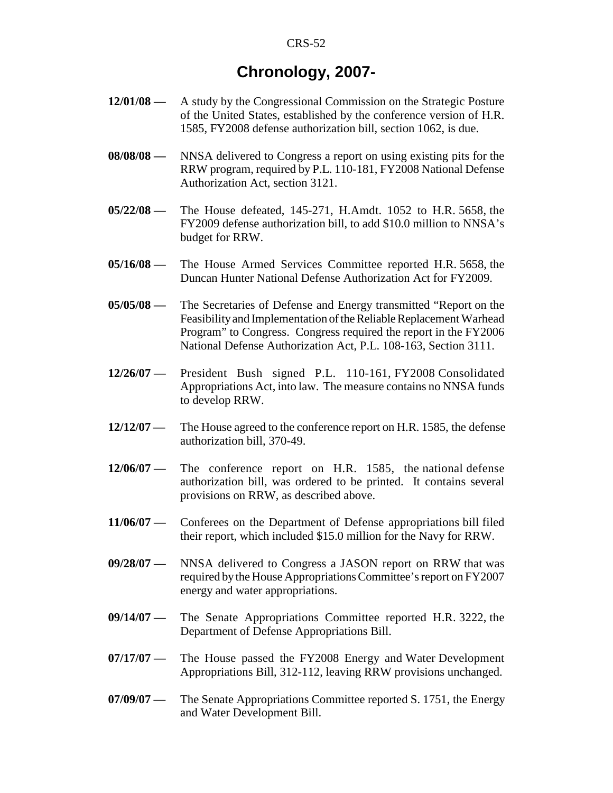# **Chronology, 2007-**

- **12/01/08** A study by the Congressional Commission on the Strategic Posture of the United States, established by the conference version of H.R. 1585, FY2008 defense authorization bill, section 1062, is due.
- **08/08/08** NNSA delivered to Congress a report on using existing pits for the RRW program, required by P.L. 110-181, FY2008 National Defense Authorization Act, section 3121.
- **05/22/08** The House defeated, 145-271, H.Amdt. 1052 to H.R. 5658, the FY2009 defense authorization bill, to add \$10.0 million to NNSA's budget for RRW.
- **05/16/08** The House Armed Services Committee reported H.R. 5658, the Duncan Hunter National Defense Authorization Act for FY2009.
- **05/05/08** The Secretaries of Defense and Energy transmitted "Report on the Feasibility and Implementation of the Reliable Replacement Warhead Program" to Congress. Congress required the report in the FY2006 National Defense Authorization Act, P.L. 108-163, Section 3111.
- **12/26/07** President Bush signed P.L. 110-161, FY2008 Consolidated Appropriations Act, into law. The measure contains no NNSA funds to develop RRW.
- **12/12/07** The House agreed to the conference report on H.R. 1585, the defense authorization bill, 370-49.
- **12/06/07** The conference report on H.R. 1585, the national defense authorization bill, was ordered to be printed. It contains several provisions on RRW, as described above.
- **11/06/07** Conferees on the Department of Defense appropriations bill filed their report, which included \$15.0 million for the Navy for RRW.
- **09/28/07** NNSA delivered to Congress a JASON report on RRW that was required by the House Appropriations Committee's report on FY2007 energy and water appropriations.
- **09/14/07** The Senate Appropriations Committee reported H.R. 3222, the Department of Defense Appropriations Bill.
- **07/17/07** The House passed the FY2008 Energy and Water Development Appropriations Bill, 312-112, leaving RRW provisions unchanged.
- **07/09/07** The Senate Appropriations Committee reported S. 1751, the Energy and Water Development Bill.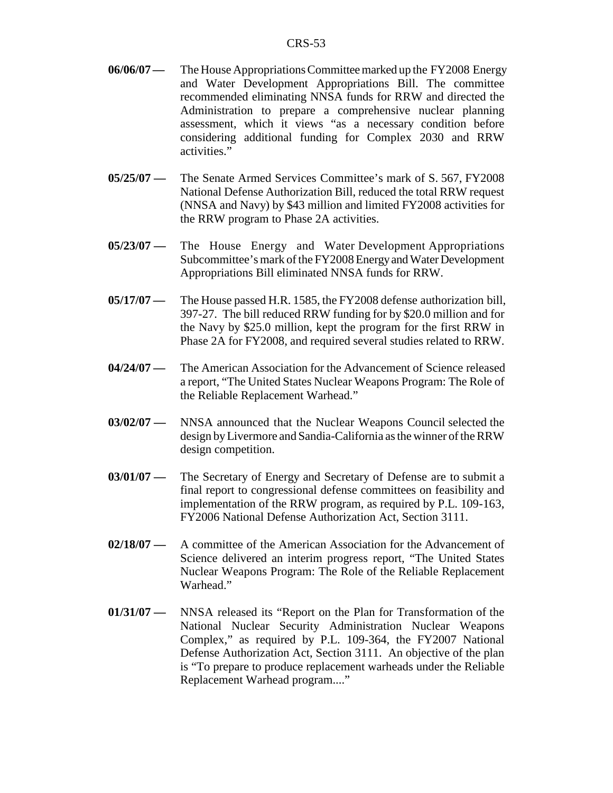- **06/06/07** The House Appropriations Committee marked up the FY2008 Energy and Water Development Appropriations Bill. The committee recommended eliminating NNSA funds for RRW and directed the Administration to prepare a comprehensive nuclear planning assessment, which it views "as a necessary condition before considering additional funding for Complex 2030 and RRW activities."
- **05/25/07** The Senate Armed Services Committee's mark of S. 567, FY2008 National Defense Authorization Bill, reduced the total RRW request (NNSA and Navy) by \$43 million and limited FY2008 activities for the RRW program to Phase 2A activities.
- **05/23/07** The House Energy and Water Development Appropriations Subcommittee's mark of the FY2008 Energy and Water Development Appropriations Bill eliminated NNSA funds for RRW.
- **05/17/07** The House passed H.R. 1585, the FY2008 defense authorization bill, 397-27. The bill reduced RRW funding for by \$20.0 million and for the Navy by \$25.0 million, kept the program for the first RRW in Phase 2A for FY2008, and required several studies related to RRW.
- **04/24/07** The American Association for the Advancement of Science released a report, "The United States Nuclear Weapons Program: The Role of the Reliable Replacement Warhead."
- **03/02/07** NNSA announced that the Nuclear Weapons Council selected the design by Livermore and Sandia-California as the winner of the RRW design competition.
- **03/01/07** The Secretary of Energy and Secretary of Defense are to submit a final report to congressional defense committees on feasibility and implementation of the RRW program, as required by P.L. 109-163, FY2006 National Defense Authorization Act, Section 3111.
- **02/18/07** A committee of the American Association for the Advancement of Science delivered an interim progress report, "The United States Nuclear Weapons Program: The Role of the Reliable Replacement Warhead."
- **01/31/07** NNSA released its "Report on the Plan for Transformation of the National Nuclear Security Administration Nuclear Weapons Complex," as required by P.L. 109-364, the FY2007 National Defense Authorization Act, Section 3111. An objective of the plan is "To prepare to produce replacement warheads under the Reliable Replacement Warhead program...."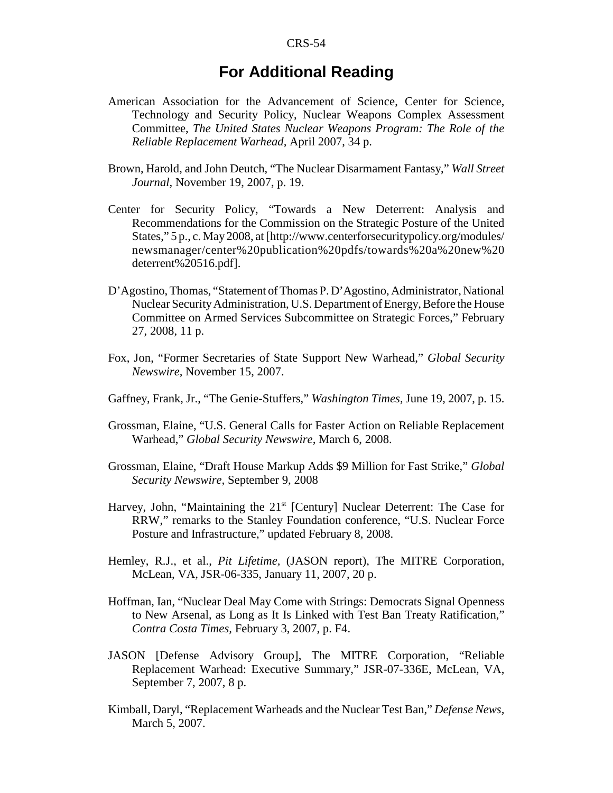# **For Additional Reading**

- American Association for the Advancement of Science, Center for Science, Technology and Security Policy, Nuclear Weapons Complex Assessment Committee, *The United States Nuclear Weapons Program: The Role of the Reliable Replacement Warhead,* April 2007, 34 p.
- Brown, Harold, and John Deutch, "The Nuclear Disarmament Fantasy," *Wall Street Journal,* November 19, 2007, p. 19.
- Center for Security Policy, "Towards a New Deterrent: Analysis and Recommendations for the Commission on the Strategic Posture of the United States," 5 p., c. May 2008, at [http://www.centerforsecuritypolicy.org/modules/ newsmanager/center%20publication%20pdfs/towards%20a%20new%20 deterrent%20516.pdf].
- D'Agostino, Thomas, "Statement of Thomas P. D'Agostino, Administrator, National Nuclear Security Administration, U.S. Department of Energy, Before the House Committee on Armed Services Subcommittee on Strategic Forces," February 27, 2008, 11 p.
- Fox, Jon, "Former Secretaries of State Support New Warhead," *Global Security Newswire,* November 15, 2007.
- Gaffney, Frank, Jr., "The Genie-Stuffers," *Washington Times,* June 19, 2007, p. 15.
- Grossman, Elaine, "U.S. General Calls for Faster Action on Reliable Replacement Warhead," *Global Security Newswire,* March 6, 2008.
- Grossman, Elaine, "Draft House Markup Adds \$9 Million for Fast Strike," *Global Security Newswire,* September 9, 2008
- Harvey, John, "Maintaining the 21<sup>st</sup> [Century] Nuclear Deterrent: The Case for RRW," remarks to the Stanley Foundation conference, "U.S. Nuclear Force Posture and Infrastructure," updated February 8, 2008.
- Hemley, R.J., et al., *Pit Lifetime,* (JASON report), The MITRE Corporation, McLean, VA, JSR-06-335, January 11, 2007, 20 p.
- Hoffman, Ian, "Nuclear Deal May Come with Strings: Democrats Signal Openness to New Arsenal, as Long as It Is Linked with Test Ban Treaty Ratification," *Contra Costa Times,* February 3, 2007, p. F4.
- JASON [Defense Advisory Group], The MITRE Corporation, "Reliable Replacement Warhead: Executive Summary," JSR-07-336E, McLean, VA, September 7, 2007, 8 p.
- Kimball, Daryl, "Replacement Warheads and the Nuclear Test Ban," *Defense News,* March 5, 2007.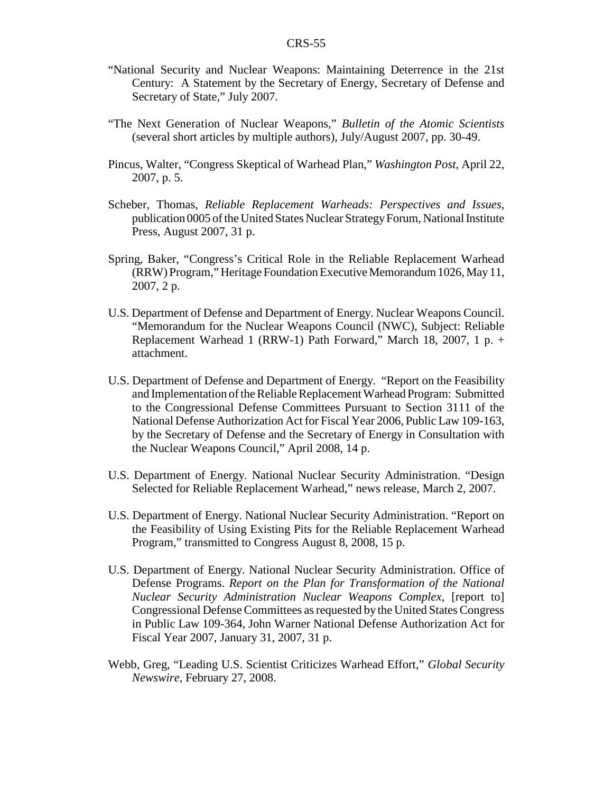- "National Security and Nuclear Weapons: Maintaining Deterrence in the 21st Century: A Statement by the Secretary of Energy, Secretary of Defense and Secretary of State," July 2007.
- "The Next Generation of Nuclear Weapons," *Bulletin of the Atomic Scientists* (several short articles by multiple authors), July/August 2007, pp. 30-49.
- Pincus, Walter, "Congress Skeptical of Warhead Plan," *Washington Post,* April 22, 2007, p. 5.
- Scheber, Thomas, *Reliable Replacement Warheads: Perspectives and Issues,* publication 0005 of the United States Nuclear Strategy Forum, National Institute Press, August 2007, 31 p.
- Spring, Baker, "Congress's Critical Role in the Reliable Replacement Warhead (RRW) Program," Heritage Foundation Executive Memorandum 1026, May 11, 2007, 2 p.
- U.S. Department of Defense and Department of Energy. Nuclear Weapons Council. "Memorandum for the Nuclear Weapons Council (NWC), Subject: Reliable Replacement Warhead 1 (RRW-1) Path Forward," March 18, 2007, 1 p. + attachment.
- U.S. Department of Defense and Department of Energy. "Report on the Feasibility and Implementation of the Reliable Replacement Warhead Program: Submitted to the Congressional Defense Committees Pursuant to Section 3111 of the National Defense Authorization Act for Fiscal Year 2006, Public Law 109-163, by the Secretary of Defense and the Secretary of Energy in Consultation with the Nuclear Weapons Council," April 2008, 14 p.
- U.S. Department of Energy. National Nuclear Security Administration. "Design Selected for Reliable Replacement Warhead," news release, March 2, 2007.
- U.S. Department of Energy. National Nuclear Security Administration. "Report on the Feasibility of Using Existing Pits for the Reliable Replacement Warhead Program," transmitted to Congress August 8, 2008, 15 p.
- U.S. Department of Energy. National Nuclear Security Administration. Office of Defense Programs. *Report on the Plan for Transformation of the National Nuclear Security Administration Nuclear Weapons Complex,* [report to] Congressional Defense Committees as requested by the United States Congress in Public Law 109-364, John Warner National Defense Authorization Act for Fiscal Year 2007, January 31, 2007, 31 p.
- Webb, Greg, "Leading U.S. Scientist Criticizes Warhead Effort," *Global Security Newswire,* February 27, 2008.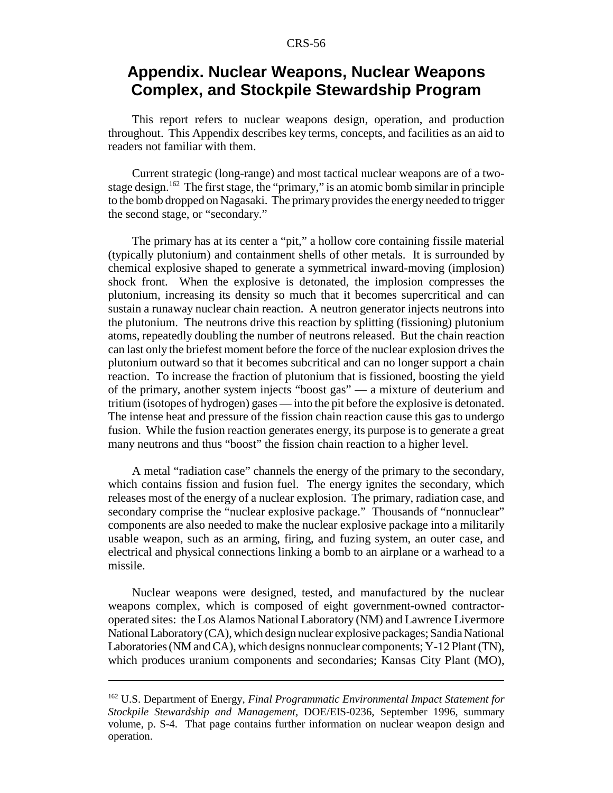# **Appendix. Nuclear Weapons, Nuclear Weapons Complex, and Stockpile Stewardship Program**

This report refers to nuclear weapons design, operation, and production throughout. This Appendix describes key terms, concepts, and facilities as an aid to readers not familiar with them.

Current strategic (long-range) and most tactical nuclear weapons are of a twostage design.<sup>162</sup> The first stage, the "primary," is an atomic bomb similar in principle to the bomb dropped on Nagasaki. The primary provides the energy needed to trigger the second stage, or "secondary."

The primary has at its center a "pit," a hollow core containing fissile material (typically plutonium) and containment shells of other metals. It is surrounded by chemical explosive shaped to generate a symmetrical inward-moving (implosion) shock front. When the explosive is detonated, the implosion compresses the plutonium, increasing its density so much that it becomes supercritical and can sustain a runaway nuclear chain reaction. A neutron generator injects neutrons into the plutonium. The neutrons drive this reaction by splitting (fissioning) plutonium atoms, repeatedly doubling the number of neutrons released. But the chain reaction can last only the briefest moment before the force of the nuclear explosion drives the plutonium outward so that it becomes subcritical and can no longer support a chain reaction. To increase the fraction of plutonium that is fissioned, boosting the yield of the primary, another system injects "boost gas" — a mixture of deuterium and tritium (isotopes of hydrogen) gases — into the pit before the explosive is detonated. The intense heat and pressure of the fission chain reaction cause this gas to undergo fusion. While the fusion reaction generates energy, its purpose is to generate a great many neutrons and thus "boost" the fission chain reaction to a higher level.

A metal "radiation case" channels the energy of the primary to the secondary, which contains fission and fusion fuel. The energy ignites the secondary, which releases most of the energy of a nuclear explosion. The primary, radiation case, and secondary comprise the "nuclear explosive package." Thousands of "nonnuclear" components are also needed to make the nuclear explosive package into a militarily usable weapon, such as an arming, firing, and fuzing system, an outer case, and electrical and physical connections linking a bomb to an airplane or a warhead to a missile.

Nuclear weapons were designed, tested, and manufactured by the nuclear weapons complex, which is composed of eight government-owned contractoroperated sites: the Los Alamos National Laboratory (NM) and Lawrence Livermore National Laboratory (CA), which design nuclear explosive packages; Sandia National Laboratories (NM and CA), which designs nonnuclear components; Y-12 Plant (TN), which produces uranium components and secondaries; Kansas City Plant (MO),

<sup>162</sup> U.S. Department of Energy, *Final Programmatic Environmental Impact Statement for Stockpile Stewardship and Management,* DOE/EIS-0236, September 1996, summary volume, p. S-4. That page contains further information on nuclear weapon design and operation.